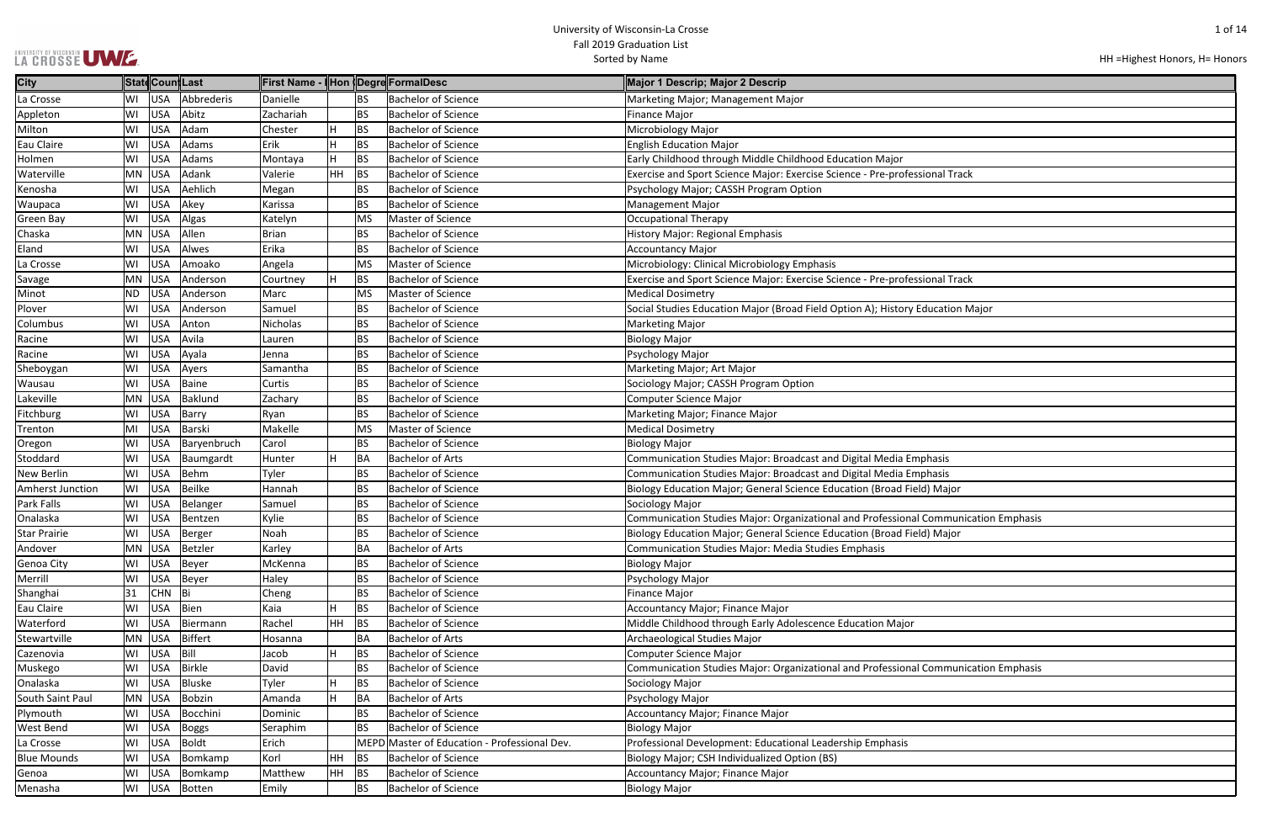### UNIVERSITY OF WISCONSIN<br>LA CROSSE UWE

HH =Highest Honors, H= Honors

| nal Track             |
|-----------------------|
|                       |
|                       |
|                       |
|                       |
|                       |
| nal Track             |
|                       |
| ucation Major         |
|                       |
|                       |
|                       |
|                       |
|                       |
|                       |
|                       |
|                       |
| าasis                 |
| าasis                 |
| Major                 |
|                       |
| ommunication Emphasis |
| Major                 |
|                       |
|                       |
|                       |
|                       |
|                       |
|                       |
|                       |
| ommunication Emphasis |
|                       |
|                       |
|                       |
|                       |
|                       |
|                       |
|                       |

| <b>City</b>             |           |            | ∥Statd∣Coun∥Last |              |    |           | First Name - I Hon   Degre  FormalDesc       | Major 1 Descrip; Major 2 Descrip                                                    |
|-------------------------|-----------|------------|------------------|--------------|----|-----------|----------------------------------------------|-------------------------------------------------------------------------------------|
| La Crosse               | WI        | USA        | Abbrederis       | Danielle     |    | BS.       | <b>Bachelor of Science</b>                   | Marketing Major; Management Major                                                   |
| Appleton                | WI        | USA        | Abitz            | Zachariah    |    | <b>BS</b> | <b>Bachelor of Science</b>                   | <b>Finance Major</b>                                                                |
| Milton                  | WI        | <b>USA</b> | Adam             | Chester      |    | <b>BS</b> | <b>Bachelor of Science</b>                   | Microbiology Major                                                                  |
| Eau Claire              | WI        | <b>USA</b> | Adams            | Erik         | H  | <b>BS</b> | <b>Bachelor of Science</b>                   | <b>English Education Major</b>                                                      |
| Holmen                  | WI        | USA        | Adams            | Montaya      | H. | <b>BS</b> | <b>Bachelor of Science</b>                   | Early Childhood through Middle Childhood Education Major                            |
| Waterville              | MN        | USA        | Adank            | Valerie      | HH | <b>BS</b> | <b>Bachelor of Science</b>                   | Exercise and Sport Science Major: Exercise Science - Pre-professional Track         |
| Kenosha                 | WI        | USA        | Aehlich          | Megan        |    | <b>BS</b> | <b>Bachelor of Science</b>                   | Psychology Major; CASSH Program Option                                              |
| Waupaca                 | WI        | <b>USA</b> | Akey             | Karissa      |    | <b>BS</b> | <b>Bachelor of Science</b>                   | <b>Management Major</b>                                                             |
| <b>Green Bay</b>        | WI        | USA        | Algas            | Katelyn      |    | MS        | Master of Science                            | <b>Occupational Therapy</b>                                                         |
| Chaska                  |           | MN USA     | Allen            | <b>Brian</b> |    | <b>BS</b> | <b>Bachelor of Science</b>                   | <b>History Major: Regional Emphasis</b>                                             |
| Eland                   | WI        | USA        | Alwes            | Erika        |    | <b>BS</b> | <b>Bachelor of Science</b>                   | <b>Accountancy Major</b>                                                            |
| La Crosse               | WI        | USA        | Amoako           | Angela       |    | MS        | Master of Science                            | Microbiology: Clinical Microbiology Emphasis                                        |
| Savage                  | MN        | USA        | Anderson         | Courtney     | H  | <b>BS</b> | <b>Bachelor of Science</b>                   | Exercise and Sport Science Major: Exercise Science - Pre-professional Track         |
| Minot                   | <b>ND</b> | USA        | Anderson         | Marc         |    | <b>MS</b> | Master of Science                            | <b>Medical Dosimetry</b>                                                            |
| Plover                  | WI        | <b>USA</b> | Anderson         | Samuel       |    | <b>BS</b> | <b>Bachelor of Science</b>                   | Social Studies Education Major (Broad Field Option A); History Education Major      |
| Columbus                | WI        | <b>USA</b> | Anton            | Nicholas     |    | <b>BS</b> | <b>Bachelor of Science</b>                   | <b>Marketing Major</b>                                                              |
| Racine                  | WI        | <b>USA</b> | Avila            | Lauren       |    | <b>BS</b> | <b>Bachelor of Science</b>                   | <b>Biology Major</b>                                                                |
| Racine                  | WI        | <b>USA</b> | Ayala            | Jenna        |    | <b>BS</b> | <b>Bachelor of Science</b>                   | Psychology Major                                                                    |
| Sheboygan               | WI        | <b>USA</b> | Ayers            | Samantha     |    | <b>BS</b> | <b>Bachelor of Science</b>                   | Marketing Major; Art Major                                                          |
| Wausau                  | WI        | USA        | Baine            | Curtis       |    | <b>BS</b> | <b>Bachelor of Science</b>                   | Sociology Major; CASSH Program Option                                               |
| Lakeville               | MN        | <b>USA</b> | Baklund          | Zachary      |    | <b>BS</b> | <b>Bachelor of Science</b>                   | <b>Computer Science Major</b>                                                       |
| Fitchburg               | WI        | <b>USA</b> | Barry            | Ryan         |    | <b>BS</b> | <b>Bachelor of Science</b>                   | Marketing Major; Finance Major                                                      |
| Trenton                 | MI        | USA        | Barski           | Makelle      |    | <b>MS</b> | Master of Science                            | <b>Medical Dosimetry</b>                                                            |
| Oregon                  | WI        | <b>USA</b> | Baryenbruch      | Carol        |    | <b>BS</b> | <b>Bachelor of Science</b>                   | <b>Biology Major</b>                                                                |
| Stoddard                | WI        | <b>USA</b> | Baumgardt        | Hunter       |    | BA        | <b>Bachelor of Arts</b>                      | Communication Studies Major: Broadcast and Digital Media Emphasis                   |
| <b>New Berlin</b>       | WI        | <b>USA</b> | Behm             | Tyler        |    | <b>BS</b> | <b>Bachelor of Science</b>                   | Communication Studies Major: Broadcast and Digital Media Emphasis                   |
| <b>Amherst Junction</b> | WI        | <b>USA</b> | <b>Beilke</b>    | Hannah       |    | <b>BS</b> | <b>Bachelor of Science</b>                   | Biology Education Major; General Science Education (Broad Field) Major              |
| <b>Park Falls</b>       | WI        | <b>USA</b> | Belanger         | Samuel       |    | <b>BS</b> | <b>Bachelor of Science</b>                   | Sociology Major                                                                     |
| Onalaska                | WI        | <b>USA</b> | Bentzen          | Kylie        |    | <b>BS</b> | <b>Bachelor of Science</b>                   | Communication Studies Major: Organizational and Professional Communication Emphasis |
| <b>Star Prairie</b>     | WI        |            | USA Berger       | Noah         |    | <b>BS</b> | <b>Bachelor of Science</b>                   | Biology Education Major; General Science Education (Broad Field) Major              |
| Andover                 |           | MN USA     | Betzler          | Karley       |    | BA        | <b>Bachelor of Arts</b>                      | Communication Studies Major: Media Studies Emphasis                                 |
| Genoa City              | WI        | <b>USA</b> | Beyer            | McKenna      |    | BS        | <b>Bachelor of Science</b>                   | <b>Biology Major</b>                                                                |
| Merrill                 | WI        | USA        | Beyer            | Haley        |    | BS        | <b>Bachelor of Science</b>                   | Psychology Major                                                                    |
| Shanghai                | 31        | <b>CHN</b> | Bi               | Cheng        |    | <b>BS</b> | <b>Bachelor of Science</b>                   | <b>Finance Major</b>                                                                |
| Eau Claire              | WI        | <b>USA</b> | Bien             | Kaia         | н  | <b>BS</b> | <b>Bachelor of Science</b>                   | Accountancy Major; Finance Major                                                    |
| Waterford               | WI        | <b>USA</b> | Biermann         | Rachel       | HH | <b>BS</b> | <b>Bachelor of Science</b>                   | Middle Childhood through Early Adolescence Education Major                          |
| Stewartville            |           | MN USA     | Biffert          | Hosanna      |    | BA        | <b>Bachelor of Arts</b>                      | Archaeological Studies Major                                                        |
| Cazenovia               | WI        | <b>USA</b> | Bill             | Jacob        | H  | <b>BS</b> | <b>Bachelor of Science</b>                   | Computer Science Major                                                              |
| Muskego                 | WI        | <b>USA</b> | Birkle           | David        |    | <b>BS</b> | <b>Bachelor of Science</b>                   | Communication Studies Major: Organizational and Professional Communication Emphasis |
| Onalaska                | WI        | <b>USA</b> | Bluske           | Tyler        | н  | <b>BS</b> | <b>Bachelor of Science</b>                   | Sociology Major                                                                     |
| South Saint Paul        |           | MN USA     | <b>Bobzin</b>    | Amanda       | H  | BA        | <b>Bachelor of Arts</b>                      | Psychology Major                                                                    |
| Plymouth                | WI        | USA        | Bocchini         | Dominic      |    | BS        | <b>Bachelor of Science</b>                   | Accountancy Major; Finance Major                                                    |
| <b>West Bend</b>        | WI        | <b>USA</b> | <b>Boggs</b>     | Seraphim     |    | <b>BS</b> | <b>Bachelor of Science</b>                   | <b>Biology Major</b>                                                                |
| La Crosse               | WI        | <b>USA</b> | <b>Boldt</b>     | Erich        |    |           | MEPD Master of Education - Professional Dev. | Professional Development: Educational Leadership Emphasis                           |
| <b>Blue Mounds</b>      | WI        | <b>USA</b> | Bomkamp          | Korl         | HH | <b>BS</b> | <b>Bachelor of Science</b>                   | Biology Major; CSH Individualized Option (BS)                                       |
| Genoa                   | WI        | <b>USA</b> | Bomkamp          | Matthew      | HH | <b>BS</b> | <b>Bachelor of Science</b>                   | Accountancy Major; Finance Major                                                    |
| Menasha                 | WI        | <b>USA</b> | Botten           | Emily        |    | <b>BS</b> | <b>Bachelor of Science</b>                   | <b>Biology Major</b>                                                                |
|                         |           |            |                  |              |    |           |                                              |                                                                                     |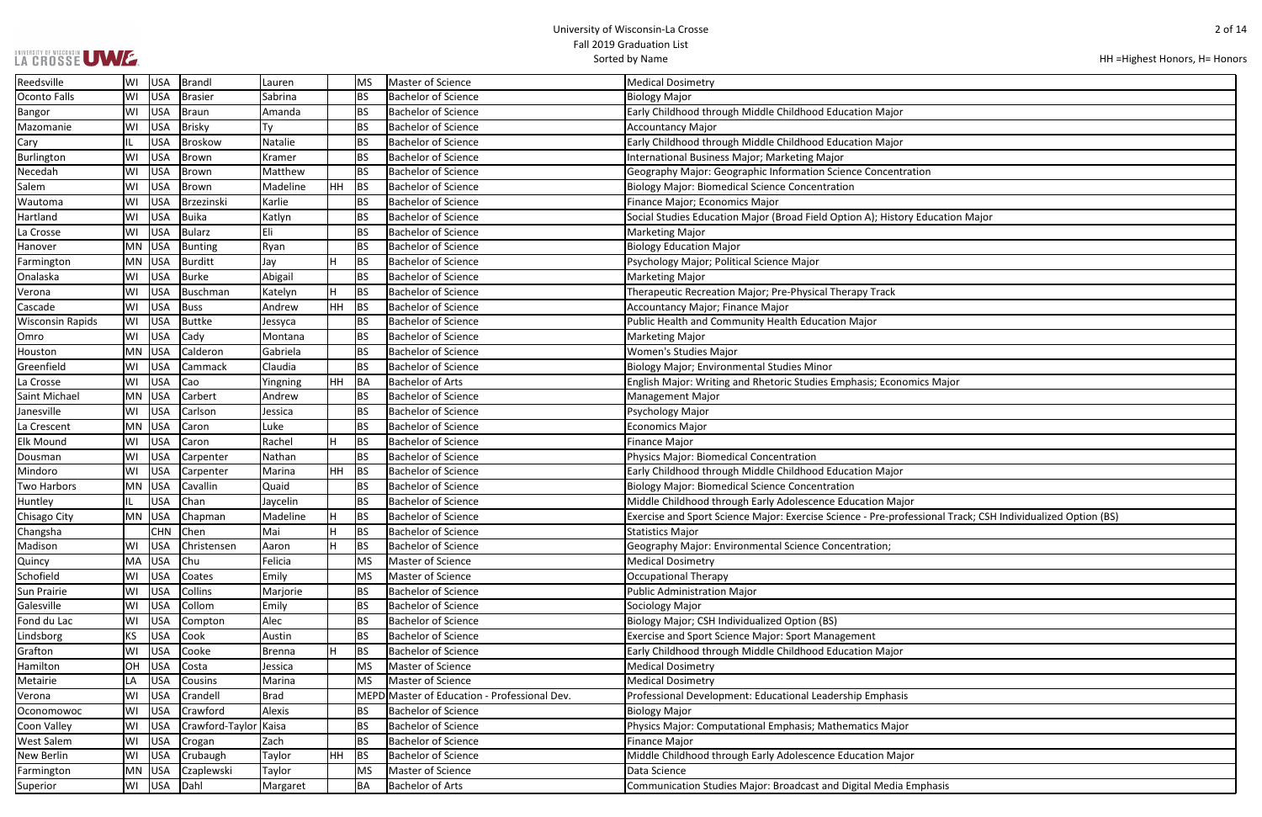|  |  | LA CROSSE UWE |
|--|--|---------------|
|  |  |               |

| n                                          |
|--------------------------------------------|
|                                            |
|                                            |
| ucation Major                              |
|                                            |
|                                            |
|                                            |
|                                            |
|                                            |
|                                            |
|                                            |
|                                            |
|                                            |
|                                            |
|                                            |
| s Major                                    |
|                                            |
|                                            |
|                                            |
|                                            |
|                                            |
|                                            |
|                                            |
|                                            |
|                                            |
| onal Track; CSH Individualized Option (BS) |
|                                            |
|                                            |
|                                            |
|                                            |
|                                            |
|                                            |
|                                            |
|                                            |
|                                            |
|                                            |
|                                            |
|                                            |
|                                            |
|                                            |
|                                            |
|                                            |
|                                            |
|                                            |
|                                            |
| hasis                                      |
|                                            |

| <b>USA</b><br>Sabrina<br><b>BS</b><br><b>Bachelor of Science</b><br>Brasier<br><b>Biology Major</b><br>WI<br><b>USA</b><br><b>BS</b><br><b>Bachelor of Science</b><br>Early Childhood through Middle Childhood Education Major<br>Braun<br>Amanda<br>WI<br>Brisky<br><b>BS</b><br><b>Bachelor of Science</b><br>WI<br><b>USA</b><br>Ty<br><b>Accountancy Major</b><br>Early Childhood through Middle Childhood Education Major<br><b>USA</b><br>Broskow<br>Natalie<br><b>BS</b><br><b>Bachelor of Science</b><br> WI<br><b>USA</b><br>Brown<br><b>BS</b><br><b>Bachelor of Science</b><br>Kramer<br>International Business Major; Marketing Major<br><b>USA</b><br>Brown<br>Matthew<br><b>BS</b><br><b>Bachelor of Science</b><br>Geography Major: Geographic Information Science Concentration<br>WI<br><b>USA</b><br>Brown<br>Madeline<br>HH<br>BS<br><b>Bachelor of Science</b><br>WI<br><b>Biology Major: Biomedical Science Concentration</b><br><b>USA</b><br>Karlie<br><b>BS</b><br><b>Bachelor of Science</b><br>WI<br>Brzezinski<br>Finance Major; Economics Major<br><b>USA</b><br>Buika<br>Bachelor of Science<br>Social Studies Education Major (Broad Field Option A); History Education Major<br>WI<br>Katlyn<br><b>BS</b><br>Eli<br><b>USA</b><br>Bularz<br><b>BS</b><br><b>Bachelor of Science</b><br>WI<br><b>Marketing Major</b><br><b>Biology Education Major</b><br>MN USA<br>Bunting<br>Ryan<br><b>BS</b><br><b>Bachelor of Science</b><br>MN USA<br>Burditt<br>Jay<br><b>BS</b><br><b>Bachelor of Science</b><br>Psychology Major; Political Science Major<br>Abigail<br><b>USA</b><br>Burke<br><b>BS</b><br><b>Bachelor of Science</b><br><b>Marketing Major</b><br>WI<br>USA<br><b>BS</b><br>Buschman<br>Katelyn<br><b>Bachelor of Science</b><br>Therapeutic Recreation Major; Pre-Physical Therapy Track<br>WI<br><b>USA</b><br><b>HH</b><br><b>BS</b><br><b>Bachelor of Science</b><br>WI<br>Buss<br>Andrew<br><b>Accountancy Major; Finance Major</b><br><b>USA</b><br>Buttke<br><b>BS</b><br><b>Bachelor of Science</b><br>Public Health and Community Health Education Major<br>WI<br>Jessyca<br>WI<br><b>USA</b><br><b>BS</b><br><b>Bachelor of Science</b><br> Cady<br><b>Marketing Major</b><br>Montana<br>USA<br>Calderon<br><b>Women's Studies Major</b><br><b>MN</b><br>Gabriela<br><b>BS</b><br><b>Bachelor of Science</b><br>Claudia<br><b>USA</b><br>Cammack<br><b>BS</b><br><b>Bachelor of Science</b><br>Biology Major; Environmental Studies Minor<br>WI<br><b>USA</b><br>Cao<br>Yingning<br>HH<br>BA<br><b>Bachelor of Arts</b><br>WI<br>English Major: Writing and Rhetoric Studies Emphasis; Economics Major<br>MN USA<br>Carbert<br><b>Bachelor of Science</b><br>Andrew<br><b>BS</b><br><b>Management Major</b><br>Janesville<br><b>USA</b><br><b>BS</b><br><b>Bachelor of Science</b><br>WI<br>Carlson<br>Psychology Major<br>Jessica<br><b>Bachelor of Science</b><br><b>Economics Major</b><br>MN USA<br>Luke<br><b>BS</b><br>Caron<br><b>USA</b><br>Rachel<br><b>BS</b><br><b>Bachelor of Science</b><br>WI<br>Caron<br><b>Finance Major</b><br><b>USA</b><br>Nathan<br><b>BS</b><br><b>Bachelor of Science</b><br><b>Physics Major: Biomedical Concentration</b><br>WI<br>Carpenter<br><b>USA</b><br>HH<br>BS<br><b>Bachelor of Science</b><br>Early Childhood through Middle Childhood Education Major<br>WI<br>Carpenter<br>Marina<br>MN USA<br><b>BS</b><br><b>Bachelor of Science</b><br><b>Biology Major: Biomedical Science Concentration</b><br>Cavallin<br>Quaid<br><b>USA</b><br>Chan<br><b>BS</b><br><b>Bachelor of Science</b><br>Middle Childhood through Early Adolescence Education Major<br>Jaycelin<br><b>BS</b><br><b>Bachelor of Science</b><br>Exercise and Sport Science Major: Exercise Science - Pre-professional Track; CSH Individualized Option (BS)<br>MN<br>USA<br>Chapman<br>Madeline<br><b>BS</b><br><b>CHN</b><br>Chen<br><b>Bachelor of Science</b><br>Mai<br><b>Statistics Major</b><br>Christensen<br><b>BS</b><br><b>Bachelor of Science</b><br>Geography Major: Environmental Science Concentration;<br>WI<br><b>USA</b><br>н<br>Aaron<br>Master of Science<br><b>USA</b><br> Chu<br>Felicia<br><b>Medical Dosimetry</b><br>MA<br><b>MS</b><br>Schofield<br>USA<br>Master of Science<br>Coates<br>Emily<br>Occupational Therapy<br>WI<br>MS<br><b>Bachelor of Science</b><br><b>USA</b><br>Collins<br><b>BS</b><br><b>Public Administration Major</b><br>WI<br>Marjorie<br><b>USA</b><br>Collom<br><b>Bachelor of Science</b><br>Sociology Major<br>WI<br>Emily<br><b>BS</b><br><b>USA</b><br>Alec<br><b>BS</b><br><b>Bachelor of Science</b><br>Biology Major; CSH Individualized Option (BS)<br>WI<br>Compton<br>KS.<br><b>USA</b><br>Cook<br><b>Bachelor of Science</b><br><b>Exercise and Sport Science Major: Sport Management</b><br>Austin<br><b>BS</b><br><b>USA</b><br>Cooke<br><b>BS</b><br><b>Bachelor of Science</b><br>Early Childhood through Middle Childhood Education Major<br>WI<br><b>Brenna</b><br>Master of Science<br>OH<br><b>USA</b><br>Costa<br>MS<br><b>Medical Dosimetry</b><br>Jessica<br>Master of Science<br>USA<br><b>Medical Dosimetry</b><br>Cousins<br>Marina<br><b>MS</b><br>LA<br><b>USA</b><br>Brad<br>MEPD Master of Education - Professional Dev.<br>Professional Development: Educational Leadership Emphasis<br>WI<br>Crandell<br><b>USA</b><br>Alexis<br>WI<br>Crawford<br>ΒS<br><b>Bachelor of Science</b><br><b>Biology Major</b><br><b>USA</b><br>Crawford-Taylor Kaisa<br><b>Bachelor of Science</b><br>WI<br> BS<br>Physics Major: Computational Emphasis; Mathematics Major<br><b>Bachelor of Science</b><br><b>USA</b><br>Zach<br><b>BS</b><br><b>Finance Major</b><br>WI<br>Crogan<br><b>USA</b><br>Crubaugh<br>HH<br>BS<br><b>Bachelor of Science</b><br>Middle Childhood through Early Adolescence Education Major<br>WI<br>Taylor<br>$MN$ USA<br>Czaplewski<br>Master of Science<br>Data Science<br>Taylor<br><b>MS</b><br>Bachelor of Arts<br>WI USA Dahl<br>Communication Studies Major: Broadcast and Digital Media Emphasis<br><b>BA</b><br>Margaret | Reedsville              | WI | USA | Brandl | Lauren | <b>MS</b> | Master of Science | <b>Medical Dosimetry</b> |
|------------------------------------------------------------------------------------------------------------------------------------------------------------------------------------------------------------------------------------------------------------------------------------------------------------------------------------------------------------------------------------------------------------------------------------------------------------------------------------------------------------------------------------------------------------------------------------------------------------------------------------------------------------------------------------------------------------------------------------------------------------------------------------------------------------------------------------------------------------------------------------------------------------------------------------------------------------------------------------------------------------------------------------------------------------------------------------------------------------------------------------------------------------------------------------------------------------------------------------------------------------------------------------------------------------------------------------------------------------------------------------------------------------------------------------------------------------------------------------------------------------------------------------------------------------------------------------------------------------------------------------------------------------------------------------------------------------------------------------------------------------------------------------------------------------------------------------------------------------------------------------------------------------------------------------------------------------------------------------------------------------------------------------------------------------------------------------------------------------------------------------------------------------------------------------------------------------------------------------------------------------------------------------------------------------------------------------------------------------------------------------------------------------------------------------------------------------------------------------------------------------------------------------------------------------------------------------------------------------------------------------------------------------------------------------------------------------------------------------------------------------------------------------------------------------------------------------------------------------------------------------------------------------------------------------------------------------------------------------------------------------------------------------------------------------------------------------------------------------------------------------------------------------------------------------------------------------------------------------------------------------------------------------------------------------------------------------------------------------------------------------------------------------------------------------------------------------------------------------------------------------------------------------------------------------------------------------------------------------------------------------------------------------------------------------------------------------------------------------------------------------------------------------------------------------------------------------------------------------------------------------------------------------------------------------------------------------------------------------------------------------------------------------------------------------------------------------------------------------------------------------------------------------------------------------------------------------------------------------------------------------------------------------------------------------------------------------------------------------------------------------------------------------------------------------------------------------------------------------------------------------------------------------------------------------------------------------------------------------------------------------------------------------------------------------------------------------------------------------------------------------------------------------------------------------------------------------------------------------------------------------------------------------------------------------------------------------------------------------------------------------------------------------------------------------------------------------------------------------------------------------------------------------------------------------------------------------------------------------------------------------------------------------------------------------------------------------------------------------------------------------------------------------------------------------------------------------------------------------------------------------------------------------------------------------------------------------------------------------------------------------------------------------------------------------------------------------------------------------------------------------------------------------------------------------------------------------------------------------------------------------------------------------------------------------------------------------------------------------------------------------------------------------------------------------------------------------------------------|-------------------------|----|-----|--------|--------|-----------|-------------------|--------------------------|
|                                                                                                                                                                                                                                                                                                                                                                                                                                                                                                                                                                                                                                                                                                                                                                                                                                                                                                                                                                                                                                                                                                                                                                                                                                                                                                                                                                                                                                                                                                                                                                                                                                                                                                                                                                                                                                                                                                                                                                                                                                                                                                                                                                                                                                                                                                                                                                                                                                                                                                                                                                                                                                                                                                                                                                                                                                                                                                                                                                                                                                                                                                                                                                                                                                                                                                                                                                                                                                                                                                                                                                                                                                                                                                                                                                                                                                                                                                                                                                                                                                                                                                                                                                                                                                                                                                                                                                                                                                                                                                                                                                                                                                                                                                                                                                                                                                                                                                                                                                                                                                                                                                                                                                                                                                                                                                                                                                                                                                                                                                                                                                                                                                                                                                                                                                                                                                                                                                                                                                                                                                                                                                      | Oconto Falls            |    |     |        |        |           |                   |                          |
|                                                                                                                                                                                                                                                                                                                                                                                                                                                                                                                                                                                                                                                                                                                                                                                                                                                                                                                                                                                                                                                                                                                                                                                                                                                                                                                                                                                                                                                                                                                                                                                                                                                                                                                                                                                                                                                                                                                                                                                                                                                                                                                                                                                                                                                                                                                                                                                                                                                                                                                                                                                                                                                                                                                                                                                                                                                                                                                                                                                                                                                                                                                                                                                                                                                                                                                                                                                                                                                                                                                                                                                                                                                                                                                                                                                                                                                                                                                                                                                                                                                                                                                                                                                                                                                                                                                                                                                                                                                                                                                                                                                                                                                                                                                                                                                                                                                                                                                                                                                                                                                                                                                                                                                                                                                                                                                                                                                                                                                                                                                                                                                                                                                                                                                                                                                                                                                                                                                                                                                                                                                                                                      | <b>Bangor</b>           |    |     |        |        |           |                   |                          |
|                                                                                                                                                                                                                                                                                                                                                                                                                                                                                                                                                                                                                                                                                                                                                                                                                                                                                                                                                                                                                                                                                                                                                                                                                                                                                                                                                                                                                                                                                                                                                                                                                                                                                                                                                                                                                                                                                                                                                                                                                                                                                                                                                                                                                                                                                                                                                                                                                                                                                                                                                                                                                                                                                                                                                                                                                                                                                                                                                                                                                                                                                                                                                                                                                                                                                                                                                                                                                                                                                                                                                                                                                                                                                                                                                                                                                                                                                                                                                                                                                                                                                                                                                                                                                                                                                                                                                                                                                                                                                                                                                                                                                                                                                                                                                                                                                                                                                                                                                                                                                                                                                                                                                                                                                                                                                                                                                                                                                                                                                                                                                                                                                                                                                                                                                                                                                                                                                                                                                                                                                                                                                                      | Mazomanie               |    |     |        |        |           |                   |                          |
|                                                                                                                                                                                                                                                                                                                                                                                                                                                                                                                                                                                                                                                                                                                                                                                                                                                                                                                                                                                                                                                                                                                                                                                                                                                                                                                                                                                                                                                                                                                                                                                                                                                                                                                                                                                                                                                                                                                                                                                                                                                                                                                                                                                                                                                                                                                                                                                                                                                                                                                                                                                                                                                                                                                                                                                                                                                                                                                                                                                                                                                                                                                                                                                                                                                                                                                                                                                                                                                                                                                                                                                                                                                                                                                                                                                                                                                                                                                                                                                                                                                                                                                                                                                                                                                                                                                                                                                                                                                                                                                                                                                                                                                                                                                                                                                                                                                                                                                                                                                                                                                                                                                                                                                                                                                                                                                                                                                                                                                                                                                                                                                                                                                                                                                                                                                                                                                                                                                                                                                                                                                                                                      | Cary                    |    |     |        |        |           |                   |                          |
|                                                                                                                                                                                                                                                                                                                                                                                                                                                                                                                                                                                                                                                                                                                                                                                                                                                                                                                                                                                                                                                                                                                                                                                                                                                                                                                                                                                                                                                                                                                                                                                                                                                                                                                                                                                                                                                                                                                                                                                                                                                                                                                                                                                                                                                                                                                                                                                                                                                                                                                                                                                                                                                                                                                                                                                                                                                                                                                                                                                                                                                                                                                                                                                                                                                                                                                                                                                                                                                                                                                                                                                                                                                                                                                                                                                                                                                                                                                                                                                                                                                                                                                                                                                                                                                                                                                                                                                                                                                                                                                                                                                                                                                                                                                                                                                                                                                                                                                                                                                                                                                                                                                                                                                                                                                                                                                                                                                                                                                                                                                                                                                                                                                                                                                                                                                                                                                                                                                                                                                                                                                                                                      | Burlington              |    |     |        |        |           |                   |                          |
|                                                                                                                                                                                                                                                                                                                                                                                                                                                                                                                                                                                                                                                                                                                                                                                                                                                                                                                                                                                                                                                                                                                                                                                                                                                                                                                                                                                                                                                                                                                                                                                                                                                                                                                                                                                                                                                                                                                                                                                                                                                                                                                                                                                                                                                                                                                                                                                                                                                                                                                                                                                                                                                                                                                                                                                                                                                                                                                                                                                                                                                                                                                                                                                                                                                                                                                                                                                                                                                                                                                                                                                                                                                                                                                                                                                                                                                                                                                                                                                                                                                                                                                                                                                                                                                                                                                                                                                                                                                                                                                                                                                                                                                                                                                                                                                                                                                                                                                                                                                                                                                                                                                                                                                                                                                                                                                                                                                                                                                                                                                                                                                                                                                                                                                                                                                                                                                                                                                                                                                                                                                                                                      | Necedah                 |    |     |        |        |           |                   |                          |
|                                                                                                                                                                                                                                                                                                                                                                                                                                                                                                                                                                                                                                                                                                                                                                                                                                                                                                                                                                                                                                                                                                                                                                                                                                                                                                                                                                                                                                                                                                                                                                                                                                                                                                                                                                                                                                                                                                                                                                                                                                                                                                                                                                                                                                                                                                                                                                                                                                                                                                                                                                                                                                                                                                                                                                                                                                                                                                                                                                                                                                                                                                                                                                                                                                                                                                                                                                                                                                                                                                                                                                                                                                                                                                                                                                                                                                                                                                                                                                                                                                                                                                                                                                                                                                                                                                                                                                                                                                                                                                                                                                                                                                                                                                                                                                                                                                                                                                                                                                                                                                                                                                                                                                                                                                                                                                                                                                                                                                                                                                                                                                                                                                                                                                                                                                                                                                                                                                                                                                                                                                                                                                      | Salem                   |    |     |        |        |           |                   |                          |
|                                                                                                                                                                                                                                                                                                                                                                                                                                                                                                                                                                                                                                                                                                                                                                                                                                                                                                                                                                                                                                                                                                                                                                                                                                                                                                                                                                                                                                                                                                                                                                                                                                                                                                                                                                                                                                                                                                                                                                                                                                                                                                                                                                                                                                                                                                                                                                                                                                                                                                                                                                                                                                                                                                                                                                                                                                                                                                                                                                                                                                                                                                                                                                                                                                                                                                                                                                                                                                                                                                                                                                                                                                                                                                                                                                                                                                                                                                                                                                                                                                                                                                                                                                                                                                                                                                                                                                                                                                                                                                                                                                                                                                                                                                                                                                                                                                                                                                                                                                                                                                                                                                                                                                                                                                                                                                                                                                                                                                                                                                                                                                                                                                                                                                                                                                                                                                                                                                                                                                                                                                                                                                      | Wautoma                 |    |     |        |        |           |                   |                          |
|                                                                                                                                                                                                                                                                                                                                                                                                                                                                                                                                                                                                                                                                                                                                                                                                                                                                                                                                                                                                                                                                                                                                                                                                                                                                                                                                                                                                                                                                                                                                                                                                                                                                                                                                                                                                                                                                                                                                                                                                                                                                                                                                                                                                                                                                                                                                                                                                                                                                                                                                                                                                                                                                                                                                                                                                                                                                                                                                                                                                                                                                                                                                                                                                                                                                                                                                                                                                                                                                                                                                                                                                                                                                                                                                                                                                                                                                                                                                                                                                                                                                                                                                                                                                                                                                                                                                                                                                                                                                                                                                                                                                                                                                                                                                                                                                                                                                                                                                                                                                                                                                                                                                                                                                                                                                                                                                                                                                                                                                                                                                                                                                                                                                                                                                                                                                                                                                                                                                                                                                                                                                                                      | Hartland                |    |     |        |        |           |                   |                          |
|                                                                                                                                                                                                                                                                                                                                                                                                                                                                                                                                                                                                                                                                                                                                                                                                                                                                                                                                                                                                                                                                                                                                                                                                                                                                                                                                                                                                                                                                                                                                                                                                                                                                                                                                                                                                                                                                                                                                                                                                                                                                                                                                                                                                                                                                                                                                                                                                                                                                                                                                                                                                                                                                                                                                                                                                                                                                                                                                                                                                                                                                                                                                                                                                                                                                                                                                                                                                                                                                                                                                                                                                                                                                                                                                                                                                                                                                                                                                                                                                                                                                                                                                                                                                                                                                                                                                                                                                                                                                                                                                                                                                                                                                                                                                                                                                                                                                                                                                                                                                                                                                                                                                                                                                                                                                                                                                                                                                                                                                                                                                                                                                                                                                                                                                                                                                                                                                                                                                                                                                                                                                                                      | La Crosse               |    |     |        |        |           |                   |                          |
|                                                                                                                                                                                                                                                                                                                                                                                                                                                                                                                                                                                                                                                                                                                                                                                                                                                                                                                                                                                                                                                                                                                                                                                                                                                                                                                                                                                                                                                                                                                                                                                                                                                                                                                                                                                                                                                                                                                                                                                                                                                                                                                                                                                                                                                                                                                                                                                                                                                                                                                                                                                                                                                                                                                                                                                                                                                                                                                                                                                                                                                                                                                                                                                                                                                                                                                                                                                                                                                                                                                                                                                                                                                                                                                                                                                                                                                                                                                                                                                                                                                                                                                                                                                                                                                                                                                                                                                                                                                                                                                                                                                                                                                                                                                                                                                                                                                                                                                                                                                                                                                                                                                                                                                                                                                                                                                                                                                                                                                                                                                                                                                                                                                                                                                                                                                                                                                                                                                                                                                                                                                                                                      | Hanover                 |    |     |        |        |           |                   |                          |
|                                                                                                                                                                                                                                                                                                                                                                                                                                                                                                                                                                                                                                                                                                                                                                                                                                                                                                                                                                                                                                                                                                                                                                                                                                                                                                                                                                                                                                                                                                                                                                                                                                                                                                                                                                                                                                                                                                                                                                                                                                                                                                                                                                                                                                                                                                                                                                                                                                                                                                                                                                                                                                                                                                                                                                                                                                                                                                                                                                                                                                                                                                                                                                                                                                                                                                                                                                                                                                                                                                                                                                                                                                                                                                                                                                                                                                                                                                                                                                                                                                                                                                                                                                                                                                                                                                                                                                                                                                                                                                                                                                                                                                                                                                                                                                                                                                                                                                                                                                                                                                                                                                                                                                                                                                                                                                                                                                                                                                                                                                                                                                                                                                                                                                                                                                                                                                                                                                                                                                                                                                                                                                      | Farmington              |    |     |        |        |           |                   |                          |
|                                                                                                                                                                                                                                                                                                                                                                                                                                                                                                                                                                                                                                                                                                                                                                                                                                                                                                                                                                                                                                                                                                                                                                                                                                                                                                                                                                                                                                                                                                                                                                                                                                                                                                                                                                                                                                                                                                                                                                                                                                                                                                                                                                                                                                                                                                                                                                                                                                                                                                                                                                                                                                                                                                                                                                                                                                                                                                                                                                                                                                                                                                                                                                                                                                                                                                                                                                                                                                                                                                                                                                                                                                                                                                                                                                                                                                                                                                                                                                                                                                                                                                                                                                                                                                                                                                                                                                                                                                                                                                                                                                                                                                                                                                                                                                                                                                                                                                                                                                                                                                                                                                                                                                                                                                                                                                                                                                                                                                                                                                                                                                                                                                                                                                                                                                                                                                                                                                                                                                                                                                                                                                      | Onalaska                |    |     |        |        |           |                   |                          |
|                                                                                                                                                                                                                                                                                                                                                                                                                                                                                                                                                                                                                                                                                                                                                                                                                                                                                                                                                                                                                                                                                                                                                                                                                                                                                                                                                                                                                                                                                                                                                                                                                                                                                                                                                                                                                                                                                                                                                                                                                                                                                                                                                                                                                                                                                                                                                                                                                                                                                                                                                                                                                                                                                                                                                                                                                                                                                                                                                                                                                                                                                                                                                                                                                                                                                                                                                                                                                                                                                                                                                                                                                                                                                                                                                                                                                                                                                                                                                                                                                                                                                                                                                                                                                                                                                                                                                                                                                                                                                                                                                                                                                                                                                                                                                                                                                                                                                                                                                                                                                                                                                                                                                                                                                                                                                                                                                                                                                                                                                                                                                                                                                                                                                                                                                                                                                                                                                                                                                                                                                                                                                                      | Verona                  |    |     |        |        |           |                   |                          |
|                                                                                                                                                                                                                                                                                                                                                                                                                                                                                                                                                                                                                                                                                                                                                                                                                                                                                                                                                                                                                                                                                                                                                                                                                                                                                                                                                                                                                                                                                                                                                                                                                                                                                                                                                                                                                                                                                                                                                                                                                                                                                                                                                                                                                                                                                                                                                                                                                                                                                                                                                                                                                                                                                                                                                                                                                                                                                                                                                                                                                                                                                                                                                                                                                                                                                                                                                                                                                                                                                                                                                                                                                                                                                                                                                                                                                                                                                                                                                                                                                                                                                                                                                                                                                                                                                                                                                                                                                                                                                                                                                                                                                                                                                                                                                                                                                                                                                                                                                                                                                                                                                                                                                                                                                                                                                                                                                                                                                                                                                                                                                                                                                                                                                                                                                                                                                                                                                                                                                                                                                                                                                                      | Cascade                 |    |     |        |        |           |                   |                          |
|                                                                                                                                                                                                                                                                                                                                                                                                                                                                                                                                                                                                                                                                                                                                                                                                                                                                                                                                                                                                                                                                                                                                                                                                                                                                                                                                                                                                                                                                                                                                                                                                                                                                                                                                                                                                                                                                                                                                                                                                                                                                                                                                                                                                                                                                                                                                                                                                                                                                                                                                                                                                                                                                                                                                                                                                                                                                                                                                                                                                                                                                                                                                                                                                                                                                                                                                                                                                                                                                                                                                                                                                                                                                                                                                                                                                                                                                                                                                                                                                                                                                                                                                                                                                                                                                                                                                                                                                                                                                                                                                                                                                                                                                                                                                                                                                                                                                                                                                                                                                                                                                                                                                                                                                                                                                                                                                                                                                                                                                                                                                                                                                                                                                                                                                                                                                                                                                                                                                                                                                                                                                                                      | <b>Wisconsin Rapids</b> |    |     |        |        |           |                   |                          |
|                                                                                                                                                                                                                                                                                                                                                                                                                                                                                                                                                                                                                                                                                                                                                                                                                                                                                                                                                                                                                                                                                                                                                                                                                                                                                                                                                                                                                                                                                                                                                                                                                                                                                                                                                                                                                                                                                                                                                                                                                                                                                                                                                                                                                                                                                                                                                                                                                                                                                                                                                                                                                                                                                                                                                                                                                                                                                                                                                                                                                                                                                                                                                                                                                                                                                                                                                                                                                                                                                                                                                                                                                                                                                                                                                                                                                                                                                                                                                                                                                                                                                                                                                                                                                                                                                                                                                                                                                                                                                                                                                                                                                                                                                                                                                                                                                                                                                                                                                                                                                                                                                                                                                                                                                                                                                                                                                                                                                                                                                                                                                                                                                                                                                                                                                                                                                                                                                                                                                                                                                                                                                                      | Omro                    |    |     |        |        |           |                   |                          |
|                                                                                                                                                                                                                                                                                                                                                                                                                                                                                                                                                                                                                                                                                                                                                                                                                                                                                                                                                                                                                                                                                                                                                                                                                                                                                                                                                                                                                                                                                                                                                                                                                                                                                                                                                                                                                                                                                                                                                                                                                                                                                                                                                                                                                                                                                                                                                                                                                                                                                                                                                                                                                                                                                                                                                                                                                                                                                                                                                                                                                                                                                                                                                                                                                                                                                                                                                                                                                                                                                                                                                                                                                                                                                                                                                                                                                                                                                                                                                                                                                                                                                                                                                                                                                                                                                                                                                                                                                                                                                                                                                                                                                                                                                                                                                                                                                                                                                                                                                                                                                                                                                                                                                                                                                                                                                                                                                                                                                                                                                                                                                                                                                                                                                                                                                                                                                                                                                                                                                                                                                                                                                                      | Houston                 |    |     |        |        |           |                   |                          |
|                                                                                                                                                                                                                                                                                                                                                                                                                                                                                                                                                                                                                                                                                                                                                                                                                                                                                                                                                                                                                                                                                                                                                                                                                                                                                                                                                                                                                                                                                                                                                                                                                                                                                                                                                                                                                                                                                                                                                                                                                                                                                                                                                                                                                                                                                                                                                                                                                                                                                                                                                                                                                                                                                                                                                                                                                                                                                                                                                                                                                                                                                                                                                                                                                                                                                                                                                                                                                                                                                                                                                                                                                                                                                                                                                                                                                                                                                                                                                                                                                                                                                                                                                                                                                                                                                                                                                                                                                                                                                                                                                                                                                                                                                                                                                                                                                                                                                                                                                                                                                                                                                                                                                                                                                                                                                                                                                                                                                                                                                                                                                                                                                                                                                                                                                                                                                                                                                                                                                                                                                                                                                                      | Greenfield              |    |     |        |        |           |                   |                          |
|                                                                                                                                                                                                                                                                                                                                                                                                                                                                                                                                                                                                                                                                                                                                                                                                                                                                                                                                                                                                                                                                                                                                                                                                                                                                                                                                                                                                                                                                                                                                                                                                                                                                                                                                                                                                                                                                                                                                                                                                                                                                                                                                                                                                                                                                                                                                                                                                                                                                                                                                                                                                                                                                                                                                                                                                                                                                                                                                                                                                                                                                                                                                                                                                                                                                                                                                                                                                                                                                                                                                                                                                                                                                                                                                                                                                                                                                                                                                                                                                                                                                                                                                                                                                                                                                                                                                                                                                                                                                                                                                                                                                                                                                                                                                                                                                                                                                                                                                                                                                                                                                                                                                                                                                                                                                                                                                                                                                                                                                                                                                                                                                                                                                                                                                                                                                                                                                                                                                                                                                                                                                                                      | La Crosse               |    |     |        |        |           |                   |                          |
|                                                                                                                                                                                                                                                                                                                                                                                                                                                                                                                                                                                                                                                                                                                                                                                                                                                                                                                                                                                                                                                                                                                                                                                                                                                                                                                                                                                                                                                                                                                                                                                                                                                                                                                                                                                                                                                                                                                                                                                                                                                                                                                                                                                                                                                                                                                                                                                                                                                                                                                                                                                                                                                                                                                                                                                                                                                                                                                                                                                                                                                                                                                                                                                                                                                                                                                                                                                                                                                                                                                                                                                                                                                                                                                                                                                                                                                                                                                                                                                                                                                                                                                                                                                                                                                                                                                                                                                                                                                                                                                                                                                                                                                                                                                                                                                                                                                                                                                                                                                                                                                                                                                                                                                                                                                                                                                                                                                                                                                                                                                                                                                                                                                                                                                                                                                                                                                                                                                                                                                                                                                                                                      | Saint Michael           |    |     |        |        |           |                   |                          |
|                                                                                                                                                                                                                                                                                                                                                                                                                                                                                                                                                                                                                                                                                                                                                                                                                                                                                                                                                                                                                                                                                                                                                                                                                                                                                                                                                                                                                                                                                                                                                                                                                                                                                                                                                                                                                                                                                                                                                                                                                                                                                                                                                                                                                                                                                                                                                                                                                                                                                                                                                                                                                                                                                                                                                                                                                                                                                                                                                                                                                                                                                                                                                                                                                                                                                                                                                                                                                                                                                                                                                                                                                                                                                                                                                                                                                                                                                                                                                                                                                                                                                                                                                                                                                                                                                                                                                                                                                                                                                                                                                                                                                                                                                                                                                                                                                                                                                                                                                                                                                                                                                                                                                                                                                                                                                                                                                                                                                                                                                                                                                                                                                                                                                                                                                                                                                                                                                                                                                                                                                                                                                                      |                         |    |     |        |        |           |                   |                          |
|                                                                                                                                                                                                                                                                                                                                                                                                                                                                                                                                                                                                                                                                                                                                                                                                                                                                                                                                                                                                                                                                                                                                                                                                                                                                                                                                                                                                                                                                                                                                                                                                                                                                                                                                                                                                                                                                                                                                                                                                                                                                                                                                                                                                                                                                                                                                                                                                                                                                                                                                                                                                                                                                                                                                                                                                                                                                                                                                                                                                                                                                                                                                                                                                                                                                                                                                                                                                                                                                                                                                                                                                                                                                                                                                                                                                                                                                                                                                                                                                                                                                                                                                                                                                                                                                                                                                                                                                                                                                                                                                                                                                                                                                                                                                                                                                                                                                                                                                                                                                                                                                                                                                                                                                                                                                                                                                                                                                                                                                                                                                                                                                                                                                                                                                                                                                                                                                                                                                                                                                                                                                                                      | La Crescent             |    |     |        |        |           |                   |                          |
|                                                                                                                                                                                                                                                                                                                                                                                                                                                                                                                                                                                                                                                                                                                                                                                                                                                                                                                                                                                                                                                                                                                                                                                                                                                                                                                                                                                                                                                                                                                                                                                                                                                                                                                                                                                                                                                                                                                                                                                                                                                                                                                                                                                                                                                                                                                                                                                                                                                                                                                                                                                                                                                                                                                                                                                                                                                                                                                                                                                                                                                                                                                                                                                                                                                                                                                                                                                                                                                                                                                                                                                                                                                                                                                                                                                                                                                                                                                                                                                                                                                                                                                                                                                                                                                                                                                                                                                                                                                                                                                                                                                                                                                                                                                                                                                                                                                                                                                                                                                                                                                                                                                                                                                                                                                                                                                                                                                                                                                                                                                                                                                                                                                                                                                                                                                                                                                                                                                                                                                                                                                                                                      | <b>Elk Mound</b>        |    |     |        |        |           |                   |                          |
|                                                                                                                                                                                                                                                                                                                                                                                                                                                                                                                                                                                                                                                                                                                                                                                                                                                                                                                                                                                                                                                                                                                                                                                                                                                                                                                                                                                                                                                                                                                                                                                                                                                                                                                                                                                                                                                                                                                                                                                                                                                                                                                                                                                                                                                                                                                                                                                                                                                                                                                                                                                                                                                                                                                                                                                                                                                                                                                                                                                                                                                                                                                                                                                                                                                                                                                                                                                                                                                                                                                                                                                                                                                                                                                                                                                                                                                                                                                                                                                                                                                                                                                                                                                                                                                                                                                                                                                                                                                                                                                                                                                                                                                                                                                                                                                                                                                                                                                                                                                                                                                                                                                                                                                                                                                                                                                                                                                                                                                                                                                                                                                                                                                                                                                                                                                                                                                                                                                                                                                                                                                                                                      | Dousman                 |    |     |        |        |           |                   |                          |
|                                                                                                                                                                                                                                                                                                                                                                                                                                                                                                                                                                                                                                                                                                                                                                                                                                                                                                                                                                                                                                                                                                                                                                                                                                                                                                                                                                                                                                                                                                                                                                                                                                                                                                                                                                                                                                                                                                                                                                                                                                                                                                                                                                                                                                                                                                                                                                                                                                                                                                                                                                                                                                                                                                                                                                                                                                                                                                                                                                                                                                                                                                                                                                                                                                                                                                                                                                                                                                                                                                                                                                                                                                                                                                                                                                                                                                                                                                                                                                                                                                                                                                                                                                                                                                                                                                                                                                                                                                                                                                                                                                                                                                                                                                                                                                                                                                                                                                                                                                                                                                                                                                                                                                                                                                                                                                                                                                                                                                                                                                                                                                                                                                                                                                                                                                                                                                                                                                                                                                                                                                                                                                      | Mindoro                 |    |     |        |        |           |                   |                          |
|                                                                                                                                                                                                                                                                                                                                                                                                                                                                                                                                                                                                                                                                                                                                                                                                                                                                                                                                                                                                                                                                                                                                                                                                                                                                                                                                                                                                                                                                                                                                                                                                                                                                                                                                                                                                                                                                                                                                                                                                                                                                                                                                                                                                                                                                                                                                                                                                                                                                                                                                                                                                                                                                                                                                                                                                                                                                                                                                                                                                                                                                                                                                                                                                                                                                                                                                                                                                                                                                                                                                                                                                                                                                                                                                                                                                                                                                                                                                                                                                                                                                                                                                                                                                                                                                                                                                                                                                                                                                                                                                                                                                                                                                                                                                                                                                                                                                                                                                                                                                                                                                                                                                                                                                                                                                                                                                                                                                                                                                                                                                                                                                                                                                                                                                                                                                                                                                                                                                                                                                                                                                                                      | Two Harbors             |    |     |        |        |           |                   |                          |
|                                                                                                                                                                                                                                                                                                                                                                                                                                                                                                                                                                                                                                                                                                                                                                                                                                                                                                                                                                                                                                                                                                                                                                                                                                                                                                                                                                                                                                                                                                                                                                                                                                                                                                                                                                                                                                                                                                                                                                                                                                                                                                                                                                                                                                                                                                                                                                                                                                                                                                                                                                                                                                                                                                                                                                                                                                                                                                                                                                                                                                                                                                                                                                                                                                                                                                                                                                                                                                                                                                                                                                                                                                                                                                                                                                                                                                                                                                                                                                                                                                                                                                                                                                                                                                                                                                                                                                                                                                                                                                                                                                                                                                                                                                                                                                                                                                                                                                                                                                                                                                                                                                                                                                                                                                                                                                                                                                                                                                                                                                                                                                                                                                                                                                                                                                                                                                                                                                                                                                                                                                                                                                      | Huntley                 |    |     |        |        |           |                   |                          |
|                                                                                                                                                                                                                                                                                                                                                                                                                                                                                                                                                                                                                                                                                                                                                                                                                                                                                                                                                                                                                                                                                                                                                                                                                                                                                                                                                                                                                                                                                                                                                                                                                                                                                                                                                                                                                                                                                                                                                                                                                                                                                                                                                                                                                                                                                                                                                                                                                                                                                                                                                                                                                                                                                                                                                                                                                                                                                                                                                                                                                                                                                                                                                                                                                                                                                                                                                                                                                                                                                                                                                                                                                                                                                                                                                                                                                                                                                                                                                                                                                                                                                                                                                                                                                                                                                                                                                                                                                                                                                                                                                                                                                                                                                                                                                                                                                                                                                                                                                                                                                                                                                                                                                                                                                                                                                                                                                                                                                                                                                                                                                                                                                                                                                                                                                                                                                                                                                                                                                                                                                                                                                                      | Chisago City            |    |     |        |        |           |                   |                          |
|                                                                                                                                                                                                                                                                                                                                                                                                                                                                                                                                                                                                                                                                                                                                                                                                                                                                                                                                                                                                                                                                                                                                                                                                                                                                                                                                                                                                                                                                                                                                                                                                                                                                                                                                                                                                                                                                                                                                                                                                                                                                                                                                                                                                                                                                                                                                                                                                                                                                                                                                                                                                                                                                                                                                                                                                                                                                                                                                                                                                                                                                                                                                                                                                                                                                                                                                                                                                                                                                                                                                                                                                                                                                                                                                                                                                                                                                                                                                                                                                                                                                                                                                                                                                                                                                                                                                                                                                                                                                                                                                                                                                                                                                                                                                                                                                                                                                                                                                                                                                                                                                                                                                                                                                                                                                                                                                                                                                                                                                                                                                                                                                                                                                                                                                                                                                                                                                                                                                                                                                                                                                                                      | Changsha                |    |     |        |        |           |                   |                          |
|                                                                                                                                                                                                                                                                                                                                                                                                                                                                                                                                                                                                                                                                                                                                                                                                                                                                                                                                                                                                                                                                                                                                                                                                                                                                                                                                                                                                                                                                                                                                                                                                                                                                                                                                                                                                                                                                                                                                                                                                                                                                                                                                                                                                                                                                                                                                                                                                                                                                                                                                                                                                                                                                                                                                                                                                                                                                                                                                                                                                                                                                                                                                                                                                                                                                                                                                                                                                                                                                                                                                                                                                                                                                                                                                                                                                                                                                                                                                                                                                                                                                                                                                                                                                                                                                                                                                                                                                                                                                                                                                                                                                                                                                                                                                                                                                                                                                                                                                                                                                                                                                                                                                                                                                                                                                                                                                                                                                                                                                                                                                                                                                                                                                                                                                                                                                                                                                                                                                                                                                                                                                                                      | Madison                 |    |     |        |        |           |                   |                          |
|                                                                                                                                                                                                                                                                                                                                                                                                                                                                                                                                                                                                                                                                                                                                                                                                                                                                                                                                                                                                                                                                                                                                                                                                                                                                                                                                                                                                                                                                                                                                                                                                                                                                                                                                                                                                                                                                                                                                                                                                                                                                                                                                                                                                                                                                                                                                                                                                                                                                                                                                                                                                                                                                                                                                                                                                                                                                                                                                                                                                                                                                                                                                                                                                                                                                                                                                                                                                                                                                                                                                                                                                                                                                                                                                                                                                                                                                                                                                                                                                                                                                                                                                                                                                                                                                                                                                                                                                                                                                                                                                                                                                                                                                                                                                                                                                                                                                                                                                                                                                                                                                                                                                                                                                                                                                                                                                                                                                                                                                                                                                                                                                                                                                                                                                                                                                                                                                                                                                                                                                                                                                                                      | Quincy                  |    |     |        |        |           |                   |                          |
|                                                                                                                                                                                                                                                                                                                                                                                                                                                                                                                                                                                                                                                                                                                                                                                                                                                                                                                                                                                                                                                                                                                                                                                                                                                                                                                                                                                                                                                                                                                                                                                                                                                                                                                                                                                                                                                                                                                                                                                                                                                                                                                                                                                                                                                                                                                                                                                                                                                                                                                                                                                                                                                                                                                                                                                                                                                                                                                                                                                                                                                                                                                                                                                                                                                                                                                                                                                                                                                                                                                                                                                                                                                                                                                                                                                                                                                                                                                                                                                                                                                                                                                                                                                                                                                                                                                                                                                                                                                                                                                                                                                                                                                                                                                                                                                                                                                                                                                                                                                                                                                                                                                                                                                                                                                                                                                                                                                                                                                                                                                                                                                                                                                                                                                                                                                                                                                                                                                                                                                                                                                                                                      |                         |    |     |        |        |           |                   |                          |
|                                                                                                                                                                                                                                                                                                                                                                                                                                                                                                                                                                                                                                                                                                                                                                                                                                                                                                                                                                                                                                                                                                                                                                                                                                                                                                                                                                                                                                                                                                                                                                                                                                                                                                                                                                                                                                                                                                                                                                                                                                                                                                                                                                                                                                                                                                                                                                                                                                                                                                                                                                                                                                                                                                                                                                                                                                                                                                                                                                                                                                                                                                                                                                                                                                                                                                                                                                                                                                                                                                                                                                                                                                                                                                                                                                                                                                                                                                                                                                                                                                                                                                                                                                                                                                                                                                                                                                                                                                                                                                                                                                                                                                                                                                                                                                                                                                                                                                                                                                                                                                                                                                                                                                                                                                                                                                                                                                                                                                                                                                                                                                                                                                                                                                                                                                                                                                                                                                                                                                                                                                                                                                      | Sun Prairie             |    |     |        |        |           |                   |                          |
|                                                                                                                                                                                                                                                                                                                                                                                                                                                                                                                                                                                                                                                                                                                                                                                                                                                                                                                                                                                                                                                                                                                                                                                                                                                                                                                                                                                                                                                                                                                                                                                                                                                                                                                                                                                                                                                                                                                                                                                                                                                                                                                                                                                                                                                                                                                                                                                                                                                                                                                                                                                                                                                                                                                                                                                                                                                                                                                                                                                                                                                                                                                                                                                                                                                                                                                                                                                                                                                                                                                                                                                                                                                                                                                                                                                                                                                                                                                                                                                                                                                                                                                                                                                                                                                                                                                                                                                                                                                                                                                                                                                                                                                                                                                                                                                                                                                                                                                                                                                                                                                                                                                                                                                                                                                                                                                                                                                                                                                                                                                                                                                                                                                                                                                                                                                                                                                                                                                                                                                                                                                                                                      | Galesville              |    |     |        |        |           |                   |                          |
|                                                                                                                                                                                                                                                                                                                                                                                                                                                                                                                                                                                                                                                                                                                                                                                                                                                                                                                                                                                                                                                                                                                                                                                                                                                                                                                                                                                                                                                                                                                                                                                                                                                                                                                                                                                                                                                                                                                                                                                                                                                                                                                                                                                                                                                                                                                                                                                                                                                                                                                                                                                                                                                                                                                                                                                                                                                                                                                                                                                                                                                                                                                                                                                                                                                                                                                                                                                                                                                                                                                                                                                                                                                                                                                                                                                                                                                                                                                                                                                                                                                                                                                                                                                                                                                                                                                                                                                                                                                                                                                                                                                                                                                                                                                                                                                                                                                                                                                                                                                                                                                                                                                                                                                                                                                                                                                                                                                                                                                                                                                                                                                                                                                                                                                                                                                                                                                                                                                                                                                                                                                                                                      | Fond du Lac             |    |     |        |        |           |                   |                          |
|                                                                                                                                                                                                                                                                                                                                                                                                                                                                                                                                                                                                                                                                                                                                                                                                                                                                                                                                                                                                                                                                                                                                                                                                                                                                                                                                                                                                                                                                                                                                                                                                                                                                                                                                                                                                                                                                                                                                                                                                                                                                                                                                                                                                                                                                                                                                                                                                                                                                                                                                                                                                                                                                                                                                                                                                                                                                                                                                                                                                                                                                                                                                                                                                                                                                                                                                                                                                                                                                                                                                                                                                                                                                                                                                                                                                                                                                                                                                                                                                                                                                                                                                                                                                                                                                                                                                                                                                                                                                                                                                                                                                                                                                                                                                                                                                                                                                                                                                                                                                                                                                                                                                                                                                                                                                                                                                                                                                                                                                                                                                                                                                                                                                                                                                                                                                                                                                                                                                                                                                                                                                                                      | Lindsborg               |    |     |        |        |           |                   |                          |
|                                                                                                                                                                                                                                                                                                                                                                                                                                                                                                                                                                                                                                                                                                                                                                                                                                                                                                                                                                                                                                                                                                                                                                                                                                                                                                                                                                                                                                                                                                                                                                                                                                                                                                                                                                                                                                                                                                                                                                                                                                                                                                                                                                                                                                                                                                                                                                                                                                                                                                                                                                                                                                                                                                                                                                                                                                                                                                                                                                                                                                                                                                                                                                                                                                                                                                                                                                                                                                                                                                                                                                                                                                                                                                                                                                                                                                                                                                                                                                                                                                                                                                                                                                                                                                                                                                                                                                                                                                                                                                                                                                                                                                                                                                                                                                                                                                                                                                                                                                                                                                                                                                                                                                                                                                                                                                                                                                                                                                                                                                                                                                                                                                                                                                                                                                                                                                                                                                                                                                                                                                                                                                      | Grafton                 |    |     |        |        |           |                   |                          |
|                                                                                                                                                                                                                                                                                                                                                                                                                                                                                                                                                                                                                                                                                                                                                                                                                                                                                                                                                                                                                                                                                                                                                                                                                                                                                                                                                                                                                                                                                                                                                                                                                                                                                                                                                                                                                                                                                                                                                                                                                                                                                                                                                                                                                                                                                                                                                                                                                                                                                                                                                                                                                                                                                                                                                                                                                                                                                                                                                                                                                                                                                                                                                                                                                                                                                                                                                                                                                                                                                                                                                                                                                                                                                                                                                                                                                                                                                                                                                                                                                                                                                                                                                                                                                                                                                                                                                                                                                                                                                                                                                                                                                                                                                                                                                                                                                                                                                                                                                                                                                                                                                                                                                                                                                                                                                                                                                                                                                                                                                                                                                                                                                                                                                                                                                                                                                                                                                                                                                                                                                                                                                                      | Hamilton                |    |     |        |        |           |                   |                          |
|                                                                                                                                                                                                                                                                                                                                                                                                                                                                                                                                                                                                                                                                                                                                                                                                                                                                                                                                                                                                                                                                                                                                                                                                                                                                                                                                                                                                                                                                                                                                                                                                                                                                                                                                                                                                                                                                                                                                                                                                                                                                                                                                                                                                                                                                                                                                                                                                                                                                                                                                                                                                                                                                                                                                                                                                                                                                                                                                                                                                                                                                                                                                                                                                                                                                                                                                                                                                                                                                                                                                                                                                                                                                                                                                                                                                                                                                                                                                                                                                                                                                                                                                                                                                                                                                                                                                                                                                                                                                                                                                                                                                                                                                                                                                                                                                                                                                                                                                                                                                                                                                                                                                                                                                                                                                                                                                                                                                                                                                                                                                                                                                                                                                                                                                                                                                                                                                                                                                                                                                                                                                                                      | Metairie                |    |     |        |        |           |                   |                          |
|                                                                                                                                                                                                                                                                                                                                                                                                                                                                                                                                                                                                                                                                                                                                                                                                                                                                                                                                                                                                                                                                                                                                                                                                                                                                                                                                                                                                                                                                                                                                                                                                                                                                                                                                                                                                                                                                                                                                                                                                                                                                                                                                                                                                                                                                                                                                                                                                                                                                                                                                                                                                                                                                                                                                                                                                                                                                                                                                                                                                                                                                                                                                                                                                                                                                                                                                                                                                                                                                                                                                                                                                                                                                                                                                                                                                                                                                                                                                                                                                                                                                                                                                                                                                                                                                                                                                                                                                                                                                                                                                                                                                                                                                                                                                                                                                                                                                                                                                                                                                                                                                                                                                                                                                                                                                                                                                                                                                                                                                                                                                                                                                                                                                                                                                                                                                                                                                                                                                                                                                                                                                                                      | Verona                  |    |     |        |        |           |                   |                          |
|                                                                                                                                                                                                                                                                                                                                                                                                                                                                                                                                                                                                                                                                                                                                                                                                                                                                                                                                                                                                                                                                                                                                                                                                                                                                                                                                                                                                                                                                                                                                                                                                                                                                                                                                                                                                                                                                                                                                                                                                                                                                                                                                                                                                                                                                                                                                                                                                                                                                                                                                                                                                                                                                                                                                                                                                                                                                                                                                                                                                                                                                                                                                                                                                                                                                                                                                                                                                                                                                                                                                                                                                                                                                                                                                                                                                                                                                                                                                                                                                                                                                                                                                                                                                                                                                                                                                                                                                                                                                                                                                                                                                                                                                                                                                                                                                                                                                                                                                                                                                                                                                                                                                                                                                                                                                                                                                                                                                                                                                                                                                                                                                                                                                                                                                                                                                                                                                                                                                                                                                                                                                                                      | Oconomowoc              |    |     |        |        |           |                   |                          |
|                                                                                                                                                                                                                                                                                                                                                                                                                                                                                                                                                                                                                                                                                                                                                                                                                                                                                                                                                                                                                                                                                                                                                                                                                                                                                                                                                                                                                                                                                                                                                                                                                                                                                                                                                                                                                                                                                                                                                                                                                                                                                                                                                                                                                                                                                                                                                                                                                                                                                                                                                                                                                                                                                                                                                                                                                                                                                                                                                                                                                                                                                                                                                                                                                                                                                                                                                                                                                                                                                                                                                                                                                                                                                                                                                                                                                                                                                                                                                                                                                                                                                                                                                                                                                                                                                                                                                                                                                                                                                                                                                                                                                                                                                                                                                                                                                                                                                                                                                                                                                                                                                                                                                                                                                                                                                                                                                                                                                                                                                                                                                                                                                                                                                                                                                                                                                                                                                                                                                                                                                                                                                                      | Coon Valley             |    |     |        |        |           |                   |                          |
|                                                                                                                                                                                                                                                                                                                                                                                                                                                                                                                                                                                                                                                                                                                                                                                                                                                                                                                                                                                                                                                                                                                                                                                                                                                                                                                                                                                                                                                                                                                                                                                                                                                                                                                                                                                                                                                                                                                                                                                                                                                                                                                                                                                                                                                                                                                                                                                                                                                                                                                                                                                                                                                                                                                                                                                                                                                                                                                                                                                                                                                                                                                                                                                                                                                                                                                                                                                                                                                                                                                                                                                                                                                                                                                                                                                                                                                                                                                                                                                                                                                                                                                                                                                                                                                                                                                                                                                                                                                                                                                                                                                                                                                                                                                                                                                                                                                                                                                                                                                                                                                                                                                                                                                                                                                                                                                                                                                                                                                                                                                                                                                                                                                                                                                                                                                                                                                                                                                                                                                                                                                                                                      | <b>West Salem</b>       |    |     |        |        |           |                   |                          |
|                                                                                                                                                                                                                                                                                                                                                                                                                                                                                                                                                                                                                                                                                                                                                                                                                                                                                                                                                                                                                                                                                                                                                                                                                                                                                                                                                                                                                                                                                                                                                                                                                                                                                                                                                                                                                                                                                                                                                                                                                                                                                                                                                                                                                                                                                                                                                                                                                                                                                                                                                                                                                                                                                                                                                                                                                                                                                                                                                                                                                                                                                                                                                                                                                                                                                                                                                                                                                                                                                                                                                                                                                                                                                                                                                                                                                                                                                                                                                                                                                                                                                                                                                                                                                                                                                                                                                                                                                                                                                                                                                                                                                                                                                                                                                                                                                                                                                                                                                                                                                                                                                                                                                                                                                                                                                                                                                                                                                                                                                                                                                                                                                                                                                                                                                                                                                                                                                                                                                                                                                                                                                                      | <b>New Berlin</b>       |    |     |        |        |           |                   |                          |
|                                                                                                                                                                                                                                                                                                                                                                                                                                                                                                                                                                                                                                                                                                                                                                                                                                                                                                                                                                                                                                                                                                                                                                                                                                                                                                                                                                                                                                                                                                                                                                                                                                                                                                                                                                                                                                                                                                                                                                                                                                                                                                                                                                                                                                                                                                                                                                                                                                                                                                                                                                                                                                                                                                                                                                                                                                                                                                                                                                                                                                                                                                                                                                                                                                                                                                                                                                                                                                                                                                                                                                                                                                                                                                                                                                                                                                                                                                                                                                                                                                                                                                                                                                                                                                                                                                                                                                                                                                                                                                                                                                                                                                                                                                                                                                                                                                                                                                                                                                                                                                                                                                                                                                                                                                                                                                                                                                                                                                                                                                                                                                                                                                                                                                                                                                                                                                                                                                                                                                                                                                                                                                      | Farmington              |    |     |        |        |           |                   |                          |
|                                                                                                                                                                                                                                                                                                                                                                                                                                                                                                                                                                                                                                                                                                                                                                                                                                                                                                                                                                                                                                                                                                                                                                                                                                                                                                                                                                                                                                                                                                                                                                                                                                                                                                                                                                                                                                                                                                                                                                                                                                                                                                                                                                                                                                                                                                                                                                                                                                                                                                                                                                                                                                                                                                                                                                                                                                                                                                                                                                                                                                                                                                                                                                                                                                                                                                                                                                                                                                                                                                                                                                                                                                                                                                                                                                                                                                                                                                                                                                                                                                                                                                                                                                                                                                                                                                                                                                                                                                                                                                                                                                                                                                                                                                                                                                                                                                                                                                                                                                                                                                                                                                                                                                                                                                                                                                                                                                                                                                                                                                                                                                                                                                                                                                                                                                                                                                                                                                                                                                                                                                                                                                      | Superior                |    |     |        |        |           |                   |                          |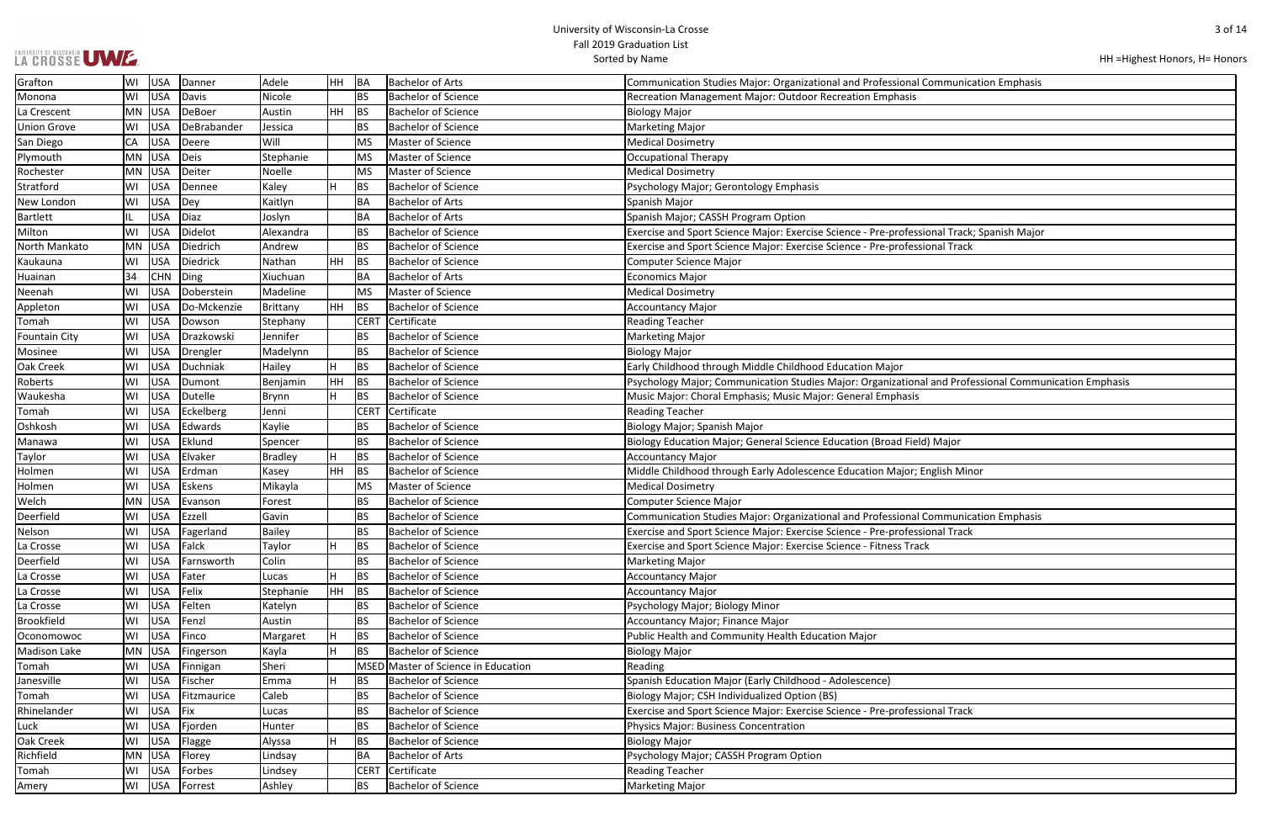### UNIVERSITY OF WISCONSIN UWWF.

| HH = Highest Honors, H = Honors |  |  |
|---------------------------------|--|--|
|---------------------------------|--|--|

| ommunication Emphasis                   |
|-----------------------------------------|
|                                         |
|                                         |
|                                         |
|                                         |
|                                         |
|                                         |
|                                         |
|                                         |
|                                         |
| onal Track; Spanish Major               |
| onal Track                              |
|                                         |
|                                         |
|                                         |
|                                         |
|                                         |
|                                         |
|                                         |
|                                         |
| and Professional Communication Emphasis |
|                                         |
|                                         |
|                                         |
| Major                                   |
|                                         |
| nglish Minor                            |
|                                         |
|                                         |
| ommunication Emphasis                   |
| onal Track                              |
|                                         |
|                                         |
|                                         |
|                                         |
|                                         |
|                                         |
|                                         |
|                                         |
|                                         |
|                                         |
|                                         |
|                                         |
| onal Track                              |
|                                         |
|                                         |
|                                         |
|                                         |
|                                         |

| Grafton              | USA<br>Danner<br>WI             | Adele          | HH        | ∣BA         | <b>Bachelor of Arts</b>             | Communication Studies Major: Organizational and Professional Communication Emphasis                   |
|----------------------|---------------------------------|----------------|-----------|-------------|-------------------------------------|-------------------------------------------------------------------------------------------------------|
| Monona               | <b>USA</b><br>Davis<br>WI       | Nicole         |           | <b>BS</b>   | <b>Bachelor of Science</b>          | <b>Recreation Management Major: Outdoor Recreation Emphasis</b>                                       |
| La Crescent          | USA<br>DeBoer<br>MN             | Austin         | HH.       | BS          | <b>Bachelor of Science</b>          | <b>Biology Major</b>                                                                                  |
| <b>Union Grove</b>   | <b>USA</b><br>DeBrabander<br>WI | Jessica        |           | <b>BS</b>   | <b>Bachelor of Science</b>          | Marketing Major                                                                                       |
| San Diego            | CA<br><b>USA</b><br>Deere       | Will           |           | <b>MS</b>   | Master of Science                   | <b>Medical Dosimetry</b>                                                                              |
| Plymouth             | <b>USA</b><br><b>MN</b><br>Deis | Stephanie      |           | MS          | Master of Science                   | Occupational Therapy                                                                                  |
| Rochester            | <b>USA</b><br>Deiter<br>MN      | Noelle         |           | <b>MS</b>   | Master of Science                   | <b>Medical Dosimetry</b>                                                                              |
| Stratford            | <b>USA</b><br>Dennee<br>WI      | Kaley          | H         | BS          | <b>Bachelor of Science</b>          | Psychology Major; Gerontology Emphasis                                                                |
| New London           | <b>USA</b><br>W١<br>Dey         | Kaitlyn        |           | BA          | <b>Bachelor of Arts</b>             | Spanish Major                                                                                         |
| <b>Bartlett</b>      | <b>USA</b><br>Diaz              | Joslyn         |           | BA          | <b>Bachelor of Arts</b>             | Spanish Major; CASSH Program Option                                                                   |
| Milton               | <b>USA</b><br>Didelot<br>WI     | Alexandra      |           | <b>BS</b>   | <b>Bachelor of Science</b>          | Exercise and Sport Science Major: Exercise Science - Pre-professional Track; Spanish Major            |
| North Mankato        | USA<br>Diedrich<br>MN           | Andrew         |           | <b>BS</b>   | <b>Bachelor of Science</b>          | Exercise and Sport Science Major: Exercise Science - Pre-professional Track                           |
| Kaukauna             | <b>USA</b><br>Diedrick<br>WI    | Nathan         | HH        | BS          | <b>Bachelor of Science</b>          | <b>Computer Science Major</b>                                                                         |
| Huainan              | 34<br><b>CHN</b><br>Ding        | Xiuchuan       |           | BA          | <b>Bachelor of Arts</b>             | <b>Economics Major</b>                                                                                |
| Neenah               | <b>USA</b><br>Doberstein<br>WI  | Madeline       |           | MS          | Master of Science                   | <b>Medical Dosimetry</b>                                                                              |
| Appleton             | <b>USA</b><br>Do-Mckenzie<br>WI | Brittany       | HH.       | BS          | <b>Bachelor of Science</b>          | <b>Accountancy Major</b>                                                                              |
| Tomah                | <b>USA</b><br>Dowson<br>WI      | Stephany       |           | <b>CERT</b> | Certificate                         | <b>Reading Teacher</b>                                                                                |
| <b>Fountain City</b> | <b>USA</b><br>Drazkowski<br>WI  | Jennifer       |           | <b>BS</b>   | <b>Bachelor of Science</b>          | Marketing Major                                                                                       |
| Mosinee              | <b>USA</b><br>WI<br>Drengler    | Madelynn       |           | <b>BS</b>   | <b>Bachelor of Science</b>          | <b>Biology Major</b>                                                                                  |
| Oak Creek            | <b>USA</b><br>Duchniak<br>WI    | Hailey         | H         | BS          | <b>Bachelor of Science</b>          | Early Childhood through Middle Childhood Education Major                                              |
| Roberts              | <b>USA</b><br>Dumont<br>W١      | Benjamin       | HH        | BS          | <b>Bachelor of Science</b>          | Psychology Major; Communication Studies Major: Organizational and Professional Communication Emphasis |
| Waukesha             | <b>USA</b><br>Dutelle<br>WI     | Brynn          | H         | BS          | <b>Bachelor of Science</b>          | Music Major: Choral Emphasis; Music Major: General Emphasis                                           |
| Tomah                | <b>USA</b><br>Eckelberg<br>WI   | Jenni          |           | <b>CERT</b> | Certificate                         | <b>Reading Teacher</b>                                                                                |
| Oshkosh              | <b>USA</b><br>Edwards<br>WI     | Kaylie         |           | <b>BS</b>   | <b>Bachelor of Science</b>          | Biology Major; Spanish Major                                                                          |
| Manawa               | Eklund<br><b>USA</b><br>WI      | Spencer        |           | <b>BS</b>   | <b>Bachelor of Science</b>          | Biology Education Major; General Science Education (Broad Field) Major                                |
| Taylor               | Elvaker<br><b>USA</b><br>WI     | <b>Bradley</b> |           | BS          | <b>Bachelor of Science</b>          | <b>Accountancy Major</b>                                                                              |
| Holmen               | <b>USA</b><br>Erdman<br>WI      | Kasey          | HH        | <b>BS</b>   | <b>Bachelor of Science</b>          | Middle Childhood through Early Adolescence Education Major; English Minor                             |
| Holmen               | <b>USA</b><br>Eskens<br>WI      | Mikayla        |           | <b>MS</b>   | Master of Science                   | <b>Medical Dosimetry</b>                                                                              |
| Welch                | USA<br>MN<br>Evanson            | Forest         |           | <b>BS</b>   | <b>Bachelor of Science</b>          | <b>Computer Science Major</b>                                                                         |
| Deerfield            | <b>USA</b><br>Ezzell<br>W١      | Gavin          |           | <b>BS</b>   | <b>Bachelor of Science</b>          | Communication Studies Major: Organizational and Professional Communication Emphasis                   |
| Nelson               | <b>USA</b><br>Fagerland<br>W١   | <b>Bailey</b>  |           | <b>BS</b>   | <b>Bachelor of Science</b>          | Exercise and Sport Science Major: Exercise Science - Pre-professional Track                           |
| La Crosse            | Falck<br>USA<br>WI              | Taylor         | H         | BS          | <b>Bachelor of Science</b>          | Exercise and Sport Science Major: Exercise Science - Fitness Track                                    |
| Deerfield            | <b>USA</b><br>WI<br>Farnsworth  | Colin          |           | <b>BS</b>   | Bachelor of Science                 | Marketing Major                                                                                       |
| La Crosse            | <b>USA</b><br>Fater<br>WI       | Lucas          |           | BS          | <b>Bachelor of Science</b>          | Accountancy Major                                                                                     |
| La Crosse            | <b>USA</b><br>Felix<br>WI       | Stephanie      | <b>HH</b> | <b>BS</b>   | <b>Bachelor of Science</b>          | <b>Accountancy Major</b>                                                                              |
| La Crosse            | <b>USA</b><br>WI<br>Felten      | Katelyn        |           | <b>BS</b>   | <b>Bachelor of Science</b>          | Psychology Major; Biology Minor                                                                       |
| <b>Brookfield</b>    | <b>USA</b><br>Fenzl<br>WI       | Austin         |           | <b>BS</b>   | <b>Bachelor of Science</b>          | Accountancy Major; Finance Major                                                                      |
| Oconomowoc           | <b>USA</b><br>WI<br>Finco       | Margaret       |           | BS          | <b>Bachelor of Science</b>          | Public Health and Community Health Education Major                                                    |
| <b>Madison Lake</b>  | MN<br><b>USA</b><br>Fingerson   | Kayla          |           | BS          | <b>Bachelor of Science</b>          | <b>Biology Major</b>                                                                                  |
| Tomah                | <b>USA</b><br>WI<br>Finnigan    | Sheri          |           |             | MSED Master of Science in Education | Reading                                                                                               |
| Janesville           | <b>USA</b><br>Fischer<br>WI     | Emma           | H         | BS          | <b>Bachelor of Science</b>          | Spanish Education Major (Early Childhood - Adolescence)                                               |
| Tomah                | <b>USA</b><br>Fitzmaurice<br>WI | Caleb          |           | l BS        | Bachelor of Science                 | Biology Major; CSH Individualized Option (BS)                                                         |
| Rhinelander          | <b>USA</b><br>Fix<br>WI         | Lucas          |           | <b>BS</b>   | <b>Bachelor of Science</b>          | Exercise and Sport Science Major: Exercise Science - Pre-professional Track                           |
| Luck                 | <b>USA</b><br>Fjorden<br>WI     | Hunter         |           | <b>BS</b>   | <b>Bachelor of Science</b>          | Physics Major: Business Concentration                                                                 |
| Oak Creek            | <b>USA</b><br>Flagge<br>WI      | Alyssa         |           | BS          | <b>Bachelor of Science</b>          | <b>Biology Major</b>                                                                                  |
| Richfield            | <b>USA</b><br>MN<br>Florey      | Lindsay        |           | BA          | <b>Bachelor of Arts</b>             | Psychology Major; CASSH Program Option                                                                |
| Tomah                | <b>USA</b><br>Forbes<br>W١      | Lindsey        |           | <b>CERT</b> | Certificate                         | <b>Reading Teacher</b>                                                                                |
| Amery                | <b>USA</b><br>WI<br>Forrest     | Ashley         |           | <b>BS</b>   | <b>Bachelor of Science</b>          | Marketing Major                                                                                       |
|                      |                                 |                |           |             |                                     |                                                                                                       |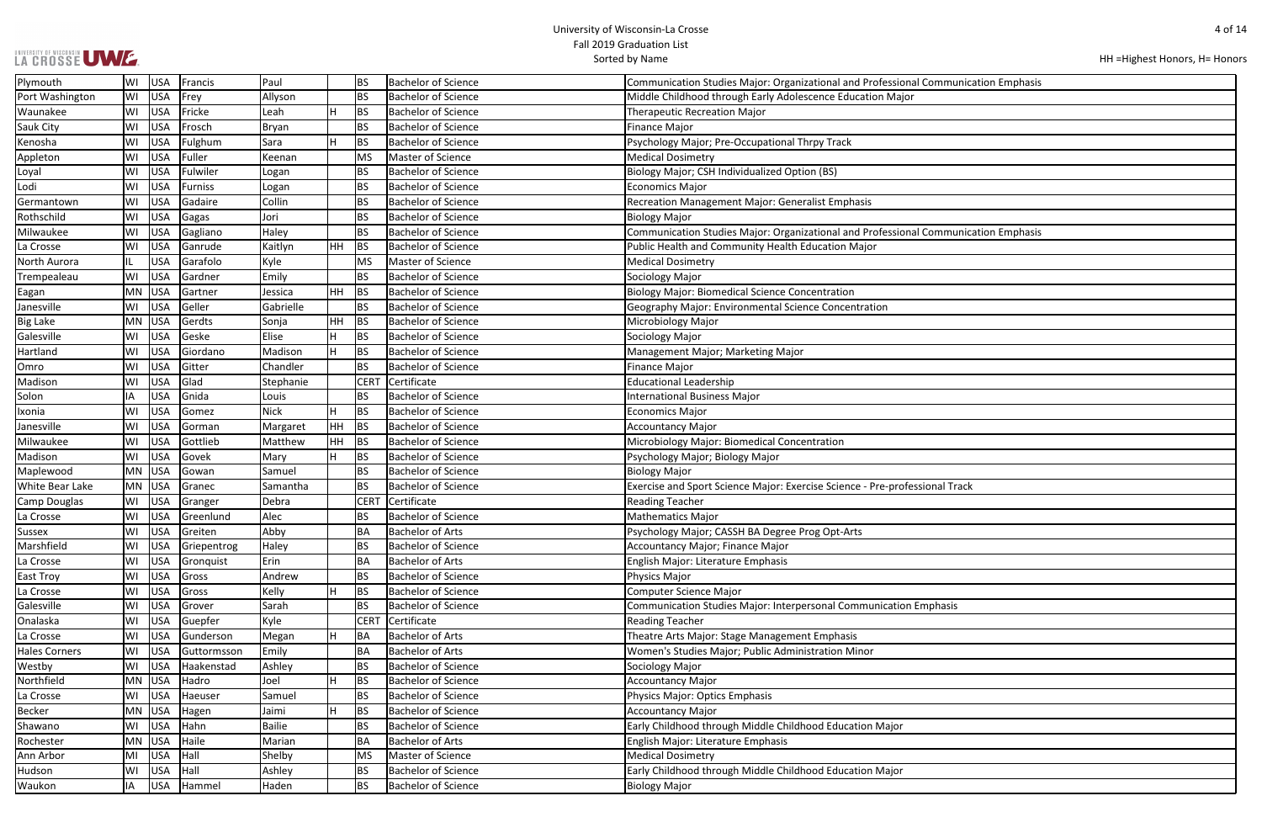| LA CROSSE UWE. |  |
|----------------|--|

| HH = Highest Honors, H = Honors |  |  |
|---------------------------------|--|--|
|---------------------------------|--|--|

| Communication Emphasis |
|------------------------|
|                        |
|                        |
|                        |
|                        |
|                        |
|                        |
|                        |
|                        |
| Communication Emphasis |
|                        |
|                        |
|                        |
|                        |
|                        |
|                        |
|                        |
|                        |
|                        |
|                        |
|                        |
|                        |
|                        |
|                        |
|                        |
| onal Track             |
|                        |
|                        |
|                        |
|                        |
|                        |
|                        |
| <i><b>iphasis</b></i>  |
|                        |
|                        |
|                        |
|                        |
|                        |
|                        |
|                        |
|                        |
|                        |
|                        |
|                        |

| Plymouth             | WI        | <b>USA</b> | Francis        | Paul                 |    | BS          | <b>Bachelor of Science</b> | Communication Studies Major: Organizational and Professional Communication Emphasis |
|----------------------|-----------|------------|----------------|----------------------|----|-------------|----------------------------|-------------------------------------------------------------------------------------|
| Port Washington      | WI        | <b>USA</b> | Frey           | Allyson              |    | BS          | <b>Bachelor of Science</b> | Middle Childhood through Early Adolescence Education Major                          |
| Waunakee             | WI        | USA        | Fricke         | Leah                 |    | <b>BS</b>   | <b>Bachelor of Science</b> | <b>Therapeutic Recreation Major</b>                                                 |
| Sauk City            | WI        | <b>USA</b> | Frosch         | <b>Bryan</b>         |    | <b>BS</b>   | <b>Bachelor of Science</b> | Finance Major                                                                       |
| Kenosha              | WI        | USA        | Fulghum        | Sara                 | H. | BS          | <b>Bachelor of Science</b> | Psychology Major; Pre-Occupational Thrpy Track                                      |
| Appleton             | WI        | USA        | Fuller         | Keenan               |    | <b>MS</b>   | Master of Science          | <b>Medical Dosimetry</b>                                                            |
| Loyal                | WI        | USA        | Fulwiler       | Logan                |    | <b>BS</b>   | <b>Bachelor of Science</b> | Biology Major; CSH Individualized Option (BS)                                       |
| Lodi                 | WI        | USA        | <b>Furniss</b> | Logan                |    | <b>BS</b>   | <b>Bachelor of Science</b> | Economics Major                                                                     |
| Germantown           | WI        | <b>USA</b> | Gadaire        | Collin               |    | <b>BS</b>   | <b>Bachelor of Science</b> | <b>Recreation Management Major: Generalist Emphasis</b>                             |
| Rothschild           | WI        | USA        | Gagas          | Jori                 |    | <b>BS</b>   | <b>Bachelor of Science</b> | <b>Biology Major</b>                                                                |
| Milwaukee            | WI        | USA        | Gagliano       | Haley                |    | <b>BS</b>   | <b>Bachelor of Science</b> | Communication Studies Major: Organizational and Professional Communication Emphasis |
| La Crosse            | WI        | USA        | Ganrude        | Kaitlyn              | HH | <b>BS</b>   | <b>Bachelor of Science</b> | Public Health and Community Health Education Major                                  |
| North Aurora         |           | <b>USA</b> | Garafolo       | Kyle                 |    | <b>MS</b>   | Master of Science          | <b>Medical Dosimetry</b>                                                            |
| Trempealeau          | WI        | <b>USA</b> | Gardner        | Emily                |    | <b>BS</b>   | <b>Bachelor of Science</b> | Sociology Major                                                                     |
| Eagan                | MN        | USA        | Gartner        | Jessica              | HH | BS          | <b>Bachelor of Science</b> | <b>Biology Major: Biomedical Science Concentration</b>                              |
| Janesville           | WI        | <b>USA</b> | Geller         | Gabrielle            |    | <b>BS</b>   | <b>Bachelor of Science</b> | Geography Major: Environmental Science Concentration                                |
| <b>Big Lake</b>      | <b>MN</b> | USA        | Gerdts         | Sonja                | HH | BS          | <b>Bachelor of Science</b> | Microbiology Major                                                                  |
| Galesville           | WI        | USA        | Geske          | Elise                | н  | <b>BS</b>   | <b>Bachelor of Science</b> | Sociology Major                                                                     |
| Hartland             | WI        | USA        | Giordano       | Madison              |    | <b>BS</b>   | <b>Bachelor of Science</b> | Management Major; Marketing Major                                                   |
| Omro                 | WI        | USA        | Gitter         | Chandler             |    | <b>BS</b>   | <b>Bachelor of Science</b> | Finance Major                                                                       |
| Madison              | WI        | <b>USA</b> | Glad           | Stephanie            |    | <b>CERT</b> | Certificate                | <b>Educational Leadership</b>                                                       |
| Solon                |           | <b>USA</b> | Gnida          |                      |    | <b>BS</b>   | <b>Bachelor of Science</b> | <b>International Business Major</b>                                                 |
|                      | ΙA        |            |                | Louis<br><b>Nick</b> |    |             | <b>Bachelor of Science</b> |                                                                                     |
| Ixonia               | WI        | <b>USA</b> | Gomez          |                      |    | <b>BS</b>   |                            | <b>Economics Major</b>                                                              |
| Janesville           | WI        | USA        | Gorman         | Margaret             | HH | <b>BS</b>   | <b>Bachelor of Science</b> | <b>Accountancy Major</b>                                                            |
| Milwaukee            | WI        | USA        | Gottlieb       | Matthew              | HH | BS          | <b>Bachelor of Science</b> | Microbiology Major: Biomedical Concentration                                        |
| Madison              | WI        | USA        | Govek          | Mary                 |    | <b>BS</b>   | <b>Bachelor of Science</b> | Psychology Major; Biology Major                                                     |
| Maplewood            | <b>MN</b> | USA        | Gowan          | Samuel               |    | <b>BS</b>   | <b>Bachelor of Science</b> | <b>Biology Major</b>                                                                |
| White Bear Lake      | <b>MN</b> | <b>USA</b> | Granec         | Samantha             |    | <b>BS</b>   | <b>Bachelor of Science</b> | Exercise and Sport Science Major: Exercise Science - Pre-professional Track         |
| Camp Douglas         | WI        | USA        | Granger        | Debra                |    | <b>CERT</b> | Certificate                | <b>Reading Teacher</b>                                                              |
| La Crosse            | WI        | USA        | Greenlund      | Alec                 |    | <b>BS</b>   | <b>Bachelor of Science</b> | <b>Mathematics Major</b>                                                            |
| <b>Sussex</b>        | WI        | <b>USA</b> | Greiten        | Abby                 |    | BA          | Bachelor of Arts           | Psychology Major; CASSH BA Degree Prog Opt-Arts                                     |
| Marshfield           | WI        | <b>USA</b> | Griepentrog    | Haley                |    | <b>BS</b>   | <b>Bachelor of Science</b> | Accountancy Major; Finance Major                                                    |
| La Crosse            | WI        | USA        | Gronquist      | Erin                 |    | BA          | <b>Bachelor of Arts</b>    | English Major: Literature Emphasis                                                  |
| East Troy            | WI        | USA        | Gross          | Andrew               |    | <b>BS</b>   | <b>Bachelor of Science</b> | Physics Major                                                                       |
| La Crosse            | WI        | <b>USA</b> | Gross          | Kelly                |    | <b>BS</b>   | <b>Bachelor of Science</b> | <b>Computer Science Major</b>                                                       |
| Galesville           | WI        | USA        | Grover         | Sarah                |    | <b>BS</b>   | <b>Bachelor of Science</b> | Communication Studies Major: Interpersonal Communication Emphasis                   |
| Onalaska             | WI        | USA        | Guepfer        | Kyle                 |    | <b>CERT</b> | Certificate                | <b>Reading Teacher</b>                                                              |
| La Crosse            | WI        | USA        | Gunderson      | Megan                |    | BA          | <b>Bachelor of Arts</b>    | Theatre Arts Major: Stage Management Emphasis                                       |
| <b>Hales Corners</b> | WI        | USA        | Guttormsson    | Emily                |    | <b>BA</b>   | <b>Bachelor of Arts</b>    | Women's Studies Major; Public Administration Minor                                  |
| Westby               | WI        | <b>USA</b> | Haakenstad     | Ashley               |    | <b>BS</b>   | <b>Bachelor of Science</b> | Sociology Major                                                                     |
| Northfield           | <b>MN</b> | USA        | Hadro          | Joel                 | н  | <b>BS</b>   | <b>Bachelor of Science</b> | <b>Accountancy Major</b>                                                            |
| La Crosse            | WI        | <b>USA</b> | Haeuser        | Samuel               |    | <b>BS</b>   | <b>Bachelor of Science</b> | Physics Major: Optics Emphasis                                                      |
| Becker               | <b>MN</b> | USA        | Hagen          | Jaimi                |    | <b>BS</b>   | <b>Bachelor of Science</b> | <b>Accountancy Major</b>                                                            |
| Shawano              | WI        | USA        | Hahn           | Bailie               |    | <b>BS</b>   | <b>Bachelor of Science</b> | Early Childhood through Middle Childhood Education Major                            |
| Rochester            | <b>MN</b> | USA        | Haile          | Marian               |    | BA          | <b>Bachelor of Arts</b>    | English Major: Literature Emphasis                                                  |
| Ann Arbor            | MI        | <b>USA</b> | Hall           | Shelby               |    | <b>MS</b>   | Master of Science          | <b>Medical Dosimetry</b>                                                            |
| Hudson               | WI        | <b>USA</b> | Hall           | Ashley               |    | <b>BS</b>   | <b>Bachelor of Science</b> | Early Childhood through Middle Childhood Education Major                            |
| Waukon               | ΙA        | USA        | Hammel         | Haden                |    | <b>BS</b>   | <b>Bachelor of Science</b> | <b>Biology Major</b>                                                                |
|                      |           |            |                |                      |    |             |                            |                                                                                     |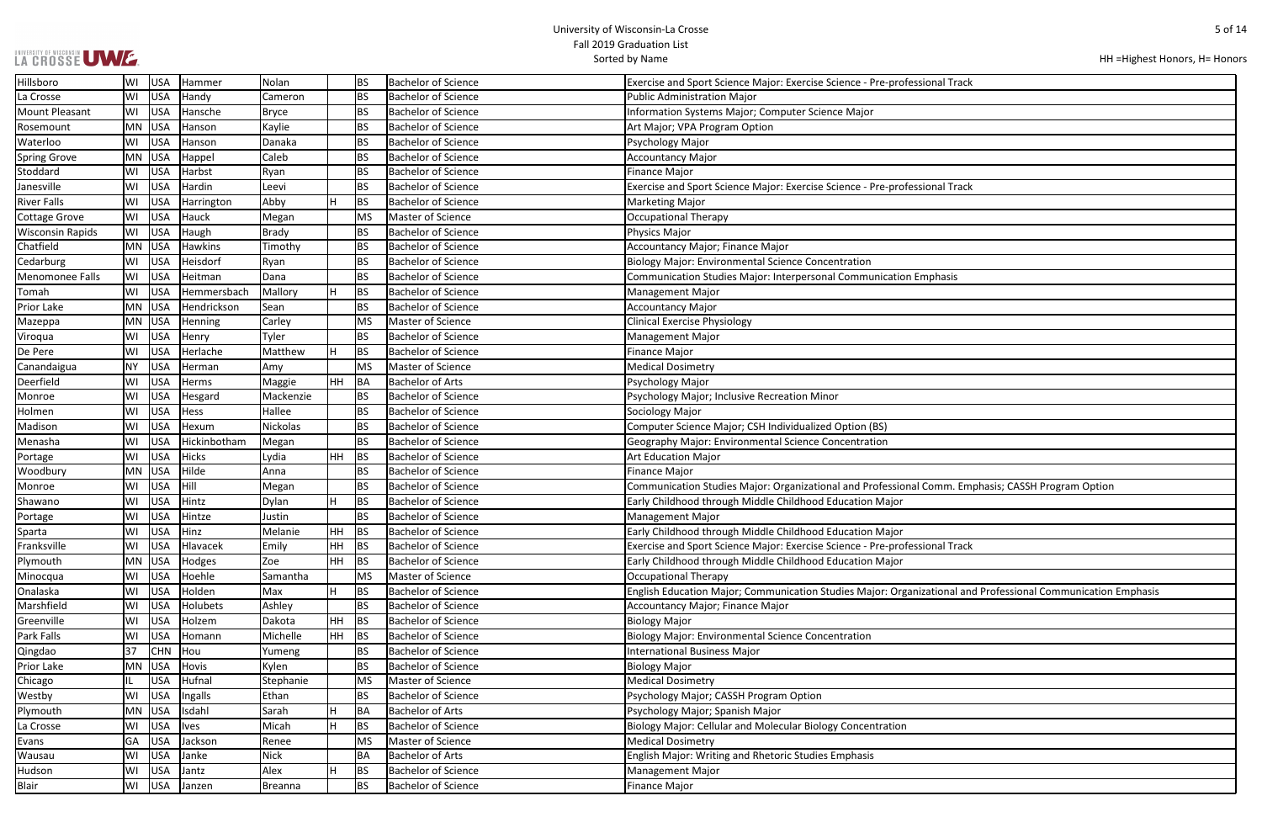| LA CROSSE UWE. |  |
|----------------|--|

HH =Highest Honors, H= Honors

| nal Track                                      |
|------------------------------------------------|
|                                                |
|                                                |
|                                                |
|                                                |
|                                                |
|                                                |
| nal Track                                      |
|                                                |
|                                                |
|                                                |
|                                                |
|                                                |
| hasis                                          |
|                                                |
|                                                |
|                                                |
|                                                |
|                                                |
|                                                |
|                                                |
|                                                |
|                                                |
|                                                |
|                                                |
|                                                |
|                                                |
| mm. Emphasis; CASSH Program Option             |
|                                                |
|                                                |
| nal Track                                      |
|                                                |
|                                                |
| tional and Professional Communication Emphasis |
|                                                |
|                                                |
|                                                |
|                                                |
|                                                |
|                                                |
|                                                |
|                                                |
|                                                |
|                                                |
|                                                |
|                                                |
|                                                |

| Hillsboro               | WI | USA        | Hammer       | Nolan           |      | <b>BS</b> | <b>Bachelor of Science</b> | Exercise and Sport Science Major: Exercise Science - Pre-professional Track                                  |
|-------------------------|----|------------|--------------|-----------------|------|-----------|----------------------------|--------------------------------------------------------------------------------------------------------------|
| La Crosse               | W١ | USA        | Handy        | Cameron         |      | <b>BS</b> | <b>Bachelor of Science</b> | <b>Public Administration Major</b>                                                                           |
| <b>Mount Pleasant</b>   | WI | USA        | Hansche      | Bryce           |      | <b>BS</b> | <b>Bachelor of Science</b> | Information Systems Major; Computer Science Major                                                            |
| Rosemount               | MN | <b>USA</b> | Hanson       | Kaylie          |      | <b>BS</b> | <b>Bachelor of Science</b> | Art Major; VPA Program Option                                                                                |
| Waterloo                | WI | USA        | Hanson       | Danaka          |      | <b>BS</b> | <b>Bachelor of Science</b> | Psychology Major                                                                                             |
| <b>Spring Grove</b>     |    | MN USA     | Happel       | Caleb           |      | <b>BS</b> | <b>Bachelor of Science</b> | <b>Accountancy Major</b>                                                                                     |
| Stoddard                | W١ | USA        | Harbst       | Ryan            |      | <b>BS</b> | <b>Bachelor of Science</b> | <b>Finance Major</b>                                                                                         |
| Janesville              | WI | USA        | Hardin       | Leevi           |      | <b>BS</b> | <b>Bachelor of Science</b> | Exercise and Sport Science Major: Exercise Science - Pre-professional Track                                  |
| <b>River Falls</b>      | WI | USA        | Harrington   | Abby            |      | BS        | <b>Bachelor of Science</b> | <b>Marketing Major</b>                                                                                       |
| <b>Cottage Grove</b>    | WI | USA        | Hauck        | Megan           |      | MS        | Master of Science          | <b>Occupational Therapy</b>                                                                                  |
| <b>Wisconsin Rapids</b> | WI | USA        | Haugh        | Brady           |      | <b>BS</b> | <b>Bachelor of Science</b> | <b>Physics Major</b>                                                                                         |
| Chatfield               |    | MN USA     | Hawkins      | Timothy         |      | <b>BS</b> | <b>Bachelor of Science</b> | Accountancy Major; Finance Major                                                                             |
| Cedarburg               | WI | USA        | Heisdorf     | Ryan            |      | <b>BS</b> | <b>Bachelor of Science</b> | <b>Biology Major: Environmental Science Concentration</b>                                                    |
| Menomonee Falls         | WI | USA        | Heitman      | Dana            |      | <b>BS</b> | <b>Bachelor of Science</b> | Communication Studies Major: Interpersonal Communication Emphasis                                            |
| Tomah                   | WI | USA        | Hemmersbach  | Mallory         | H    | BS        | <b>Bachelor of Science</b> | <b>Management Major</b>                                                                                      |
| Prior Lake              | MN | USA        | Hendrickson  | Sean            |      | <b>BS</b> | <b>Bachelor of Science</b> | <b>Accountancy Major</b>                                                                                     |
| Mazeppa                 | MN | USA        | Henning      | Carley          |      | MS        | Master of Science          | <b>Clinical Exercise Physiology</b>                                                                          |
| Viroqua                 | WI | USA        | Henry        | Tyler           |      | BS        | <b>Bachelor of Science</b> | <b>Management Major</b>                                                                                      |
| De Pere                 | WI | USA        | Herlache     | Matthew         |      | BS        | <b>Bachelor of Science</b> | <b>Finance Major</b>                                                                                         |
| Canandaigua             | NΥ | USA        | Herman       | Amy             |      | MS        | Master of Science          | <b>Medical Dosimetry</b>                                                                                     |
| Deerfield               | WI | USA        | Herms        | Maggie          | HH   | BA        | <b>Bachelor of Arts</b>    | Psychology Major                                                                                             |
| Monroe                  | W١ | USA        | Hesgard      | Mackenzie       |      | <b>BS</b> | <b>Bachelor of Science</b> | Psychology Major; Inclusive Recreation Minor                                                                 |
| Holmen                  | W١ | USA        | Hess         | Hallee          |      | <b>BS</b> | <b>Bachelor of Science</b> | Sociology Major                                                                                              |
| Madison                 | W١ | USA        | Hexum        | <b>Nickolas</b> |      | <b>BS</b> | <b>Bachelor of Science</b> | Computer Science Major; CSH Individualized Option (BS)                                                       |
| Menasha                 | WI | USA        | Hickinbotham | Megan           |      | BS        | <b>Bachelor of Science</b> | Geography Major: Environmental Science Concentration                                                         |
| Portage                 | W١ | USA        | Hicks        | Lydia           | HH   | BS        | <b>Bachelor of Science</b> | <b>Art Education Major</b>                                                                                   |
| Woodbury                |    | MN USA     | Hilde        | Anna            |      | <b>BS</b> | <b>Bachelor of Science</b> | <b>Finance Major</b>                                                                                         |
| Monroe                  | WI | USA        | Hill         | Megan           |      | <b>BS</b> | <b>Bachelor of Science</b> | Communication Studies Major: Organizational and Professional Comm. Emphasis; CASSH Program Option            |
| Shawano                 | WI | USA        | Hintz        | Dylan           | н    | BS        | <b>Bachelor of Science</b> | Early Childhood through Middle Childhood Education Major                                                     |
| Portage                 | W١ | USA        | Hintze       | Justin          |      | <b>BS</b> | <b>Bachelor of Science</b> | <b>Management Major</b>                                                                                      |
| Sparta                  | WI | <b>USA</b> | Hinz         | Melanie         | HH.  | <b>BS</b> | <b>Bachelor of Science</b> | Early Childhood through Middle Childhood Education Major                                                     |
| Franksville             | WI | USA        | Hlavacek     | Emily           | HH   | BS        | <b>Bachelor of Science</b> | Exercise and Sport Science Major: Exercise Science - Pre-professional Track                                  |
| Plymouth                |    | MN USA     | Hodges       | Zoe             | HH - | BS        | <b>Bachelor of Science</b> | Early Childhood through Middle Childhood Education Major                                                     |
| Minocqua                | WI | USA        | Hoehle       | Samantha        |      | MS        | Master of Science          | Occupational Therapy                                                                                         |
| Onalaska                | WI | USA        | Holden       | Max             |      | BS        | <b>Bachelor of Science</b> | English Education Major; Communication Studies Major: Organizational and Professional Communication Emphasis |
| Marshfield              | WI | USA        | Holubets     | Ashley          |      | BS        | <b>Bachelor of Science</b> | Accountancy Major; Finance Major                                                                             |
| Greenville              | WI | USA        | Holzem       | Dakota          | HH   | BS        | <b>Bachelor of Science</b> | <b>Biology Major</b>                                                                                         |
| Park Falls              | WI | USA        | Homann       | Michelle        | HH   | BS        | <b>Bachelor of Science</b> | <b>Biology Major: Environmental Science Concentration</b>                                                    |
| Qingdao                 | 37 | <b>CHN</b> | Hou          | Yumeng          |      | <b>BS</b> | <b>Bachelor of Science</b> | <b>International Business Major</b>                                                                          |
| <b>Prior Lake</b>       |    | MN USA     | Hovis        | Kylen           |      | <b>BS</b> | <b>Bachelor of Science</b> | <b>Biology Major</b>                                                                                         |
| Chicago                 |    | USA        | Hufnal       | Stephanie       |      | MS        | Master of Science          | <b>Medical Dosimetry</b>                                                                                     |
| Westby                  | W١ | USA        | Ingalls      | Ethan           |      | <b>BS</b> | <b>Bachelor of Science</b> | Psychology Major; CASSH Program Option                                                                       |
| Plymouth                |    | MN USA     | Isdahl       | Sarah           |      | BA        | <b>Bachelor of Arts</b>    | Psychology Major; Spanish Major                                                                              |
| La Crosse               | WI | USA        | <b>Ives</b>  | Micah           |      | BS        | <b>Bachelor of Science</b> | <b>Biology Major: Cellular and Molecular Biology Concentration</b>                                           |
| Evans                   | GА | USA        | Jackson      | Renee           |      | MS        | Master of Science          | <b>Medical Dosimetry</b>                                                                                     |
| Wausau                  | WI | <b>USA</b> | Janke        | <b>Nick</b>     |      | <b>BA</b> | <b>Bachelor of Arts</b>    | English Major: Writing and Rhetoric Studies Emphasis                                                         |
| Hudson                  | WI | USA        | Jantz        | Alex            |      | BS        | <b>Bachelor of Science</b> | Management Major                                                                                             |
| <b>Blair</b>            | WI | USA        | Janzen       | Breanna         |      | BS        | <b>Bachelor of Science</b> | Finance Major                                                                                                |
|                         |    |            |              |                 |      |           |                            |                                                                                                              |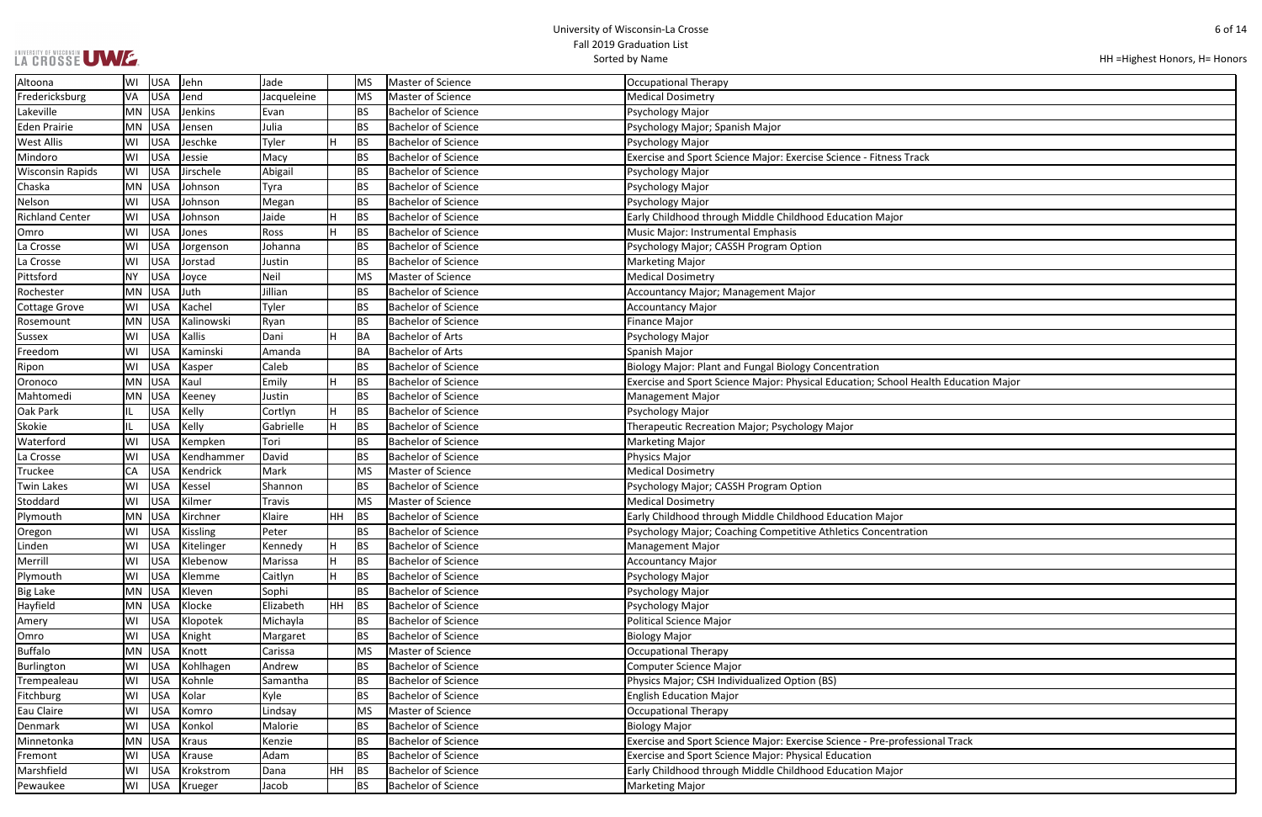## LA CROSSE UWE

```
HH =Highest Honors, H= Honors
```

| Ith Education Major |
|---------------------|
|                     |
|                     |
|                     |
|                     |
|                     |
|                     |
|                     |
|                     |
|                     |
|                     |
|                     |
|                     |
|                     |
|                     |
|                     |
|                     |
|                     |
|                     |
|                     |
|                     |
|                     |
|                     |
|                     |
|                     |
|                     |
|                     |
|                     |
| onal Track          |
|                     |
|                     |
|                     |

| Altoona                 | WI        | USA        | Jehn            | Jade        |           | MS.       | Master of Science          | Occupational Therapy                                                                |
|-------------------------|-----------|------------|-----------------|-------------|-----------|-----------|----------------------------|-------------------------------------------------------------------------------------|
| Fredericksburg          | VA        | USA        | Jend            | Jacqueleine |           | <b>MS</b> | Master of Science          | <b>Medical Dosimetry</b>                                                            |
| Lakeville               |           | MN USA     | Jenkins         | Evan        |           | BS.       | <b>Bachelor of Science</b> | Psychology Major                                                                    |
| <b>Eden Prairie</b>     | MN        | USA        | Jensen          | Julia       |           | <b>BS</b> | <b>Bachelor of Science</b> | Psychology Major; Spanish Major                                                     |
| West Allis              | WI        | <b>USA</b> | Jeschke         | Tyler       |           | <b>BS</b> | <b>Bachelor of Science</b> | Psychology Major                                                                    |
| Mindoro                 | WI        | <b>USA</b> | Jessie          | Macy        |           | <b>BS</b> | <b>Bachelor of Science</b> | Exercise and Sport Science Major: Exercise Science - Fitness Track                  |
| <b>Wisconsin Rapids</b> | WI        | <b>USA</b> | Jirschele       | Abigail     |           | BS.       | <b>Bachelor of Science</b> | Psychology Major                                                                    |
| Chaska                  | MN        | <b>USA</b> | Johnson         | Tyra        |           | <b>BS</b> | <b>Bachelor of Science</b> | Psychology Major                                                                    |
| Nelson                  | WI        | <b>USA</b> | Johnson         | Megan       |           | <b>BS</b> | <b>Bachelor of Science</b> | Psychology Major                                                                    |
| <b>Richland Center</b>  | WI        | <b>USA</b> | Johnson         | Jaide       |           | <b>BS</b> | <b>Bachelor of Science</b> | Early Childhood through Middle Childhood Education Major                            |
| Omro                    | WI        | <b>USA</b> | Jones           | Ross        | н         | <b>BS</b> | <b>Bachelor of Science</b> | Music Major: Instrumental Emphasis                                                  |
| La Crosse               | WI        | <b>USA</b> | Jorgenson       | Johanna     |           | <b>BS</b> | <b>Bachelor of Science</b> | Psychology Major; CASSH Program Option                                              |
| La Crosse               | WI        | <b>USA</b> | Jorstad         | Justin      |           | <b>BS</b> | <b>Bachelor of Science</b> | <b>Marketing Major</b>                                                              |
| Pittsford               | <b>NY</b> | <b>USA</b> | Joyce           | Neil        |           | <b>MS</b> | Master of Science          | <b>Medical Dosimetry</b>                                                            |
| Rochester               | MN        | <b>USA</b> | Juth            | Jillian     |           | <b>BS</b> | <b>Bachelor of Science</b> | Accountancy Major; Management Major                                                 |
| <b>Cottage Grove</b>    | WI        | USA        | Kachel          | Tyler       |           | <b>BS</b> | <b>Bachelor of Science</b> | <b>Accountancy Major</b>                                                            |
| Rosemount               | MN        | USA        | Kalinowski      | Ryan        |           | <b>BS</b> | <b>Bachelor of Science</b> | <b>Finance Major</b>                                                                |
| Sussex                  | WI        | <b>USA</b> | Kallis          | Dani        |           | BA        | <b>Bachelor of Arts</b>    | Psychology Major                                                                    |
| Freedom                 | WI        | <b>USA</b> | Kaminski        | Amanda      |           | BA        | <b>Bachelor of Arts</b>    | Spanish Major                                                                       |
| Ripon                   | WI        | <b>USA</b> | Kasper          | Caleb       |           | <b>BS</b> | <b>Bachelor of Science</b> | Biology Major: Plant and Fungal Biology Concentration                               |
| Oronoco                 | MN        | <b>USA</b> | Kaul            | Emily       |           | <b>BS</b> | <b>Bachelor of Science</b> | Exercise and Sport Science Major: Physical Education; School Health Education Major |
| Mahtomedi               |           | MN USA     | Keeney          | Justin      |           | <b>BS</b> | <b>Bachelor of Science</b> | <b>Management Major</b>                                                             |
| Oak Park                | Щ         | <b>USA</b> | Kelly           | Cortlyn     | н         | <b>BS</b> | <b>Bachelor of Science</b> | Psychology Major                                                                    |
| Skokie                  | IL        | <b>USA</b> | Kelly           | Gabrielle   | Н         | <b>BS</b> | <b>Bachelor of Science</b> | Therapeutic Recreation Major; Psychology Major                                      |
| Waterford               | WI        | <b>USA</b> | Kempken         | Tori        |           | <b>BS</b> | <b>Bachelor of Science</b> | <b>Marketing Major</b>                                                              |
| La Crosse               | WI        | <b>USA</b> | Kendhammer      | David       |           | BS.       | <b>Bachelor of Science</b> | <b>Physics Major</b>                                                                |
| <b>Truckee</b>          | CA        | <b>USA</b> | Kendrick        | Mark        |           | <b>MS</b> | Master of Science          | <b>Medical Dosimetry</b>                                                            |
| Twin Lakes              | WI        | <b>USA</b> | Kessel          | Shannon     |           | <b>BS</b> | <b>Bachelor of Science</b> | Psychology Major; CASSH Program Option                                              |
| Stoddard                | WI        | <b>USA</b> | Kilmer          | Travis      |           | <b>MS</b> | Master of Science          | <b>Medical Dosimetry</b>                                                            |
| Plymouth                | MN        | USA        | Kirchner        | Klaire      | <b>HH</b> | <b>BS</b> | <b>Bachelor of Science</b> | Early Childhood through Middle Childhood Education Major                            |
| Oregon                  | WI        | <b>USA</b> | <b>Kissling</b> | Peter       |           | <b>BS</b> | <b>Bachelor of Science</b> | Psychology Major; Coaching Competitive Athletics Concentration                      |
| Linden                  | WI        | USA        | Kitelinger      | Kennedy     | ΙH.       | <b>BS</b> | Bachelor of Science        | Management Major                                                                    |
| Merrill                 | WI        | USA        | Klebenow        | Marissa     |           | <b>BS</b> | <b>Bachelor of Science</b> | <b>Accountancy Major</b>                                                            |
| Plymouth                | WI        | <b>USA</b> | Klemme          | Caitlyn     | H         | <b>BS</b> | <b>Bachelor of Science</b> | Psychology Major                                                                    |
| <b>Big Lake</b>         | MN        | USA        | Kleven          | Sophi       |           | <b>BS</b> | <b>Bachelor of Science</b> | Psychology Major                                                                    |
| Hayfield                |           | MN USA     | Klocke          | Elizabeth   | <b>HH</b> | BS        | <b>Bachelor of Science</b> | Psychology Major                                                                    |
| Amery                   | WI        | <b>USA</b> | Klopotek        | Michayla    |           | <b>BS</b> | Bachelor of Science        | <b>Political Science Major</b>                                                      |
| Omro                    | WI        | <b>USA</b> | Knight          | Margaret    |           | <b>BS</b> | <b>Bachelor of Science</b> | <b>Biology Major</b>                                                                |
| <b>Buffalo</b>          | <b>MN</b> | USA        | Knott           | Carissa     |           | <b>MS</b> | Master of Science          | Occupational Therapy                                                                |
| Burlington              | WI        | <b>USA</b> | Kohlhagen       | Andrew      |           | <b>BS</b> | <b>Bachelor of Science</b> | Computer Science Major                                                              |
| Trempealeau             | WI        | USA        | Kohnle          | Samantha    |           | <b>BS</b> | <b>Bachelor of Science</b> | Physics Major; CSH Individualized Option (BS)                                       |
| Fitchburg               | WI        | <b>USA</b> | Kolar           | Kyle        |           | <b>BS</b> | <b>Bachelor of Science</b> | <b>English Education Major</b>                                                      |
| Eau Claire              | WI        | <b>USA</b> | Komro           | Lindsay     |           | <b>MS</b> | Master of Science          | Occupational Therapy                                                                |
| Denmark                 | WI        | <b>USA</b> | Konkol          | Malorie     |           | <b>BS</b> | Bachelor of Science        | <b>Biology Major</b>                                                                |
| Minnetonka              | MN        | <b>USA</b> | Kraus           | Kenzie      |           | <b>BS</b> | <b>Bachelor of Science</b> | Exercise and Sport Science Major: Exercise Science - Pre-professional Track         |
| Fremont                 | WI        | <b>USA</b> | Krause          | Adam        |           | <b>BS</b> | <b>Bachelor of Science</b> | <b>Exercise and Sport Science Major: Physical Education</b>                         |
| Marshfield              | WI        | USA        | Krokstrom       | Dana        | <b>HH</b> | BS        | <b>Bachelor of Science</b> | Early Childhood through Middle Childhood Education Major                            |
| Pewaukee                | WI        | USA        | Krueger         | Jacob       |           | <b>BS</b> | <b>Bachelor of Science</b> | <b>Marketing Major</b>                                                              |
|                         |           |            |                 |             |           |           |                            |                                                                                     |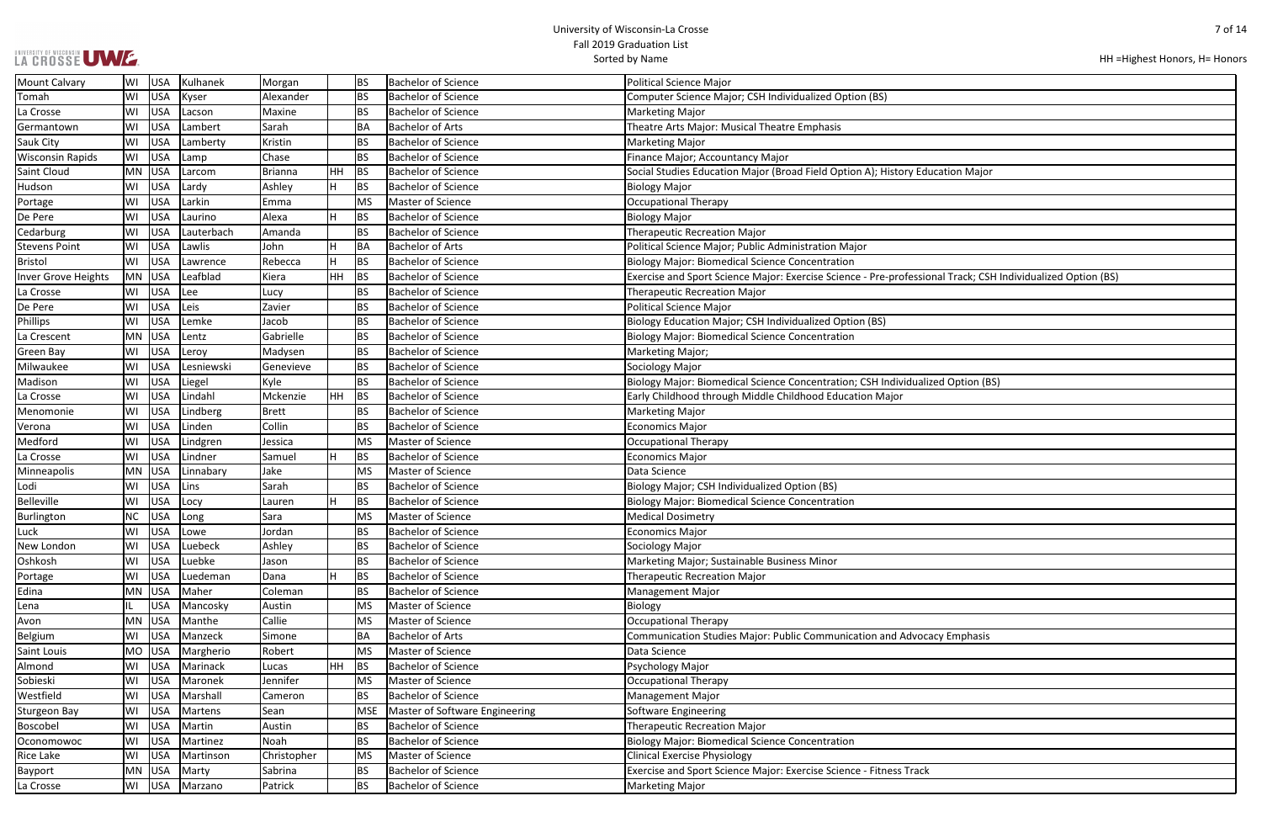|  | LA CROSSE UWE. |
|--|----------------|

| ucation Major                              |
|--------------------------------------------|
|                                            |
|                                            |
|                                            |
|                                            |
|                                            |
|                                            |
|                                            |
|                                            |
|                                            |
|                                            |
| onal Track; CSH Individualized Option (BS) |
|                                            |
|                                            |
|                                            |
|                                            |
|                                            |
|                                            |
|                                            |
|                                            |
|                                            |
|                                            |
| ized Option (BS)                           |
|                                            |
|                                            |
|                                            |
|                                            |
|                                            |
|                                            |
|                                            |
|                                            |
|                                            |
|                                            |
|                                            |
|                                            |
|                                            |
|                                            |
|                                            |
|                                            |
|                                            |
|                                            |
|                                            |
|                                            |
|                                            |
|                                            |
|                                            |
|                                            |
|                                            |
|                                            |
|                                            |
| acy Emphasis                               |
|                                            |
|                                            |
|                                            |
|                                            |
|                                            |
|                                            |
|                                            |
|                                            |
|                                            |
|                                            |
|                                            |
|                                            |
|                                            |
| $\zeta$                                    |
|                                            |
|                                            |

| <b>Mount Calvary</b>    | WI        | <b>USA</b> | Kulhanek      | Morgan         |    | <b>BS</b>  | <b>Bachelor of Science</b>     | <b>Political Science Major</b>                                                                              |
|-------------------------|-----------|------------|---------------|----------------|----|------------|--------------------------------|-------------------------------------------------------------------------------------------------------------|
| Tomah                   | WI        | USA        | Kyser         | Alexander      |    | <b>BS</b>  | <b>Bachelor of Science</b>     | Computer Science Major; CSH Individualized Option (BS)                                                      |
| La Crosse               | WI        | <b>USA</b> | Lacson        | Maxine         |    | <b>BS</b>  | <b>Bachelor of Science</b>     | <b>Marketing Major</b>                                                                                      |
| Germantown              | WI        | <b>USA</b> | Lambert       | Sarah          |    | BA         | <b>Bachelor of Arts</b>        | Theatre Arts Major: Musical Theatre Emphasis                                                                |
| <b>Sauk City</b>        | WI        | <b>USA</b> | Lamberty      | Kristin        |    | <b>BS</b>  | Bachelor of Science            | <b>Marketing Major</b>                                                                                      |
| <b>Wisconsin Rapids</b> | WI        | <b>USA</b> | Lamp          | Chase          |    | BS         | <b>Bachelor of Science</b>     | Finance Major; Accountancy Major                                                                            |
| Saint Cloud             |           | MN USA     | Larcom        | <b>Brianna</b> | HH | BS         | <b>Bachelor of Science</b>     | Social Studies Education Major (Broad Field Option A); History Education Major                              |
| Hudson                  | WI        | <b>USA</b> | Lardy         | Ashley         | H  | 'BS        | <b>Bachelor of Science</b>     | <b>Biology Major</b>                                                                                        |
| Portage                 | WI        | USA        | Larkin        | Emma           |    | MS         | Master of Science              | <b>Occupational Therapy</b>                                                                                 |
| De Pere                 | WI        | USA        | Laurino       | Alexa          |    | <b>BS</b>  | <b>Bachelor of Science</b>     | <b>Biology Major</b>                                                                                        |
| Cedarburg               | W١        | <b>USA</b> | Lauterbach    | Amanda         |    | BS         | <b>Bachelor of Science</b>     | <b>Therapeutic Recreation Major</b>                                                                         |
| <b>Stevens Point</b>    | WI        | <b>USA</b> | Lawlis        | John           | H  | <b>BA</b>  | Bachelor of Arts               | Political Science Major; Public Administration Major                                                        |
| <b>Bristol</b>          | WI        | USA        | Lawrence      | Rebecca        | H  | <b>BS</b>  | <b>Bachelor of Science</b>     | <b>Biology Major: Biomedical Science Concentration</b>                                                      |
| Inver Grove Heights     |           | MN USA     | Leafblad      | Kiera          | HH | <b>BS</b>  | <b>Bachelor of Science</b>     | Exercise and Sport Science Major: Exercise Science - Pre-professional Track; CSH Individualized Option (BS) |
| La Crosse               | WI        | <b>USA</b> | Lee           | Lucy           |    | <b>BS</b>  | <b>Bachelor of Science</b>     | <b>Therapeutic Recreation Major</b>                                                                         |
| De Pere                 | WI        | <b>USA</b> | Leis          | Zavier         |    | BS         | <b>Bachelor of Science</b>     | <b>Political Science Major</b>                                                                              |
| Phillips                | WI        | <b>USA</b> | Lemke         | Jacob          |    | <b>BS</b>  | <b>Bachelor of Science</b>     | Biology Education Major; CSH Individualized Option (BS)                                                     |
| La Crescent             | <b>MN</b> | <b>USA</b> | Lentz         | Gabrielle      |    | <b>BS</b>  | Bachelor of Science            | <b>Biology Major: Biomedical Science Concentration</b>                                                      |
| Green Bay               | WI        | <b>USA</b> | Leroy         | Madysen        |    | <b>BS</b>  | <b>Bachelor of Science</b>     | Marketing Major;                                                                                            |
| Milwaukee               | WI        | <b>USA</b> | Lesniewski    | Genevieve      |    | BS         | <b>Bachelor of Science</b>     | Sociology Major                                                                                             |
| Madison                 | WI        | <b>USA</b> | Liegel        | Kyle           |    | <b>BS</b>  | <b>Bachelor of Science</b>     | Biology Major: Biomedical Science Concentration; CSH Individualized Option (BS)                             |
| La Crosse               | WI        | USA        | Lindahl       | Mckenzie       | HH | <b>BS</b>  | <b>Bachelor of Science</b>     | Early Childhood through Middle Childhood Education Major                                                    |
| Menomonie               | WI        | <b>USA</b> | Lindberg      | Brett          |    | <b>BS</b>  | <b>Bachelor of Science</b>     | <b>Marketing Major</b>                                                                                      |
| Verona                  | WI        | <b>USA</b> | Linden        | Collin         |    | <b>BS</b>  | <b>Bachelor of Science</b>     | <b>Economics Major</b>                                                                                      |
| Medford                 | WI        | <b>USA</b> | Lindgren      | Jessica        |    | MS         | Master of Science              | <b>Occupational Therapy</b>                                                                                 |
| La Crosse               | WI        | <b>USA</b> | Lindner       | Samuel         | H  | <b>BS</b>  | <b>Bachelor of Science</b>     | <b>Economics Major</b>                                                                                      |
| Minneapolis             | MN        | <b>USA</b> | Linnabary     | Jake           |    | MS         | Master of Science              | Data Science                                                                                                |
| Lodi                    | WI        | <b>USA</b> | Lins          | Sarah          |    | <b>BS</b>  | <b>Bachelor of Science</b>     | Biology Major; CSH Individualized Option (BS)                                                               |
| Belleville              | WI        | <b>USA</b> | Locy          | Lauren         |    | <b>BS</b>  | <b>Bachelor of Science</b>     | <b>Biology Major: Biomedical Science Concentration</b>                                                      |
| Burlington              | NC        | <b>USA</b> | Long          | Sara           |    | MS         | Master of Science              | <b>Medical Dosimetry</b>                                                                                    |
| Luck                    | W١        | <b>USA</b> | Lowe          | Jordan         |    | <b>BS</b>  | <b>Bachelor of Science</b>     | <b>Economics Major</b>                                                                                      |
| New London              | WI        | <b>USA</b> | Luebeck       | Ashley         |    | <b>BS</b>  | <b>Bachelor of Science</b>     | Sociology Major                                                                                             |
| Oshkosh                 | WI        | USA        | Luebke        | Jason          |    | <b>BS</b>  | <b>Bachelor of Science</b>     | Marketing Major; Sustainable Business Minor                                                                 |
| Portage                 | W١        | <b>USA</b> | Luedeman      | Dana           | H  | <b>BS</b>  | <b>Bachelor of Science</b>     | <b>Therapeutic Recreation Major</b>                                                                         |
| Edina                   |           | MN USA     | Maher         | Coleman        |    | <b>BS</b>  | <b>Bachelor of Science</b>     | <b>Management Major</b>                                                                                     |
| Lena                    |           | <b>USA</b> | Mancosky      | Austin         |    | <b>MS</b>  | Master of Science              | Biology                                                                                                     |
| Avon                    | <b>MN</b> | <b>USA</b> | Manthe        | Callie         |    | MS         | Master of Science              | <b>Occupational Therapy</b>                                                                                 |
| Belgium                 | WI        | <b>USA</b> | Manzeck       | Simone         |    | <b>BA</b>  | <b>Bachelor of Arts</b>        | Communication Studies Major: Public Communication and Advocacy Emphasis                                     |
| Saint Louis             | MO        | <b>USA</b> | Margherio     | Robert         |    | MS         | Master of Science              | Data Science                                                                                                |
| Almond                  | WI        | <b>USA</b> | Marinack      | Lucas          | HH | BS         | <b>Bachelor of Science</b>     | Psychology Major                                                                                            |
| Sobieski                | WI        | <b>USA</b> | Maronek       | Jennifer       |    | <b>MS</b>  | Master of Science              | <b>Occupational Therapy</b>                                                                                 |
| Westfield               | W١        | <b>USA</b> | Marshall      | Cameron        |    | <b>BS</b>  | <b>Bachelor of Science</b>     | <b>Management Major</b>                                                                                     |
| <b>Sturgeon Bay</b>     | WI        | <b>USA</b> | Martens       | Sean           |    | <b>MSE</b> | Master of Software Engineering | <b>Software Engineering</b>                                                                                 |
| Boscobel                | WI        | <b>USA</b> | Martin        | Austin         |    | <b>BS</b>  | <b>Bachelor of Science</b>     | <b>Therapeutic Recreation Major</b>                                                                         |
| Oconomowoc              | WI        | <b>USA</b> | Martinez      | Noah           |    | <b>BS</b>  | <b>Bachelor of Science</b>     | <b>Biology Major: Biomedical Science Concentration</b>                                                      |
| <b>Rice Lake</b>        | WI        | <b>USA</b> | Martinson     | Christopher    |    | MS         | Master of Science              | <b>Clinical Exercise Physiology</b>                                                                         |
| Bayport                 |           | MN USA     | Marty         | Sabrina        |    | <b>BS</b>  | <b>Bachelor of Science</b>     | Exercise and Sport Science Major: Exercise Science - Fitness Track                                          |
| La Crosse               | WI        |            | USA   Marzano | Patrick        |    | <b>BS</b>  | <b>Bachelor of Science</b>     | Marketing Major                                                                                             |
|                         |           |            |               |                |    |            |                                |                                                                                                             |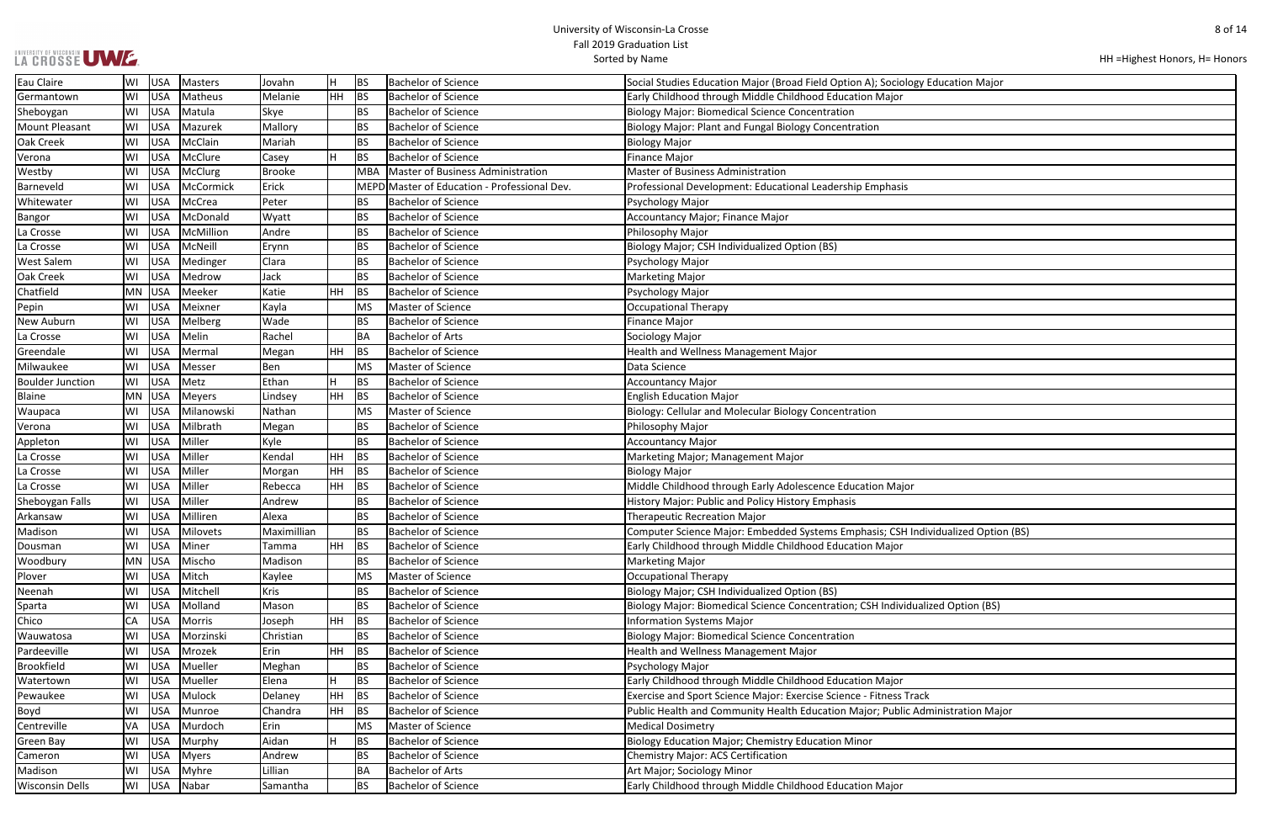### UNIVERSITY OF WISCONSIN UW E.

HH =Highest Honors, H= Honors

| <b>Education Major</b> |
|------------------------|
|                        |
|                        |
|                        |
|                        |
|                        |
|                        |
|                        |
|                        |
|                        |
|                        |
|                        |
|                        |
|                        |
|                        |
|                        |
|                        |
|                        |
|                        |
|                        |
|                        |
|                        |
|                        |
|                        |
|                        |
|                        |
|                        |
|                        |
| vidualized Option (BS) |
|                        |
|                        |
|                        |
| ized Option (BS)       |
|                        |
|                        |
|                        |
|                        |
|                        |
| ί                      |
| ministration Major     |
|                        |
|                        |
|                        |

| Eau Claire              | WI        | USA        | Masters       | Jovahn        | H   | BS        | Bachelor of Science                          | Social Studies Education Major (Broad Field Option A); Sociology Education Major  |
|-------------------------|-----------|------------|---------------|---------------|-----|-----------|----------------------------------------------|-----------------------------------------------------------------------------------|
| Germantown              | WI        | USA        | Matheus       | Melanie       | HH  | BS        | <b>Bachelor of Science</b>                   | Early Childhood through Middle Childhood Education Major                          |
| Sheboygan               | WI        | USA        | Matula        | Skye          |     | <b>BS</b> | Bachelor of Science                          | <b>Biology Major: Biomedical Science Concentration</b>                            |
| <b>Mount Pleasant</b>   | WI        | USA        | Mazurek       | Mallory       |     | <b>BS</b> | <b>Bachelor of Science</b>                   | Biology Major: Plant and Fungal Biology Concentration                             |
| Oak Creek               | WI        | <b>USA</b> | McClain       | Mariah        |     | <b>BS</b> | <b>Bachelor of Science</b>                   | <b>Biology Major</b>                                                              |
| Verona                  | WI        | <b>USA</b> | McClure       | Casey         | H   | <b>BS</b> | <b>Bachelor of Science</b>                   | Finance Major                                                                     |
| Westby                  | WI        | USA        | McClurg       | <b>Brooke</b> |     | MBA       | Master of Business Administration            | <b>Master of Business Administration</b>                                          |
| Barneveld               | WI        | USA        | McCormick     | Erick         |     |           | MEPD Master of Education - Professional Dev. | Professional Development: Educational Leadership Emphasis                         |
| Whitewater              | WI        | <b>USA</b> | McCrea        | Peter         |     | <b>BS</b> | <b>Bachelor of Science</b>                   | Psychology Major                                                                  |
| <b>Bangor</b>           | WI        | USA        | McDonald      | Wyatt         |     | <b>BS</b> | <b>Bachelor of Science</b>                   | Accountancy Major; Finance Major                                                  |
| La Crosse               | WI        | USA        | McMillion     | Andre         |     | <b>BS</b> | <b>Bachelor of Science</b>                   | Philosophy Major                                                                  |
| La Crosse               | WI        | <b>USA</b> | McNeill       | Erynn         |     | <b>BS</b> | <b>Bachelor of Science</b>                   | Biology Major; CSH Individualized Option (BS)                                     |
| <b>West Salem</b>       | WI        | <b>USA</b> | Medinger      | Clara         |     | <b>BS</b> | <b>Bachelor of Science</b>                   | Psychology Major                                                                  |
| Oak Creek               | WI        | USA        | Medrow        | Jack          |     | <b>BS</b> | <b>Bachelor of Science</b>                   | <b>Marketing Major</b>                                                            |
| Chatfield               | <b>MN</b> | USA        | Meeker        | Katie         | HH. | BS        | <b>Bachelor of Science</b>                   | Psychology Major                                                                  |
| Pepin                   | WI        | USA        | Meixner       | Kayla         |     | <b>MS</b> | Master of Science                            | <b>Occupational Therapy</b>                                                       |
| New Auburn              | WI        | USA        | Melberg       | Wade          |     | <b>BS</b> | <b>Bachelor of Science</b>                   | <b>Finance Major</b>                                                              |
| La Crosse               | WI        | USA        | Melin         | Rachel        |     | <b>BA</b> | <b>Bachelor of Arts</b>                      | Sociology Major                                                                   |
| Greendale               | WI        | USA        | Mermal        | Megan         | HH. | <b>BS</b> | <b>Bachelor of Science</b>                   | Health and Wellness Management Major                                              |
| Milwaukee               | WI        | USA        | Messer        | Ben           |     | <b>MS</b> | Master of Science                            | Data Science                                                                      |
| <b>Boulder Junction</b> | WI        | USA        | Metz          | Ethan         | H   | <b>BS</b> | <b>Bachelor of Science</b>                   | <b>Accountancy Major</b>                                                          |
| <b>Blaine</b>           |           | MN USA     | <b>Meyers</b> | Lindsey       | HH  | BS        | <b>Bachelor of Science</b>                   | <b>English Education Major</b>                                                    |
| Waupaca                 | WI        | USA        | Milanowski    | Nathan        |     | <b>MS</b> | Master of Science                            | Biology: Cellular and Molecular Biology Concentration                             |
| Verona                  | WI        | <b>USA</b> | Milbrath      | Megan         |     | <b>BS</b> | <b>Bachelor of Science</b>                   | Philosophy Major                                                                  |
| Appleton                | WI        | <b>USA</b> | Miller        | Kyle          |     | <b>BS</b> | <b>Bachelor of Science</b>                   | <b>Accountancy Major</b>                                                          |
| La Crosse               | WI        | USA        | Miller        | Kendal        | HH  | <b>BS</b> | <b>Bachelor of Science</b>                   | Marketing Major; Management Major                                                 |
| La Crosse               | WI        | <b>USA</b> | Miller        | Morgan        | HН  | <b>BS</b> | <b>Bachelor of Science</b>                   | <b>Biology Major</b>                                                              |
| La Crosse               | WI        | <b>USA</b> | Miller        | Rebecca       | HH  | <b>BS</b> | <b>Bachelor of Science</b>                   | Middle Childhood through Early Adolescence Education Major                        |
| Sheboygan Falls         | WI        | USA        | Miller        | Andrew        |     | <b>BS</b> | <b>Bachelor of Science</b>                   | History Major: Public and Policy History Emphasis                                 |
| Arkansaw                | WI        | USA        | Milliren      | Alexa         |     | <b>BS</b> | <b>Bachelor of Science</b>                   | Therapeutic Recreation Major                                                      |
| Madison                 | WI        | <b>USA</b> | Milovets      | Maximillian   |     | <b>BS</b> | <b>Bachelor of Science</b>                   | Computer Science Major: Embedded Systems Emphasis; CSH Individualized Option (BS) |
| Dousman                 | WI        |            | USA   Miner   | Tamma         | HH  | BS        | Bachelor of Science                          | Early Childhood through Middle Childhood Education Major                          |
| Woodbury                | MN        | USA        | Mischo        | Madison       |     | <b>BS</b> | <b>Bachelor of Science</b>                   | <b>Marketing Major</b>                                                            |
| Plover                  | WI        | USA        | Mitch         | Kaylee        |     | <b>MS</b> | Master of Science                            | Occupational Therapy                                                              |
| Neenah                  | WI        | USA        | Mitchell      | <b>Kris</b>   |     | <b>BS</b> | <b>Bachelor of Science</b>                   | Biology Major; CSH Individualized Option (BS)                                     |
| Sparta                  | WI        | USA        | Molland       | Mason         |     | <b>BS</b> | <b>Bachelor of Science</b>                   | Biology Major: Biomedical Science Concentration; CSH Individualized Option (BS)   |
| Chico                   | CA        | USA        | Morris        | Joseph        | HH  | BS        | <b>Bachelor of Science</b>                   | <b>Information Systems Major</b>                                                  |
| Wauwatosa               | WI        | USA        | Morzinski     | Christian     |     | <b>BS</b> | <b>Bachelor of Science</b>                   | <b>Biology Major: Biomedical Science Concentration</b>                            |
| Pardeeville             | WI        | USA        | Mrozek        | Erin          | HH  | BS        | <b>Bachelor of Science</b>                   | Health and Wellness Management Major                                              |
| <b>Brookfield</b>       | WI        | <b>USA</b> | Mueller       | Meghan        |     | <b>BS</b> | <b>Bachelor of Science</b>                   | Psychology Major                                                                  |
| Watertown               | WI        | USA        | Mueller       | Elena         | H   | BS        | <b>Bachelor of Science</b>                   | Early Childhood through Middle Childhood Education Major                          |
| Pewaukee                | WI        | USA        | Mulock        | Delaney       | HH  | BS        | <b>Bachelor of Science</b>                   | Exercise and Sport Science Major: Exercise Science - Fitness Track                |
| Boyd                    | WI        | <b>USA</b> | Munroe        | Chandra       | HH  | <b>BS</b> | <b>Bachelor of Science</b>                   | Public Health and Community Health Education Major; Public Administration Major   |
| Centreville             |           |            | Murdoch       |               |     |           | Master of Science                            |                                                                                   |
|                         | VA        | <b>USA</b> |               | Erin          |     | <b>MS</b> |                                              | <b>Medical Dosimetry</b>                                                          |
| Green Bay               | WI        | USA        | Murphy        | Aidan         | H   | <b>BS</b> | <b>Bachelor of Science</b>                   | <b>Biology Education Major; Chemistry Education Minor</b>                         |
| Cameron                 | WI        | USA        | <b>Myers</b>  | Andrew        |     | BS        | <b>Bachelor of Science</b>                   | Chemistry Major: ACS Certification                                                |
| Madison                 | WI        | USA        | Myhre         | Lillian       |     | BA        | <b>Bachelor of Arts</b>                      | Art Major; Sociology Minor                                                        |
| <b>Wisconsin Dells</b>  | WI        | <b>USA</b> | Nabar         | Samantha      |     | <b>BS</b> | <b>Bachelor of Science</b>                   | Early Childhood through Middle Childhood Education Major                          |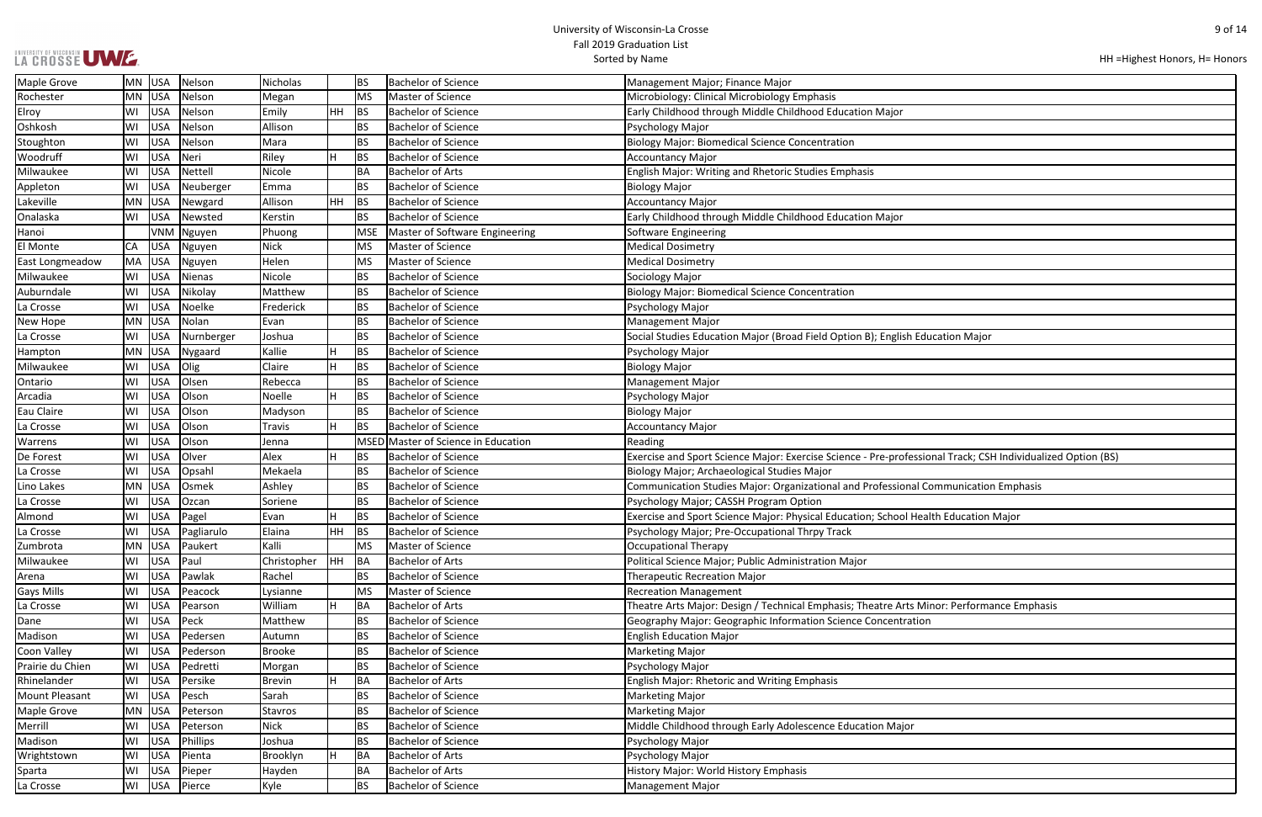### UNIVERSITY OF WISCONSIN UWWF.

| HH = Highest Honors, H = Honors |  |  |
|---------------------------------|--|--|
|---------------------------------|--|--|

| ucation Major                              |
|--------------------------------------------|
|                                            |
|                                            |
|                                            |
|                                            |
|                                            |
|                                            |
|                                            |
|                                            |
|                                            |
|                                            |
| onal Track; CSH Individualized Option (BS) |
|                                            |
|                                            |
| ommunication Emphasis                      |
|                                            |
| Ith Education Major                        |
|                                            |
|                                            |
|                                            |
|                                            |
|                                            |
|                                            |
|                                            |
|                                            |
| inor: Performance Emphasis                 |
| 1                                          |
|                                            |
|                                            |
|                                            |
|                                            |
|                                            |
|                                            |
|                                            |
|                                            |
|                                            |
|                                            |
|                                            |
|                                            |
|                                            |
|                                            |
|                                            |
|                                            |

| Maple Grove           |     | MN  USA    | Nelson        | <b>Nicholas</b> |           | <b>BS</b>  | Bachelor of Science                 | Management Major; Finance Major                                                                             |
|-----------------------|-----|------------|---------------|-----------------|-----------|------------|-------------------------------------|-------------------------------------------------------------------------------------------------------------|
| Rochester             | MN  | <b>USA</b> | Nelson        | Megan           |           | MS         | Master of Science                   | Microbiology: Clinical Microbiology Emphasis                                                                |
| Elroy                 | WI  | USA        | Nelson        | Emily           | <b>HH</b> | BS         | <b>Bachelor of Science</b>          | Early Childhood through Middle Childhood Education Major                                                    |
| Oshkosh               | WI  | USA        | Nelson        | Allison         |           | <b>BS</b>  | <b>Bachelor of Science</b>          | Psychology Major                                                                                            |
| Stoughton             | WI  | USA        | Nelson        | Mara            |           | <b>BS</b>  | <b>Bachelor of Science</b>          | <b>Biology Major: Biomedical Science Concentration</b>                                                      |
| Woodruff              | WI  | USA        | Neri          | Riley           | H         | <b>BS</b>  | <b>Bachelor of Science</b>          | <b>Accountancy Major</b>                                                                                    |
| Milwaukee             | WI  | <b>USA</b> | Nettell       | Nicole          |           | BA         | <b>Bachelor of Arts</b>             | <b>English Major: Writing and Rhetoric Studies Emphasis</b>                                                 |
| Appleton              | WI  | <b>USA</b> | Neuberger     | Emma            |           | <b>BS</b>  | <b>Bachelor of Science</b>          | <b>Biology Major</b>                                                                                        |
| Lakeville             | MN  | USA        | Newgard       | Allison         | HH        | BS         | <b>Bachelor of Science</b>          | <b>Accountancy Major</b>                                                                                    |
| Onalaska              | WI  | <b>USA</b> | Newsted       | Kerstin         |           | <b>BS</b>  | <b>Bachelor of Science</b>          | Early Childhood through Middle Childhood Education Major                                                    |
| Hanoi                 |     |            | VNM Nguyen    | Phuong          |           | <b>MSE</b> | Master of Software Engineering      | <b>Software Engineering</b>                                                                                 |
| El Monte              | CA  | <b>USA</b> | Nguyen        | <b>Nick</b>     |           | <b>MS</b>  | Master of Science                   | <b>Medical Dosimetry</b>                                                                                    |
| East Longmeadow       | MA  | USA        | Nguyen        | Helen           |           | MS         | Master of Science                   | <b>Medical Dosimetry</b>                                                                                    |
| Milwaukee             | WI  | <b>USA</b> | <b>Nienas</b> | Nicole          |           | <b>BS</b>  | <b>Bachelor of Science</b>          | Sociology Major                                                                                             |
| Auburndale            | WI  | USA        | Nikolay       | Matthew         |           | <b>BS</b>  | <b>Bachelor of Science</b>          | <b>Biology Major: Biomedical Science Concentration</b>                                                      |
| La Crosse             | WI  | USA        | Noelke        | Frederick       |           | <b>BS</b>  | <b>Bachelor of Science</b>          | Psychology Major                                                                                            |
| New Hope              | MN  | USA        | Nolan         | Evan            |           | <b>BS</b>  | <b>Bachelor of Science</b>          | <b>Management Major</b>                                                                                     |
| La Crosse             | WI  | <b>USA</b> | Nurnberger    | Joshua          |           | <b>BS</b>  | <b>Bachelor of Science</b>          | Social Studies Education Major (Broad Field Option B); English Education Major                              |
| Hampton               | MN. | USA        | Nygaard       | Kallie          |           | <b>BS</b>  | <b>Bachelor of Science</b>          | Psychology Major                                                                                            |
| Milwaukee             | WI  | <b>USA</b> | Olig          | Claire          | H         | <b>BS</b>  | <b>Bachelor of Science</b>          | <b>Biology Major</b>                                                                                        |
| Ontario               | WI  | USA        | Olsen         | Rebecca         |           | <b>BS</b>  | <b>Bachelor of Science</b>          | <b>Management Major</b>                                                                                     |
| Arcadia               | WI  | USA        | Olson         | Noelle          | H         | <b>BS</b>  | <b>Bachelor of Science</b>          | Psychology Major                                                                                            |
| Eau Claire            | WI  | USA        | Olson         | Madyson         |           | <b>BS</b>  | <b>Bachelor of Science</b>          | Biology Major                                                                                               |
| La Crosse             | WI  | USA        | Olson         | Travis          | H         | <b>BS</b>  | <b>Bachelor of Science</b>          | <b>Accountancy Major</b>                                                                                    |
| Warrens               | WI  | USA        | Olson         | Jenna           |           |            | MSED Master of Science in Education | Reading                                                                                                     |
| De Forest             | WI  | <b>USA</b> | Olver         | Alex            | H         | <b>BS</b>  | <b>Bachelor of Science</b>          | Exercise and Sport Science Major: Exercise Science - Pre-professional Track; CSH Individualized Option (BS) |
| La Crosse             | WI  | <b>USA</b> | Opsahl        | Mekaela         |           | <b>BS</b>  | <b>Bachelor of Science</b>          | Biology Major; Archaeological Studies Major                                                                 |
| Lino Lakes            | MN  | <b>USA</b> | Osmek         | Ashley          |           | BS         | <b>Bachelor of Science</b>          | Communication Studies Major: Organizational and Professional Communication Emphasis                         |
| La Crosse             | WI  | USA        | Ozcan         | Soriene         |           | <b>BS</b>  | <b>Bachelor of Science</b>          | Psychology Major; CASSH Program Option                                                                      |
| Almond                | WI  | USA        | Pagel         | Evan            |           | <b>BS</b>  | <b>Bachelor of Science</b>          | Exercise and Sport Science Major: Physical Education; School Health Education Major                         |
| La Crosse             | WI  | USA        | Pagliarulo    | Elaina          | HH.       | <b>BS</b>  | <b>Bachelor of Science</b>          | Psychology Major; Pre-Occupational Thrpy Track                                                              |
| Zumbrota              |     | MN  USA    | Paukert       | Kalli           |           | MS         | Master of Science                   | Occupational Therapy                                                                                        |
| Milwaukee             | WI  | <b>USA</b> | Paul          | Christopher     | HH BA     |            | <b>Bachelor of Arts</b>             | Political Science Major; Public Administration Major                                                        |
| Arena                 | WI  | USA        | Pawlak        | Rachel          |           | <b>BS</b>  | <b>Bachelor of Science</b>          | <b>Therapeutic Recreation Major</b>                                                                         |
| <b>Gays Mills</b>     | WI  | USA        | Peacock       | Lysianne        |           | <b>MS</b>  | Master of Science                   | <b>Recreation Management</b>                                                                                |
| La Crosse             | WI  | USA        | Pearson       | William         | H         | BA         | <b>Bachelor of Arts</b>             | Theatre Arts Major: Design / Technical Emphasis; Theatre Arts Minor: Performance Emphasis                   |
| Dane                  | WI  | USA        | Peck          | Matthew         |           | <b>BS</b>  | <b>Bachelor of Science</b>          | Geography Major: Geographic Information Science Concentration                                               |
| Madison               | WI  | USA        | Pedersen      | Autumn          |           | ВS         | <b>Bachelor of Science</b>          | <b>English Education Major</b>                                                                              |
| Coon Valley           | WI  | USA        | Pederson      | <b>Brooke</b>   |           | <b>BS</b>  | <b>Bachelor of Science</b>          | <b>Marketing Major</b>                                                                                      |
| Prairie du Chien      | WI  | USA        | Pedretti      | Morgan          |           | <b>BS</b>  | <b>Bachelor of Science</b>          | Psychology Major                                                                                            |
| Rhinelander           | WI  | <b>USA</b> | Persike       | Brevin          | H         | BA         | <b>Bachelor of Arts</b>             | <b>English Major: Rhetoric and Writing Emphasis</b>                                                         |
| <b>Mount Pleasant</b> | WI  | <b>USA</b> | Pesch         | Sarah           |           | <b>BS</b>  | <b>Bachelor of Science</b>          | Marketing Major                                                                                             |
| Maple Grove           | MN  | USA        | Peterson      | Stavros         |           | ВS         | <b>Bachelor of Science</b>          | <b>Marketing Major</b>                                                                                      |
| Merrill               | WI  | USA        | Peterson      | <b>Nick</b>     |           | <b>BS</b>  | <b>Bachelor of Science</b>          | Middle Childhood through Early Adolescence Education Major                                                  |
| Madison               | WI  | <b>USA</b> | Phillips      | Joshua          |           | <b>BS</b>  | <b>Bachelor of Science</b>          | Psychology Major                                                                                            |
| Wrightstown           | WI  | USA        | Pienta        | Brooklyn        | H         | <b>BA</b>  | <b>Bachelor of Arts</b>             | Psychology Major                                                                                            |
| Sparta                | WI  | USA        | Pieper        | Hayden          |           | BA         | <b>Bachelor of Arts</b>             | History Major: World History Emphasis                                                                       |
| La Crosse             | WI  |            | USA Pierce    | Kyle            |           | <b>BS</b>  | <b>Bachelor of Science</b>          | Management Major                                                                                            |
|                       |     |            |               |                 |           |            |                                     |                                                                                                             |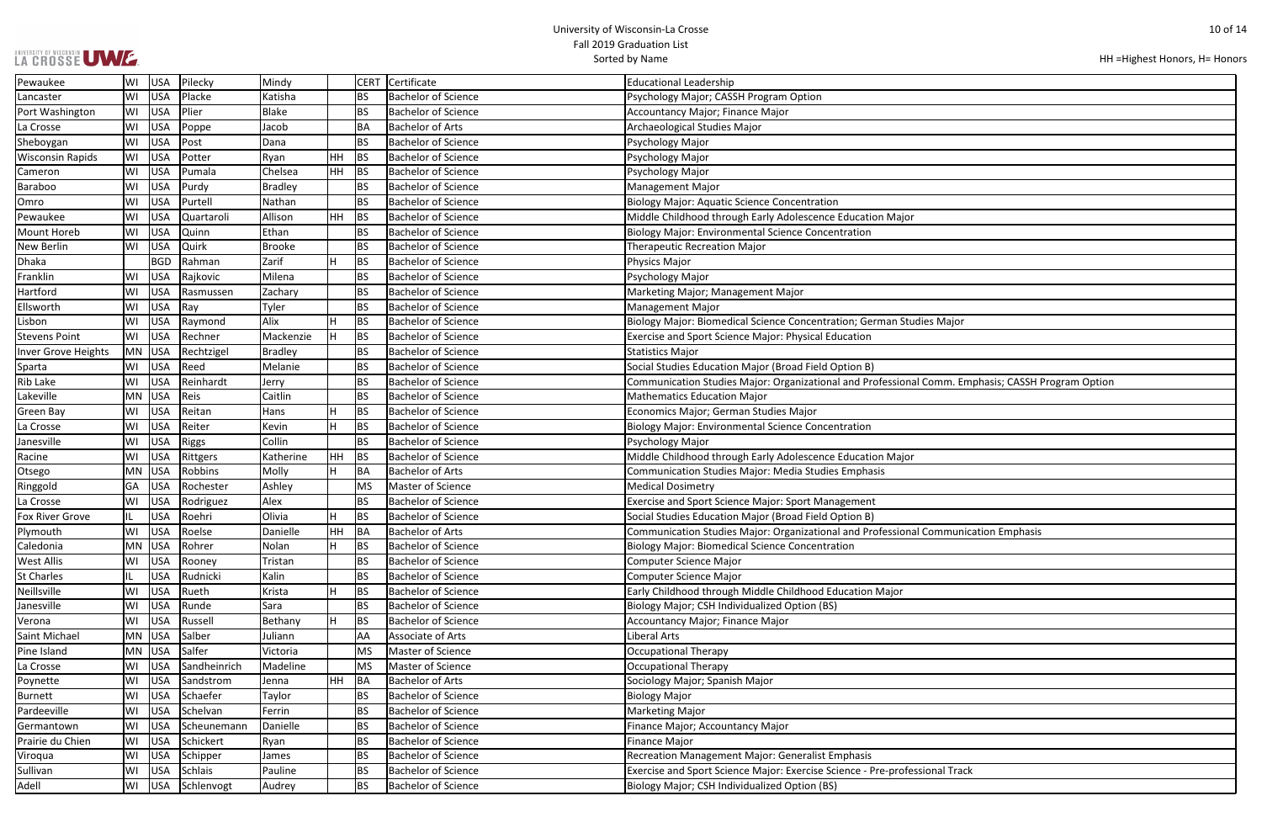| LA CROSSE UWE. |  |
|----------------|--|

```
HH =Highest Honors, H= Honors
```

| s Major                             |
|-------------------------------------|
|                                     |
|                                     |
|                                     |
|                                     |
| omm. Emphasis; CASSH Program Option |
|                                     |
|                                     |
|                                     |
|                                     |
|                                     |
|                                     |
|                                     |
|                                     |
|                                     |
|                                     |
|                                     |
|                                     |
|                                     |
|                                     |
| ommunication Emphasis               |
|                                     |
|                                     |
|                                     |
|                                     |
|                                     |
|                                     |
|                                     |
|                                     |
|                                     |
|                                     |
|                                     |
|                                     |
|                                     |
|                                     |
|                                     |
|                                     |
|                                     |
|                                     |
|                                     |
|                                     |
|                                     |
| onal Track                          |
|                                     |
|                                     |

| Pewaukee                   | WI  | <b>USA</b> | Pilecky           | Mindy     |    | <b>CERT</b> | Certificate                | <b>Educational Leadership</b>                                                                     |
|----------------------------|-----|------------|-------------------|-----------|----|-------------|----------------------------|---------------------------------------------------------------------------------------------------|
| Lancaster                  | WI  | <b>USA</b> | Placke            | Katisha   |    |             | <b>Bachelor of Science</b> | Psychology Major; CASSH Program Option                                                            |
| Port Washington            | WI  | USA        | Plier             | Blake     |    | <b>BS</b>   | <b>Bachelor of Science</b> | Accountancy Major; Finance Major                                                                  |
| La Crosse                  | lWI | <b>USA</b> | Poppe             | Jacob     |    | <b>BA</b>   | <b>Bachelor of Arts</b>    | Archaeological Studies Major                                                                      |
| Sheboygan                  | WI  | <b>USA</b> | Post              | Dana      |    | <b>BS</b>   | <b>Bachelor of Science</b> | Psychology Major                                                                                  |
| <b>Wisconsin Rapids</b>    | WI  | USA        | Potter            | Ryan      | HН | <b>BS</b>   | <b>Bachelor of Science</b> | Psychology Major                                                                                  |
| Cameron                    | WI  | <b>USA</b> | Pumala            | Chelsea   | HH | <b>BS</b>   | <b>Bachelor of Science</b> | Psychology Major                                                                                  |
| Baraboo                    | WI  | <b>USA</b> | Purdy             | Bradley   |    | <b>BS</b>   | <b>Bachelor of Science</b> | <b>Management Major</b>                                                                           |
| Omro                       | WI  | USA        | Purtell           | Nathan    |    | <b>BS</b>   | <b>Bachelor of Science</b> | <b>Biology Major: Aquatic Science Concentration</b>                                               |
| Pewaukee                   | WI  | <b>USA</b> | Quartaroli        | Allison   | HH | <b>BS</b>   | <b>Bachelor of Science</b> | Middle Childhood through Early Adolescence Education Major                                        |
| Mount Horeb                | WI  | USA        | Quinn             | Ethan     |    | <b>BS</b>   | <b>Bachelor of Science</b> | <b>Biology Major: Environmental Science Concentration</b>                                         |
| New Berlin                 | WI  | <b>USA</b> | Quirk             | Brooke    |    | <b>BS</b>   | <b>Bachelor of Science</b> | <b>Therapeutic Recreation Major</b>                                                               |
| <b>Dhaka</b>               |     | <b>BGD</b> | Rahman            | Zarif     |    | <b>BS</b>   | <b>Bachelor of Science</b> | Physics Major                                                                                     |
| Franklin                   | WI  | <b>USA</b> | Rajkovic          | Milena    |    | <b>BS</b>   | <b>Bachelor of Science</b> | Psychology Major                                                                                  |
| Hartford                   | WI  | <b>USA</b> | Rasmussen         | Zachary   |    | <b>BS</b>   | <b>Bachelor of Science</b> | Marketing Major; Management Major                                                                 |
| Ellsworth                  | WI  | <b>USA</b> | Ray               | Tyler     |    | <b>BS</b>   | <b>Bachelor of Science</b> | Management Major                                                                                  |
| Lisbon                     | WI  | USA        | Raymond           | Alix      |    | <b>BS</b>   | <b>Bachelor of Science</b> | Biology Major: Biomedical Science Concentration; German Studies Major                             |
| <b>Stevens Point</b>       | WI  | <b>USA</b> | Rechner           | Mackenzie |    | <b>BS</b>   | <b>Bachelor of Science</b> | Exercise and Sport Science Major: Physical Education                                              |
| <b>Inver Grove Heights</b> |     | MN USA     | Rechtzigel        | Bradley   |    | <b>BS</b>   | <b>Bachelor of Science</b> | <b>Statistics Major</b>                                                                           |
| Sparta                     | WI  | <b>USA</b> | Reed              | Melanie   |    | <b>BS</b>   | <b>Bachelor of Science</b> | Social Studies Education Major (Broad Field Option B)                                             |
| Rib Lake                   | WI  | USA        | Reinhardt         | Jerry     |    | <b>BS</b>   | <b>Bachelor of Science</b> | Communication Studies Major: Organizational and Professional Comm. Emphasis; CASSH Program Optior |
| Lakeville                  |     | MN USA     | Reis              | Caitlin   |    | <b>BS</b>   | <b>Bachelor of Science</b> | <b>Mathematics Education Major</b>                                                                |
| Green Bay                  | WI  | USA        | Reitan            | Hans      |    | <b>BS</b>   | <b>Bachelor of Science</b> | Economics Major; German Studies Major                                                             |
| La Crosse                  | WI  | USA        | Reiter            | Kevin     |    | <b>BS</b>   | <b>Bachelor of Science</b> | <b>Biology Major: Environmental Science Concentration</b>                                         |
| Janesville                 | WI  | USA        | Riggs             | Collin    |    | <b>BS</b>   | <b>Bachelor of Science</b> | Psychology Major                                                                                  |
| Racine                     | WI  | USA        | Rittgers          | Katherine | HН | <b>BS</b>   | <b>Bachelor of Science</b> | Middle Childhood through Early Adolescence Education Major                                        |
| Otsego                     |     | MN USA     | Robbins           | Molly     |    | <b>BA</b>   | <b>Bachelor of Arts</b>    | Communication Studies Major: Media Studies Emphasis                                               |
| Ringgold                   | GA  | <b>USA</b> | Rochester         | Ashley    |    | <b>MS</b>   | Master of Science          | <b>Medical Dosimetry</b>                                                                          |
| La Crosse                  | WI  | <b>USA</b> | Rodriguez         | Alex      |    | <b>BS</b>   | <b>Bachelor of Science</b> | Exercise and Sport Science Major: Sport Management                                                |
| Fox River Grove            | IL. | USA        | Roehri            | Olivia    |    | <b>BS</b>   | <b>Bachelor of Science</b> | Social Studies Education Major (Broad Field Option B)                                             |
| Plymouth                   | WI  | <b>USA</b> | Roelse            | Danielle  | HН | BA          | <b>Bachelor of Arts</b>    | Communication Studies Major: Organizational and Professional Communication Emphasis               |
| Caledonia                  |     | MN USA     | Rohrer            | Nolan     |    | <b>BS</b>   | <b>Bachelor of Science</b> | <b>Biology Major: Biomedical Science Concentration</b>                                            |
| West Allis                 | WI  | <b>USA</b> | Rooney            | Tristan   |    | <b>BS</b>   | <b>Bachelor of Science</b> | <b>Computer Science Major</b>                                                                     |
| <b>St Charles</b>          | IL. | USA        | Rudnicki          | Kalin     |    | <b>BS</b>   | <b>Bachelor of Science</b> | <b>Computer Science Major</b>                                                                     |
| Neillsville                | WI  | USA        | Rueth             | Krista    |    | <b>BS</b>   | <b>Bachelor of Science</b> | Early Childhood through Middle Childhood Education Major                                          |
| Janesville                 | WI  | <b>USA</b> | Runde             | Sara      |    | <b>BS</b>   | <b>Bachelor of Science</b> | Biology Major; CSH Individualized Option (BS)                                                     |
| Verona                     | WI  | <b>USA</b> | Russell           | Bethany   |    | <b>BS</b>   | <b>Bachelor of Science</b> | <b>Accountancy Major; Finance Major</b>                                                           |
| Saint Michael              |     | MN USA     | Salber            | Juliann   |    | AA          | Associate of Arts          | Liberal Arts                                                                                      |
| Pine Island                |     | $MN$ USA   | Salfer            | Victoria  |    | <b>MS</b>   | Master of Science          | <b>Occupational Therapy</b>                                                                       |
| La Crosse                  | WI  | <b>USA</b> | Sandheinrich      | Madeline  |    | MS          | Master of Science          | <b>Occupational Therapy</b>                                                                       |
| Poynette                   | WI  | <b>USA</b> | Sandstrom         | Jenna     | HH | BA          | <b>Bachelor of Arts</b>    | Sociology Major; Spanish Major                                                                    |
| Burnett                    | WI  | <b>USA</b> | Schaefer          | Taylor    |    | <b>BS</b>   | <b>Bachelor of Science</b> | <b>Biology Major</b>                                                                              |
| Pardeeville                | WI  | <b>USA</b> | Schelvan          | Ferrin    |    | <b>BS</b>   | <b>Bachelor of Science</b> | <b>Marketing Major</b>                                                                            |
| Germantown                 | WI  | <b>USA</b> | Scheunemann       | Danielle  |    | <b>BS</b>   | <b>Bachelor of Science</b> | Finance Major; Accountancy Major                                                                  |
| Prairie du Chien           | WI  | <b>USA</b> | Schickert         | Ryan      |    | <b>BS</b>   | <b>Bachelor of Science</b> | <b>Finance Major</b>                                                                              |
| Viroqua                    | WI  | <b>USA</b> | Schipper          | James     |    | <b>BS</b>   | <b>Bachelor of Science</b> | Recreation Management Major: Generalist Emphasis                                                  |
| Sullivan                   | WI  | <b>USA</b> | Schlais           | Pauline   |    | <b>BS</b>   | <b>Bachelor of Science</b> | Exercise and Sport Science Major: Exercise Science - Pre-professional Track                       |
| Adell                      |     |            | WI USA Schlenvogt | Audrey    |    | <b>BS</b>   | <b>Bachelor of Science</b> | Biology Major; CSH Individualized Option (BS)                                                     |
|                            |     |            |                   |           |    |             |                            |                                                                                                   |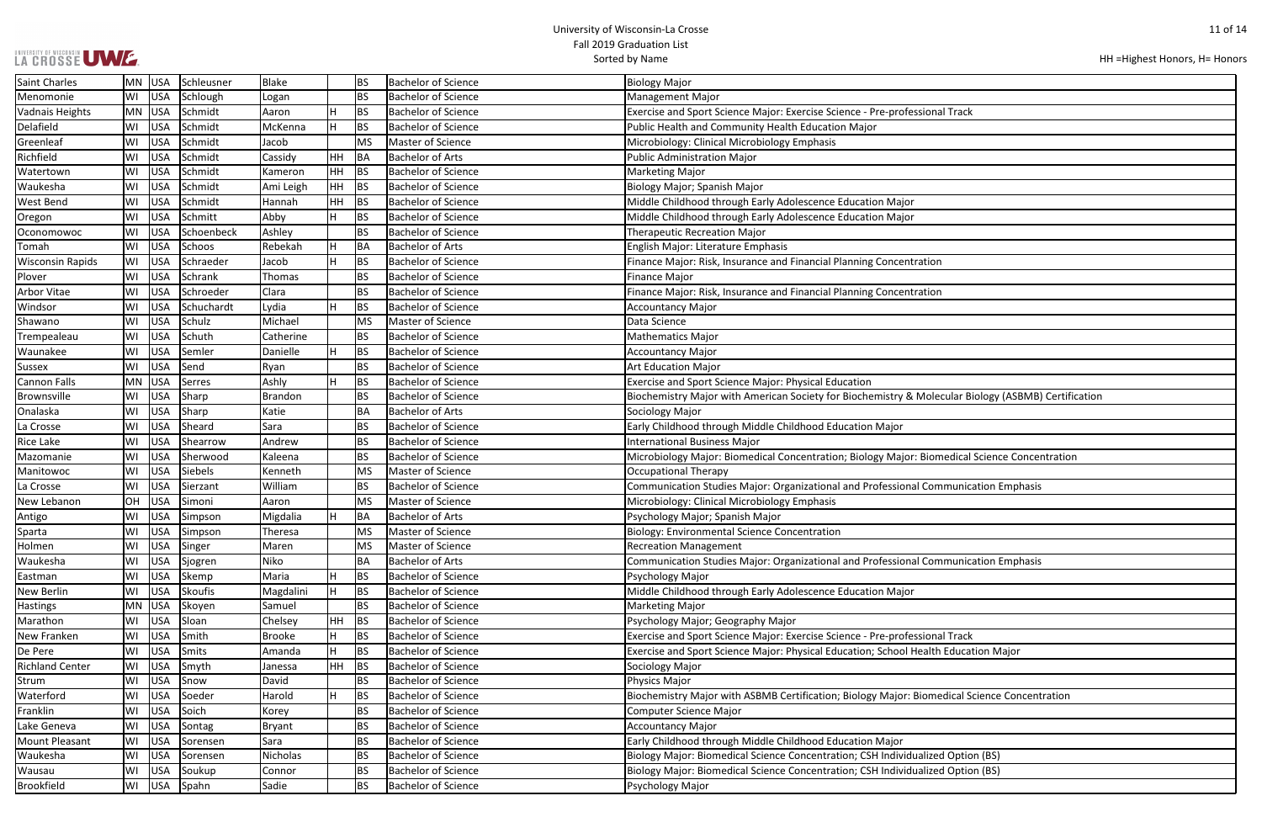# UNIVERSITY OF WISCONSIN UW E.

```
HH =Highest Honors, H= Honors
```

| onal Track                             |
|----------------------------------------|
|                                        |
|                                        |
|                                        |
|                                        |
|                                        |
|                                        |
|                                        |
| ion:                                   |
| ion:                                   |
|                                        |
|                                        |
|                                        |
|                                        |
| olecular Biology (ASBMB) Certification |
|                                        |
|                                        |
| iomedical Science Concentration        |
|                                        |
| Communication Emphasis                 |
|                                        |
|                                        |
| Communication Emphasis                 |
|                                        |
|                                        |
|                                        |
| onal Track                             |
| alth Education Major                   |
|                                        |
| medical Science Concentration          |
|                                        |
|                                        |
| ized Option (BS)                       |
| ized Option (BS)                       |

| <b>Saint Charles</b>    |     | MN USA     | Schleusner | Blake          |    | <b>BS</b> | <b>Bachelor of Science</b> | <b>Biology Major</b>                                                                                |
|-------------------------|-----|------------|------------|----------------|----|-----------|----------------------------|-----------------------------------------------------------------------------------------------------|
| Menomonie               | WI  | USA        | Schlough   | Logan          |    | <b>BS</b> | <b>Bachelor of Science</b> | <b>Management Major</b>                                                                             |
| <b>Vadnais Heights</b>  |     | MN USA     | Schmidt    | Aaron          |    | <b>BS</b> | <b>Bachelor of Science</b> | Exercise and Sport Science Major: Exercise Science - Pre-professional Track                         |
| Delafield               | WI  | USA        | Schmidt    | McKenna        |    | <b>BS</b> | <b>Bachelor of Science</b> | Public Health and Community Health Education Major                                                  |
| Greenleaf               | WI  | <b>USA</b> | Schmidt    | Jacob          |    | <b>MS</b> | Master of Science          | Microbiology: Clinical Microbiology Emphasis                                                        |
| Richfield               | WI  | <b>USA</b> | Schmidt    | Cassidy        | HH | BA        | <b>Bachelor of Arts</b>    | <b>Public Administration Major</b>                                                                  |
| Watertown               | WI  | USA        | Schmidt    | Kameron        | HH | <b>BS</b> | <b>Bachelor of Science</b> | <b>Marketing Major</b>                                                                              |
| Waukesha                | WI  | <b>USA</b> | Schmidt    | Ami Leigh      | HH | <b>BS</b> | <b>Bachelor of Science</b> | Biology Major; Spanish Major                                                                        |
| West Bend               | WI  | USA        | Schmidt    | Hannah         | HH | <b>BS</b> | <b>Bachelor of Science</b> | Middle Childhood through Early Adolescence Education Major                                          |
| Oregon                  | WI  | USA        | Schmitt    | Abby           |    | <b>BS</b> | <b>Bachelor of Science</b> | Middle Childhood through Early Adolescence Education Major                                          |
| Oconomowoc              | WI  | <b>USA</b> | Schoenbeck | Ashley         |    | <b>BS</b> | <b>Bachelor of Science</b> | <b>Therapeutic Recreation Major</b>                                                                 |
| Tomah                   | WI  | <b>USA</b> | Schoos     | Rebekah        |    | BA        | <b>Bachelor of Arts</b>    | English Major: Literature Emphasis                                                                  |
| <b>Wisconsin Rapids</b> | WI  | <b>USA</b> | Schraeder  | Jacob          |    | <b>BS</b> | <b>Bachelor of Science</b> | Finance Major: Risk, Insurance and Financial Planning Concentration                                 |
| Plover                  | WI  | USA        | Schrank    | Thomas         |    | <b>BS</b> | <b>Bachelor of Science</b> | <b>Finance Major</b>                                                                                |
| Arbor Vitae             | WI  | USA        | Schroeder  | Clara          |    | <b>BS</b> | <b>Bachelor of Science</b> | Finance Major: Risk, Insurance and Financial Planning Concentration                                 |
| Windsor                 | WI  | USA        | Schuchardt | Lydia          |    | <b>BS</b> | <b>Bachelor of Science</b> | <b>Accountancy Major</b>                                                                            |
| Shawano                 | WI  | <b>USA</b> | Schulz     | Michael        |    | <b>MS</b> | Master of Science          | Data Science                                                                                        |
| Trempealeau             | WI  | <b>USA</b> | Schuth     | Catherine      |    | <b>BS</b> | <b>Bachelor of Science</b> | <b>Mathematics Major</b>                                                                            |
| Waunakee                | WI  | <b>USA</b> | Semler     | Danielle       |    | <b>BS</b> | <b>Bachelor of Science</b> | <b>Accountancy Major</b>                                                                            |
| <b>Sussex</b>           | WI  | USA        | Send       | Ryan           |    | <b>BS</b> | <b>Bachelor of Science</b> | <b>Art Education Major</b>                                                                          |
| <b>Cannon Falls</b>     | MN. | USA        | Serres     | Ashly          |    | <b>BS</b> | <b>Bachelor of Science</b> | Exercise and Sport Science Major: Physical Education                                                |
| Brownsville             | WI  | USA        | Sharp      | <b>Brandon</b> |    | <b>BS</b> | <b>Bachelor of Science</b> | Biochemistry Major with American Society for Biochemistry & Molecular Biology (ASBMB) Certification |
| Onalaska                | WI  | <b>USA</b> | Sharp      | Katie          |    | BA        | <b>Bachelor of Arts</b>    | Sociology Major                                                                                     |
| La Crosse               | WI  | <b>USA</b> | Sheard     | Sara           |    | <b>BS</b> | <b>Bachelor of Science</b> | Early Childhood through Middle Childhood Education Major                                            |
| Rice Lake               | WI  | <b>USA</b> | Shearrow   | Andrew         |    | <b>BS</b> | <b>Bachelor of Science</b> | <b>International Business Major</b>                                                                 |
| Mazomanie               | WI  | <b>USA</b> | Sherwood   | Kaleena        |    | <b>BS</b> | <b>Bachelor of Science</b> | Microbiology Major: Biomedical Concentration; Biology Major: Biomedical Science Concentration       |
| Manitowoc               | WI  | USA        | Siebels    | Kenneth        |    | <b>MS</b> | Master of Science          | <b>Occupational Therapy</b>                                                                         |
| La Crosse               | WI  | USA        | Sierzant   | William        |    | <b>BS</b> | <b>Bachelor of Science</b> | Communication Studies Major: Organizational and Professional Communication Emphasis                 |
| New Lebanon             | OH  | <b>USA</b> | Simoni     | Aaron          |    | <b>MS</b> | Master of Science          | Microbiology: Clinical Microbiology Emphasis                                                        |
| Antigo                  | WI  | <b>USA</b> | Simpson    | Migdalia       |    | BA        | <b>Bachelor of Arts</b>    | Psychology Major; Spanish Major                                                                     |
| Sparta                  | WI  | USA        | Simpson    | Theresa        |    | <b>MS</b> | Master of Science          | <b>Biology: Environmental Science Concentration</b>                                                 |
| Holmen                  | WI  | <b>USA</b> | Singer     | Maren          |    | MS        | Master of Science          | <b>Recreation Management</b>                                                                        |
| Waukesha                | WI  | USA        | Sjogren    | Niko           |    | BA        | <b>Bachelor of Arts</b>    | Communication Studies Major: Organizational and Professional Communication Emphasis                 |
| Eastman                 | WI  | <b>USA</b> | Skemp      | Maria          |    | <b>BS</b> | <b>Bachelor of Science</b> | Psychology Major                                                                                    |
| New Berlin              | WI  | <b>USA</b> | Skoufis    | Magdalini      | H  | <b>BS</b> | <b>Bachelor of Science</b> | Middle Childhood through Early Adolescence Education Major                                          |
| <b>Hastings</b>         | MN  | USA        | Skoyen     | Samuel         |    | BS        | <b>Bachelor of Science</b> | <b>Marketing Major</b>                                                                              |
| Marathon                | WI  | USA        | Sloan      | Chelsey        | HH | BS        | <b>Bachelor of Science</b> | Psychology Major; Geography Major                                                                   |
| New Franken             | WI  | USA        | Smith      | <b>Brooke</b>  |    | <b>BS</b> | <b>Bachelor of Science</b> | Exercise and Sport Science Major: Exercise Science - Pre-professional Track                         |
| De Pere                 | WI  | <b>USA</b> | Smits      | Amanda         |    | BS        | <b>Bachelor of Science</b> | Exercise and Sport Science Major: Physical Education; School Health Education Major                 |
| <b>Richland Center</b>  | WI  | USA        | Smyth      | Janessa        | HH | BS        | <b>Bachelor of Science</b> | Sociology Major                                                                                     |
| Strum                   | WI  | <b>USA</b> | Snow       | David          |    | <b>BS</b> | <b>Bachelor of Science</b> | Physics Major                                                                                       |
| Waterford               | WI  | USA        | Soeder     | Harold         |    | <b>BS</b> | <b>Bachelor of Science</b> | Biochemistry Major with ASBMB Certification; Biology Major: Biomedical Science Concentration        |
| Franklin                | WI  | USA        | Soich      | Korey          |    | BS        | <b>Bachelor of Science</b> | <b>Computer Science Major</b>                                                                       |
| Lake Geneva             | WI  | USA        | Sontag     | <b>Bryant</b>  |    | <b>BS</b> | <b>Bachelor of Science</b> | <b>Accountancy Major</b>                                                                            |
| <b>Mount Pleasant</b>   | WI  | USA        | Sorensen   | Sara           |    | <b>BS</b> | <b>Bachelor of Science</b> | Early Childhood through Middle Childhood Education Major                                            |
| Waukesha                | WI  | <b>USA</b> | Sorensen   | Nicholas       |    | <b>BS</b> | <b>Bachelor of Science</b> | Biology Major: Biomedical Science Concentration; CSH Individualized Option (BS)                     |
| Wausau                  | WI  | USA        | Soukup     | Connor         |    | <b>BS</b> | <b>Bachelor of Science</b> | Biology Major: Biomedical Science Concentration; CSH Individualized Option (BS)                     |
| <b>Brookfield</b>       | WI  | USA        | Spahn      | Sadie          |    | <b>BS</b> | <b>Bachelor of Science</b> | Psychology Major                                                                                    |
|                         |     |            |            |                |    |           |                            |                                                                                                     |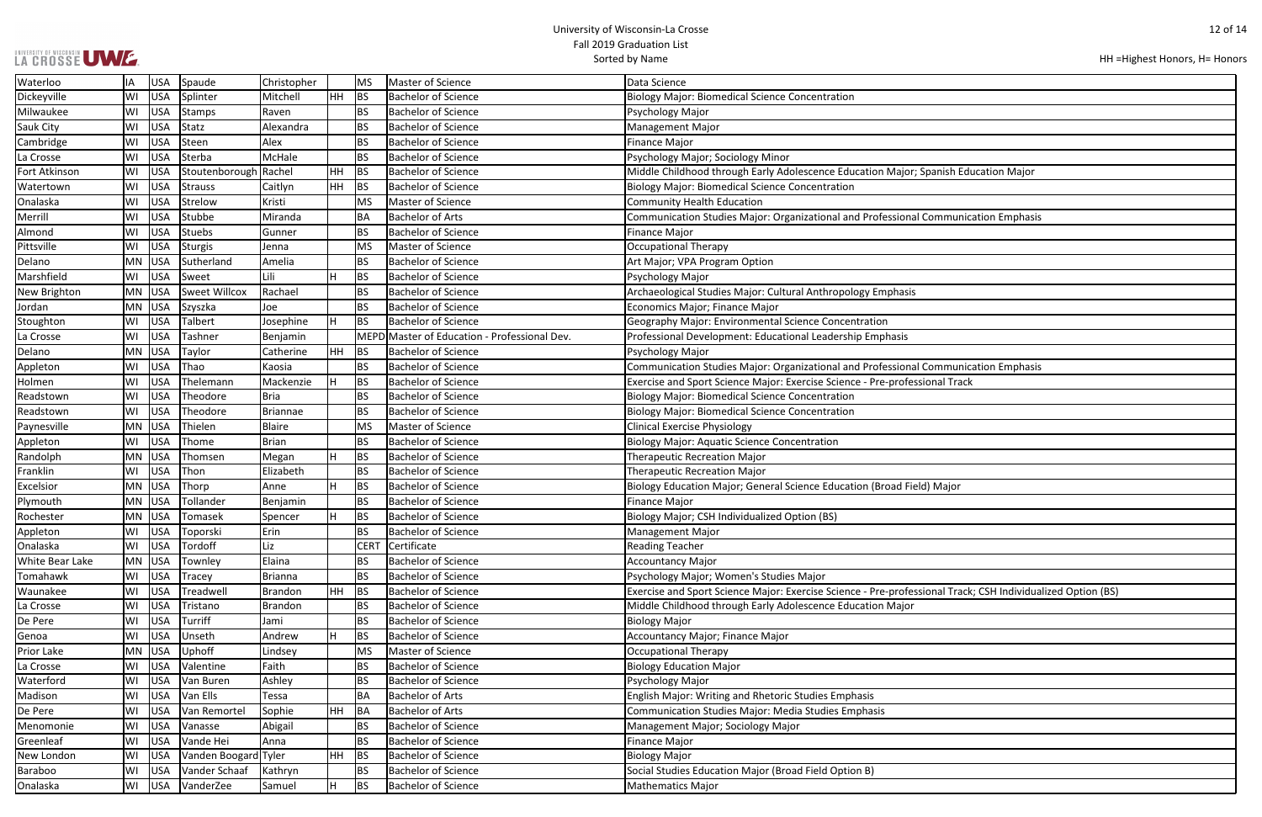### UNIVERSITY OF WISCONSIN UW E.

| HH = Highest Honors, H = Honors |  |  |
|---------------------------------|--|--|
|---------------------------------|--|--|

| panish Education Major                     |
|--------------------------------------------|
|                                            |
|                                            |
|                                            |
|                                            |
| Communication Emphasis                     |
|                                            |
|                                            |
|                                            |
|                                            |
|                                            |
|                                            |
|                                            |
|                                            |
|                                            |
|                                            |
|                                            |
|                                            |
|                                            |
|                                            |
|                                            |
|                                            |
|                                            |
|                                            |
|                                            |
| Communication Emphasis                     |
|                                            |
| onal Track                                 |
|                                            |
|                                            |
|                                            |
|                                            |
|                                            |
|                                            |
|                                            |
|                                            |
|                                            |
|                                            |
|                                            |
|                                            |
| ) Major                                    |
|                                            |
|                                            |
|                                            |
|                                            |
|                                            |
|                                            |
|                                            |
|                                            |
|                                            |
|                                            |
|                                            |
|                                            |
|                                            |
| onal Track; CSH Individualized Option (BS) |
|                                            |
|                                            |
|                                            |
|                                            |
|                                            |
|                                            |
|                                            |
|                                            |
|                                            |
|                                            |
|                                            |
|                                            |
|                                            |
|                                            |
|                                            |
|                                            |
|                                            |
|                                            |
|                                            |
|                                            |
|                                            |
|                                            |
|                                            |
|                                            |
|                                            |

| Waterloo               | ΙA        | USA        | Spaude               | Christopher     |           | <b>MS</b> | Master of Science                            | Data Science                                                                                                |
|------------------------|-----------|------------|----------------------|-----------------|-----------|-----------|----------------------------------------------|-------------------------------------------------------------------------------------------------------------|
| Dickeyville            | WI        | <b>USA</b> | Splinter             | Mitchell        | HH        | BS        | Bachelor of Science                          | <b>Biology Major: Biomedical Science Concentration</b>                                                      |
| Milwaukee              | WI        | <b>USA</b> | Stamps               | Raven           |           | <b>BS</b> | <b>Bachelor of Science</b>                   | Psychology Major                                                                                            |
| Sauk City              | WI        | <b>USA</b> | Statz                | Alexandra       |           | <b>BS</b> | <b>Bachelor of Science</b>                   | <b>Management Major</b>                                                                                     |
| Cambridge              | WI        | <b>USA</b> | Steen                | Alex            |           | <b>BS</b> | <b>Bachelor of Science</b>                   | <b>Finance Major</b>                                                                                        |
| La Crosse              | WI        | <b>USA</b> | Sterba               | McHale          |           | <b>BS</b> | <b>Bachelor of Science</b>                   | Psychology Major; Sociology Minor                                                                           |
| Fort Atkinson          | W١        | <b>USA</b> | Stoutenborough       | Rachel          | <b>HH</b> | BS        | <b>Bachelor of Science</b>                   | Middle Childhood through Early Adolescence Education Major; Spanish Education Major                         |
| Watertown              | WI        | <b>USA</b> | Strauss              | Caitlyn         | <b>HH</b> | BS        | <b>Bachelor of Science</b>                   | <b>Biology Major: Biomedical Science Concentration</b>                                                      |
| Onalaska               | WI        | <b>USA</b> | Strelow              | Kristi          |           | MS        | Master of Science                            | <b>Community Health Education</b>                                                                           |
| Merrill                | WI        | <b>USA</b> | Stubbe               | Miranda         |           | <b>BA</b> | <b>Bachelor of Arts</b>                      | Communication Studies Major: Organizational and Professional Communication Emphasis                         |
| Almond                 | WI        | <b>USA</b> | Stuebs               | Gunner          |           | <b>BS</b> | <b>Bachelor of Science</b>                   | <b>Finance Major</b>                                                                                        |
| Pittsville             | WI        | <b>USA</b> | Sturgis              | Jenna           |           | <b>MS</b> | Master of Science                            | <b>Occupational Therapy</b>                                                                                 |
| Delano                 | MN        | USA        | Sutherland           | Amelia          |           | <b>BS</b> | <b>Bachelor of Science</b>                   | Art Major; VPA Program Option                                                                               |
| Marshfield             | WI        | <b>USA</b> | Sweet                | Lili            | Н         | <b>BS</b> | <b>Bachelor of Science</b>                   | Psychology Major                                                                                            |
| New Brighton           | MN        | <b>USA</b> | Sweet Willcox        | Rachael         |           | <b>BS</b> | <b>Bachelor of Science</b>                   | Archaeological Studies Major: Cultural Anthropology Emphasis                                                |
| Jordan                 | MN.       | <b>USA</b> | Szyszka              | Joe             |           | <b>BS</b> | <b>Bachelor of Science</b>                   | Economics Major; Finance Major                                                                              |
| Stoughton              | WI        | <b>USA</b> | Talbert              | Josephine       | Η         | <b>BS</b> | <b>Bachelor of Science</b>                   | Geography Major: Environmental Science Concentration                                                        |
| La Crosse              | WI        | <b>USA</b> | Tashner              | Benjamin        |           |           | MEPD Master of Education - Professional Dev. | Professional Development: Educational Leadership Emphasis                                                   |
| Delano                 | MN        | <b>USA</b> | Taylor               | Catherine       | <b>HH</b> | BS        | <b>Bachelor of Science</b>                   | Psychology Major                                                                                            |
| Appleton               | WI        | <b>USA</b> | Thao                 | Kaosia          |           | <b>BS</b> | <b>Bachelor of Science</b>                   | Communication Studies Major: Organizational and Professional Communication Emphasis                         |
| Holmen                 | WI        | <b>USA</b> | Thelemann            | Mackenzie       |           | <b>BS</b> | <b>Bachelor of Science</b>                   | Exercise and Sport Science Major: Exercise Science - Pre-professional Track                                 |
| Readstown              | WI        | <b>USA</b> | Theodore             | <b>Bria</b>     |           | <b>BS</b> | <b>Bachelor of Science</b>                   | <b>Biology Major: Biomedical Science Concentration</b>                                                      |
| Readstown              | WI        | <b>USA</b> | Theodore             | <b>Briannae</b> |           | <b>BS</b> | <b>Bachelor of Science</b>                   | <b>Biology Major: Biomedical Science Concentration</b>                                                      |
| Paynesville            | MN        | USA        | Thielen              | <b>Blaire</b>   |           | <b>MS</b> | Master of Science                            | <b>Clinical Exercise Physiology</b>                                                                         |
| Appleton               | WI        | <b>USA</b> | Thome                | <b>Brian</b>    |           | <b>BS</b> | <b>Bachelor of Science</b>                   | <b>Biology Major: Aquatic Science Concentration</b>                                                         |
| Randolph               | MN.       | <b>USA</b> | Thomsen              | Megan           |           | <b>BS</b> | <b>Bachelor of Science</b>                   | <b>Therapeutic Recreation Major</b>                                                                         |
| Franklin               | W١        | <b>USA</b> | Thon                 | Elizabeth       |           | <b>BS</b> | <b>Bachelor of Science</b>                   | <b>Therapeutic Recreation Major</b>                                                                         |
| Excelsior              | MN        | <b>USA</b> | Thorp                | Anne            | H         | <b>BS</b> | <b>Bachelor of Science</b>                   | Biology Education Major; General Science Education (Broad Field) Major                                      |
| Plymouth               | MN        | <b>USA</b> | Tollander            | Benjamin        |           | <b>BS</b> | <b>Bachelor of Science</b>                   | <b>Finance Major</b>                                                                                        |
| Rochester              | MN        | <b>USA</b> | Tomasek              | Spencer         | H         | <b>BS</b> | <b>Bachelor of Science</b>                   | Biology Major; CSH Individualized Option (BS)                                                               |
| Appleton               | WI        | USA        | Toporski             | Erin            |           | <b>BS</b> | <b>Bachelor of Science</b>                   | <b>Management Major</b>                                                                                     |
| Onalaska               | WI        | USA        | Tordoff              | Liz             |           |           | CERT Certificate                             | <b>Reading Teacher</b>                                                                                      |
| <b>White Bear Lake</b> | <b>MN</b> | <b>USA</b> | Townley              | Elaina          |           | <b>BS</b> | <b>Bachelor of Science</b>                   | <b>Accountancy Major</b>                                                                                    |
| Tomahawk               | WI        | <b>USA</b> | <b>Tracey</b>        | Brianna         |           | <b>BS</b> | <b>Bachelor of Science</b>                   | Psychology Major; Women's Studies Major                                                                     |
| Waunakee               | WI        | <b>USA</b> | Treadwell            | Brandon         | HH        | BS        | <b>Bachelor of Science</b>                   | Exercise and Sport Science Major: Exercise Science - Pre-professional Track; CSH Individualized Option (BS) |
| La Crosse              | WI        | <b>USA</b> | Tristano             | Brandon         |           | <b>BS</b> | <b>Bachelor of Science</b>                   | Middle Childhood through Early Adolescence Education Major                                                  |
| De Pere                | WI        | <b>USA</b> | Turriff              | Jami            |           | <b>BS</b> | <b>Bachelor of Science</b>                   | <b>Biology Major</b>                                                                                        |
| Genoa                  | WI        | <b>USA</b> | Unseth               | Andrew          |           | <b>BS</b> | <b>Bachelor of Science</b>                   | Accountancy Major; Finance Major                                                                            |
| Prior Lake             | <b>MN</b> | USA        | Uphoff               | Lindsey         |           | <b>MS</b> | Master of Science                            | Occupational Therapy                                                                                        |
| La Crosse              | WI        | <b>USA</b> | Valentine            | Faith           |           | <b>BS</b> | <b>Bachelor of Science</b>                   | <b>Biology Education Major</b>                                                                              |
| Waterford              | WI        | <b>USA</b> | Van Buren            | Ashley          |           | <b>BS</b> | <b>Bachelor of Science</b>                   | Psychology Major                                                                                            |
| Madison                | WI        | <b>USA</b> | Van Ells             | Tessa           |           | <b>BA</b> | <b>Bachelor of Arts</b>                      | English Major: Writing and Rhetoric Studies Emphasis                                                        |
| De Pere                | WI        | <b>USA</b> | Van Remortel         | Sophie          | <b>HH</b> | BA        | <b>Bachelor of Arts</b>                      | Communication Studies Major: Media Studies Emphasis                                                         |
| Menomonie              | WI        | <b>USA</b> | Vanasse              | Abigail         |           | <b>BS</b> | <b>Bachelor of Science</b>                   | Management Major; Sociology Major                                                                           |
| Greenleaf              | WI        | <b>USA</b> | Vande Hei            | Anna            |           | <b>BS</b> | <b>Bachelor of Science</b>                   | <b>Finance Major</b>                                                                                        |
| New London             | WI        | USA        | Vanden Boogard Tyler |                 | <b>HH</b> | BS        | <b>Bachelor of Science</b>                   | <b>Biology Major</b>                                                                                        |
| <b>Baraboo</b>         | WI        | <b>USA</b> | Vander Schaaf        | Kathryn         |           | <b>BS</b> | <b>Bachelor of Science</b>                   | Social Studies Education Major (Broad Field Option B)                                                       |
| Onalaska               | WI        | USA        | VanderZee            | Samuel          | H         | BS        | <b>Bachelor of Science</b>                   | Mathematics Major                                                                                           |
|                        |           |            |                      |                 |           |           |                                              |                                                                                                             |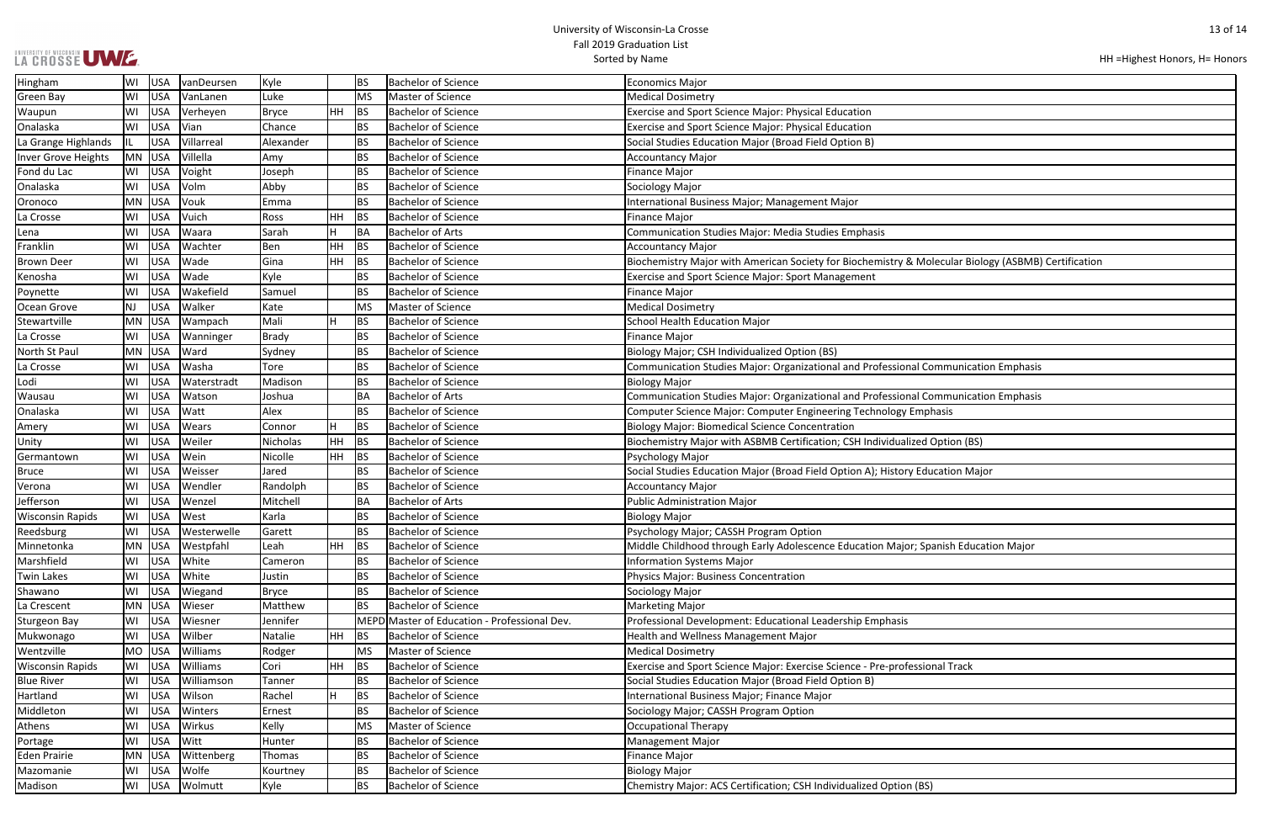|  |  | LA CROSSE UWE |
|--|--|---------------|
|  |  |               |

| HH = Highest Honors, H = Honors |  |
|---------------------------------|--|
|---------------------------------|--|

| olecular Biology (ASBMB) Certification |
|----------------------------------------|
|                                        |
|                                        |
|                                        |
|                                        |
|                                        |
|                                        |
|                                        |
|                                        |
|                                        |
| ommunication Emphasis                  |
|                                        |
|                                        |
| ommunication Emphasis                  |
|                                        |
| hasis                                  |
|                                        |
|                                        |
| Option (BS)                            |
|                                        |
|                                        |
| ucation Major                          |
|                                        |
|                                        |
|                                        |
|                                        |
|                                        |
|                                        |
|                                        |
| panish Education Major                 |
|                                        |
|                                        |
|                                        |
|                                        |
|                                        |
|                                        |
|                                        |
|                                        |
|                                        |
|                                        |
|                                        |
| onal Track                             |
|                                        |
|                                        |
|                                        |
|                                        |
|                                        |
|                                        |
|                                        |
|                                        |
|                                        |
|                                        |
|                                        |
| 5)                                     |

| Hingham                 | WI | <b>USA</b> | vanDeursen  | Kyle         |     | <b>BS</b> | <b>Bachelor of Science</b>                   | <b>Economics Major</b>                                                                              |
|-------------------------|----|------------|-------------|--------------|-----|-----------|----------------------------------------------|-----------------------------------------------------------------------------------------------------|
| <b>Green Bay</b>        | WI | <b>USA</b> | VanLanen    | Luke         |     | <b>MS</b> | Master of Science                            | <b>Medical Dosimetry</b>                                                                            |
| Waupun                  | WI | <b>USA</b> | Verheyen    | <b>Bryce</b> | HH  | <b>BS</b> | <b>Bachelor of Science</b>                   | Exercise and Sport Science Major: Physical Education                                                |
| Onalaska                | WI | <b>USA</b> | Vian        | Chance       |     | <b>BS</b> | <b>Bachelor of Science</b>                   | Exercise and Sport Science Major: Physical Education                                                |
| La Grange Highlands     |    | <b>USA</b> | Villarreal  | Alexander    |     | <b>BS</b> | <b>Bachelor of Science</b>                   | Social Studies Education Major (Broad Field Option B)                                               |
| Inver Grove Heights     | MN | USA        | Villella    | Amy          |     | <b>BS</b> | <b>Bachelor of Science</b>                   | <b>Accountancy Major</b>                                                                            |
| Fond du Lac             | WI | <b>USA</b> | Voight      | Joseph       |     | <b>BS</b> | <b>Bachelor of Science</b>                   | <b>Finance Major</b>                                                                                |
| Onalaska                | WI | <b>USA</b> | Volm        | Abby         |     | <b>BS</b> | <b>Bachelor of Science</b>                   | Sociology Major                                                                                     |
| Oronoco                 | MN | <b>USA</b> | Vouk        | Emma         |     | <b>BS</b> | <b>Bachelor of Science</b>                   | International Business Major; Management Major                                                      |
| La Crosse               | WI | <b>USA</b> | Vuich       | Ross         | HH  | <b>BS</b> | <b>Bachelor of Science</b>                   | <b>Finance Major</b>                                                                                |
| Lena                    | WI | <b>USA</b> | Waara       | Sarah        | H.  | BA        | <b>Bachelor of Arts</b>                      | Communication Studies Major: Media Studies Emphasis                                                 |
| Franklin                | WI | <b>USA</b> | Wachter     | Ben          | HH  | <b>BS</b> | <b>Bachelor of Science</b>                   | <b>Accountancy Major</b>                                                                            |
| <b>Brown Deer</b>       | WI | <b>USA</b> | Wade        | Gina         | HH  | <b>BS</b> | <b>Bachelor of Science</b>                   | Biochemistry Major with American Society for Biochemistry & Molecular Biology (ASBMB) Certificatior |
| Kenosha                 | WI | <b>USA</b> | Wade        | Kyle         |     | <b>BS</b> | <b>Bachelor of Science</b>                   | <b>Exercise and Sport Science Major: Sport Management</b>                                           |
| Poynette                | WI | <b>USA</b> | Wakefield   | Samuel       |     | <b>BS</b> | <b>Bachelor of Science</b>                   | <b>Finance Major</b>                                                                                |
| Ocean Grove             | NJ | <b>USA</b> | Walker      | Kate         |     | MS        | Master of Science                            | <b>Medical Dosimetry</b>                                                                            |
| Stewartville            | MN | <b>USA</b> | Wampach     | Mali         | н   | <b>BS</b> | <b>Bachelor of Science</b>                   | <b>School Health Education Major</b>                                                                |
| La Crosse               | WI | <b>USA</b> | Wanninger   | <b>Brady</b> |     | <b>BS</b> | <b>Bachelor of Science</b>                   | <b>Finance Major</b>                                                                                |
| North St Paul           | MN | USA        | Ward        | Sydney       |     | <b>BS</b> | <b>Bachelor of Science</b>                   | Biology Major; CSH Individualized Option (BS)                                                       |
| La Crosse               | WI | <b>USA</b> | Washa       | Tore         |     | <b>BS</b> | <b>Bachelor of Science</b>                   | Communication Studies Major: Organizational and Professional Communication Emphasis                 |
| Lodi                    | WI | <b>USA</b> | Waterstradt | Madison      |     | <b>BS</b> | <b>Bachelor of Science</b>                   | <b>Biology Major</b>                                                                                |
| Wausau                  | WI | <b>USA</b> | Watson      | Joshua       |     | BA        | <b>Bachelor of Arts</b>                      | Communication Studies Major: Organizational and Professional Communication Emphasis                 |
| Onalaska                | WI | <b>USA</b> | Watt        | Alex         |     | <b>BS</b> | <b>Bachelor of Science</b>                   | Computer Science Major: Computer Engineering Technology Emphasis                                    |
| Amery                   | WI | <b>USA</b> | Wears       | Connor       | H   | <b>BS</b> | <b>Bachelor of Science</b>                   | <b>Biology Major: Biomedical Science Concentration</b>                                              |
| Unity                   | WI | <b>USA</b> | Weiler      | Nicholas     | HH  | <b>BS</b> | <b>Bachelor of Science</b>                   | Biochemistry Major with ASBMB Certification; CSH Individualized Option (BS)                         |
| Germantown              | WI | <b>USA</b> | Wein        | Nicolle      | HH. | <b>BS</b> | <b>Bachelor of Science</b>                   | Psychology Major                                                                                    |
| <b>Bruce</b>            | WI | <b>USA</b> | Weisser     | Jared        |     | <b>BS</b> | <b>Bachelor of Science</b>                   | Social Studies Education Major (Broad Field Option A); History Education Major                      |
| Verona                  | WI | <b>USA</b> | Wendler     | Randolph     |     | <b>BS</b> | <b>Bachelor of Science</b>                   | <b>Accountancy Major</b>                                                                            |
| Jefferson               | WI | <b>USA</b> | Wenzel      | Mitchell     |     | BA        | <b>Bachelor of Arts</b>                      | <b>Public Administration Major</b>                                                                  |
| <b>Wisconsin Rapids</b> | WI | <b>USA</b> | West        | Karla        |     | <b>BS</b> | <b>Bachelor of Science</b>                   | <b>Biology Major</b>                                                                                |
| Reedsburg               | WI | <b>USA</b> | Westerwelle | Garett       |     | <b>BS</b> | <b>Bachelor of Science</b>                   | Psychology Major; CASSH Program Option                                                              |
| Minnetonka              |    | MN USA     | Westpfahl   | Leah         | HH. | BS        | <b>Bachelor of Science</b>                   | Middle Childhood through Early Adolescence Education Major; Spanish Education Major                 |
| Marshfield              | WI | <b>USA</b> | White       | Cameron      |     | <b>BS</b> | <b>Bachelor of Science</b>                   | <b>Information Systems Major</b>                                                                    |
| <b>Twin Lakes</b>       | WI | <b>USA</b> | White       | Justin       |     | <b>BS</b> | <b>Bachelor of Science</b>                   | Physics Major: Business Concentration                                                               |
| Shawano                 | WI | <b>USA</b> | Wiegand     | <b>Bryce</b> |     | <b>BS</b> | <b>Bachelor of Science</b>                   | Sociology Major                                                                                     |
| La Crescent             | MN | <b>USA</b> | Wieser      | Matthew      |     | <b>BS</b> | <b>Bachelor of Science</b>                   | <b>Marketing Major</b>                                                                              |
| <b>Sturgeon Bay</b>     | WI | <b>USA</b> | Wiesner     | Jennifer     |     |           | MEPD Master of Education - Professional Dev. | Professional Development: Educational Leadership Emphasis                                           |
| Mukwonago               | WI | <b>USA</b> | Wilber      | Natalie      | HH  | <b>BS</b> | <b>Bachelor of Science</b>                   | <b>Health and Wellness Management Major</b>                                                         |
| Wentzville              | MO | <b>USA</b> | Williams    | Rodger       |     | <b>MS</b> | Master of Science                            | <b>Medical Dosimetry</b>                                                                            |
| <b>Wisconsin Rapids</b> | WI | <b>USA</b> | Williams    | Cori         | HH  | <b>BS</b> | <b>Bachelor of Science</b>                   | Exercise and Sport Science Major: Exercise Science - Pre-professional Track                         |
| <b>Blue River</b>       | WI | <b>USA</b> | Williamson  | Tanner       |     | BS        | <b>Bachelor of Science</b>                   | Social Studies Education Major (Broad Field Option B)                                               |
| Hartland                | WI | <b>USA</b> | Wilson      | Rachel       | н   | BS        | <b>Bachelor of Science</b>                   | International Business Major; Finance Major                                                         |
| Middleton               | WI | <b>USA</b> | Winters     | Ernest       |     | <b>BS</b> | <b>Bachelor of Science</b>                   | Sociology Major; CASSH Program Option                                                               |
| Athens                  | WI | <b>USA</b> | Wirkus      | Kelly        |     | <b>MS</b> | Master of Science                            | <b>Occupational Therapy</b>                                                                         |
| Portage                 | WI | <b>USA</b> | Witt        | Hunter       |     | <b>BS</b> | <b>Bachelor of Science</b>                   | <b>Management Major</b>                                                                             |
| <b>Eden Prairie</b>     | MN | <b>USA</b> | Wittenberg  | Thomas       |     | <b>BS</b> | <b>Bachelor of Science</b>                   | <b>Finance Major</b>                                                                                |
| Mazomanie               | WI | <b>USA</b> | Wolfe       | Kourtney     |     | <b>BS</b> | <b>Bachelor of Science</b>                   | <b>Biology Major</b>                                                                                |
| Madison                 | WI | <b>USA</b> | Wolmutt     | Kyle         |     | <b>BS</b> | <b>Bachelor of Science</b>                   | Chemistry Major: ACS Certification; CSH Individualized Option (BS)                                  |
|                         |    |            |             |              |     |           |                                              |                                                                                                     |